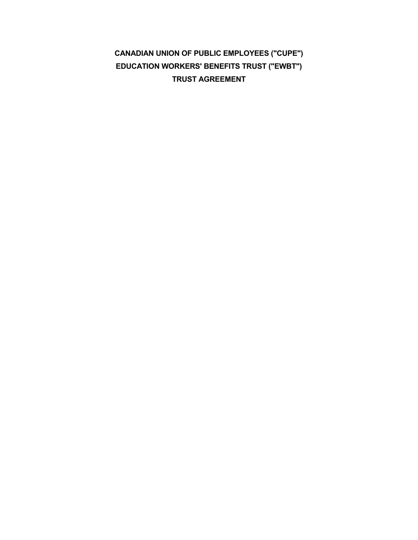**CANADIAN UNION OF PUBLIC EMPLOYEES ("CUPE") EDUCATION WORKERS' BENEFITS TRUST ("EWBT") TRUST AGREEMENT**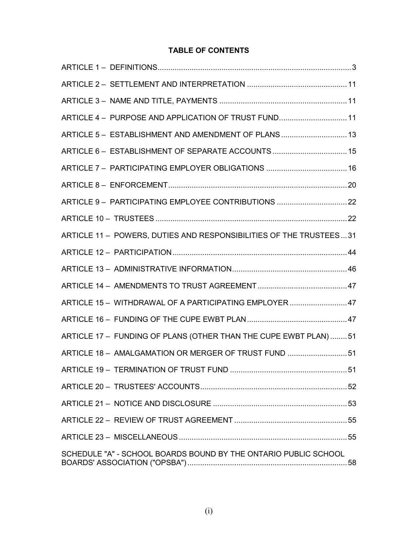# **TABLE OF CONTENTS**

| ARTICLE 4 - PURPOSE AND APPLICATION OF TRUST FUND11                |
|--------------------------------------------------------------------|
| ARTICLE 5 - ESTABLISHMENT AND AMENDMENT OF PLANS  13               |
| ARTICLE 6- ESTABLISHMENT OF SEPARATE ACCOUNTS15                    |
| ARTICLE 7 - PARTICIPATING EMPLOYER OBLIGATIONS  16                 |
|                                                                    |
| ARTICLE 9- PARTICIPATING EMPLOYEE CONTRIBUTIONS  22                |
|                                                                    |
| ARTICLE 11 - POWERS, DUTIES AND RESPONSIBILITIES OF THE TRUSTEES31 |
|                                                                    |
|                                                                    |
|                                                                    |
| ARTICLE 15 - WITHDRAWAL OF A PARTICIPATING EMPLOYER47              |
|                                                                    |
| ARTICLE 17 - FUNDING OF PLANS (OTHER THAN THE CUPE EWBT PLAN)51    |
| ARTICLE 18 - AMALGAMATION OR MERGER OF TRUST FUND 51               |
|                                                                    |
|                                                                    |
|                                                                    |
|                                                                    |
|                                                                    |
| SCHEDULE "A" - SCHOOL BOARDS BOUND BY THE ONTARIO PUBLIC SCHOOL    |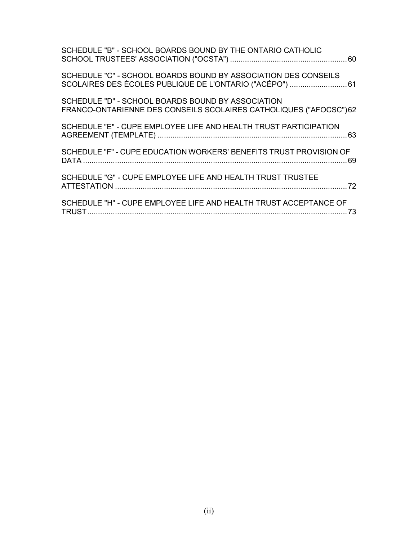| SCHEDULE "B" - SCHOOL BOARDS BOUND BY THE ONTARIO CATHOLIC                                                                 |
|----------------------------------------------------------------------------------------------------------------------------|
| SCHEDULE "C" - SCHOOL BOARDS BOUND BY ASSOCIATION DES CONSEILS<br>SCOLAIRES DES ÉCOLES PUBLIQUE DE L'ONTARIO ("ACÉPO")  61 |
| SCHEDULE "D" - SCHOOL BOARDS BOUND BY ASSOCIATION<br>FRANCO-ONTARIENNE DES CONSEILS SCOLAIRES CATHOLIQUES ("AFOCSC")62     |
| SCHEDULE "E" - CUPE EMPLOYEE LIFE AND HEALTH TRUST PARTICIPATION                                                           |
| SCHEDULE "F" - CUPE EDUCATION WORKERS' BENEFITS TRUST PROVISION OF                                                         |
| SCHEDULE "G" - CUPE EMPLOYEE LIFE AND HEALTH TRUST TRUSTEE                                                                 |
| SCHEDULE "H" - CUPE EMPLOYEE LIFE AND HEALTH TRUST ACCEPTANCE OF<br>73                                                     |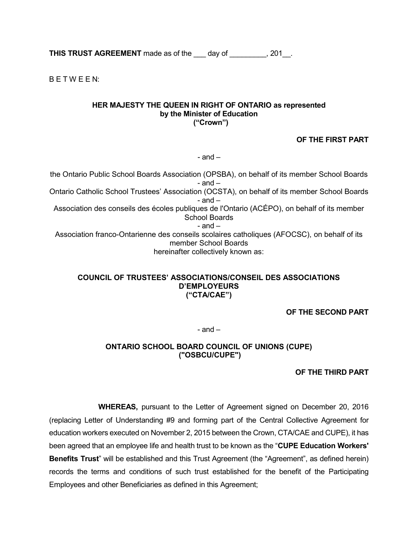**THIS TRUST AGREEMENT** made as of the day of  $\qquad$ , 201.

B E T W E E N:

#### **HER MAJESTY THE QUEEN IN RIGHT OF ONTARIO as represented by the Minister of Education ("Crown")**

### **OF THE FIRST PART**

 $-$  and  $-$ 

the Ontario Public School Boards Association (OPSBA), on behalf of its member School Boards - and – Ontario Catholic School Trustees' Association (OCSTA), on behalf of its member School Boards  $-$  and  $-$ Association des conseils des écoles publiques de l'Ontario (ACÉPO), on behalf of its member School Boards - and – Association franco-Ontarienne des conseils scolaires catholiques (AFOCSC), on behalf of its member School Boards hereinafter collectively known as:

#### **COUNCIL OF TRUSTEES' ASSOCIATIONS/CONSEIL DES ASSOCIATIONS D'EMPLOYEURS ("CTA/CAE")**

**OF THE SECOND PART** 

 $-$  and  $-$ 

### **ONTARIO SCHOOL BOARD COUNCIL OF UNIONS (CUPE) ("OSBCU/CUPE")**

**OF THE THIRD PART** 

**WHEREAS,** pursuant to the Letter of Agreement signed on December 20, 2016 (replacing Letter of Understanding #9 and forming part of the Central Collective Agreement for education workers executed on November 2, 2015 between the Crown, CTA/CAE and CUPE), it has been agreed that an employee life and health trust to be known as the "**CUPE Education Workers' Benefits Trust**" will be established and this Trust Agreement (the "Agreement", as defined herein) records the terms and conditions of such trust established for the benefit of the Participating Employees and other Beneficiaries as defined in this Agreement;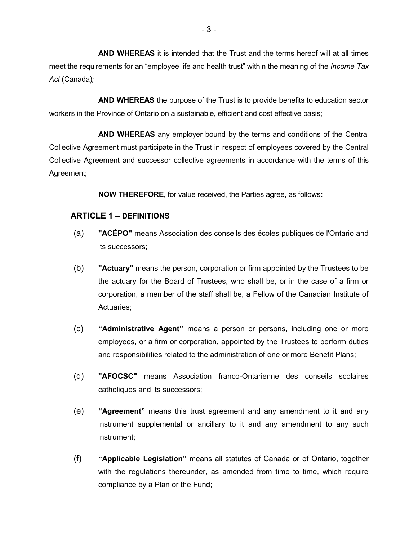**AND WHEREAS** it is intended that the Trust and the terms hereof will at all times meet the requirements for an "employee life and health trust" within the meaning of the *Income Tax Act* (Canada)*;*

**AND WHEREAS** the purpose of the Trust is to provide benefits to education sector workers in the Province of Ontario on a sustainable, efficient and cost effective basis;

**AND WHEREAS** any employer bound by the terms and conditions of the Central Collective Agreement must participate in the Trust in respect of employees covered by the Central Collective Agreement and successor collective agreements in accordance with the terms of this Agreement;

**NOW THEREFORE**, for value received, the Parties agree, as follows**:** 

### <span id="page-5-0"></span>**ARTICLE 1 – DEFINITIONS**

- (a) **"ACÉPO"** means Association des conseils des écoles publiques de l'Ontario and its successors;
- (b) **"Actuary"** means the person, corporation or firm appointed by the Trustees to be the actuary for the Board of Trustees, who shall be, or in the case of a firm or corporation, a member of the staff shall be, a Fellow of the Canadian Institute of Actuaries;
- (c) **"Administrative Agent"** means a person or persons, including one or more employees, or a firm or corporation, appointed by the Trustees to perform duties and responsibilities related to the administration of one or more Benefit Plans;
- (d) **"AFOCSC"** means Association franco-Ontarienne des conseils scolaires catholiques and its successors;
- (e) **"Agreement"** means this trust agreement and any amendment to it and any instrument supplemental or ancillary to it and any amendment to any such instrument;
- (f) **"Applicable Legislation"** means all statutes of Canada or of Ontario, together with the regulations thereunder, as amended from time to time, which require compliance by a Plan or the Fund;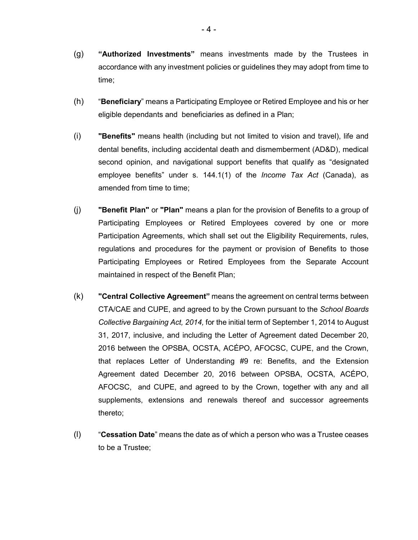- (g) **"Authorized Investments"** means investments made by the Trustees in accordance with any investment policies or guidelines they may adopt from time to time;
- (h) "**Beneficiary**" means a Participating Employee or Retired Employee and his or her eligible dependants and beneficiaries as defined in a Plan;
- (i) **"Benefits"** means health (including but not limited to vision and travel), life and dental benefits, including accidental death and dismemberment (AD&D), medical second opinion, and navigational support benefits that qualify as "designated employee benefits" under s. 144.1(1) of the *Income Tax Act* (Canada), as amended from time to time;
- (j) **"Benefit Plan"** or **"Plan"** means a plan for the provision of Benefits to a group of Participating Employees or Retired Employees covered by one or more Participation Agreements, which shall set out the Eligibility Requirements, rules, regulations and procedures for the payment or provision of Benefits to those Participating Employees or Retired Employees from the Separate Account maintained in respect of the Benefit Plan;
- (k) **"Central Collective Agreement"** means the agreement on central terms between CTA/CAE and CUPE, and agreed to by the Crown pursuant to the *School Boards Collective Bargaining Act, 2014,* for the initial term of September 1, 2014 to August 31, 2017, inclusive, and including the Letter of Agreement dated December 20, 2016 between the OPSBA, OCSTA, ACÉPO, AFOCSC, CUPE, and the Crown, that replaces Letter of Understanding #9 re: Benefits, and the Extension Agreement dated December 20, 2016 between OPSBA, OCSTA, ACÉPO, AFOCSC, and CUPE, and agreed to by the Crown, together with any and all supplements, extensions and renewals thereof and successor agreements thereto;
- (l) "**Cessation Date**" means the date as of which a person who was a Trustee ceases to be a Trustee;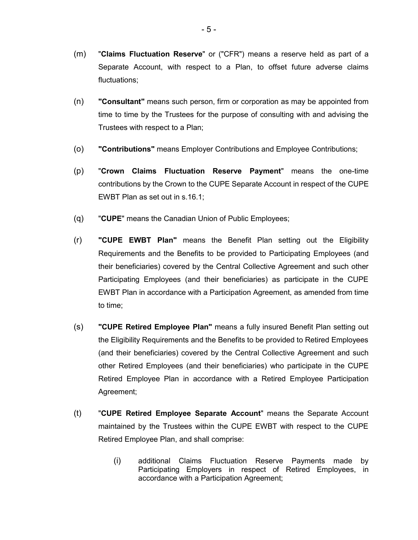- (m) "**Claims Fluctuation Reserve**" or ("CFR") means a reserve held as part of a Separate Account, with respect to a Plan, to offset future adverse claims fluctuations;
- (n) **"Consultant"** means such person, firm or corporation as may be appointed from time to time by the Trustees for the purpose of consulting with and advising the Trustees with respect to a Plan;
- (o) **"Contributions"** means Employer Contributions and Employee Contributions;
- (p) "**Crown Claims Fluctuation Reserve Payment**" means the one-time contributions by the Crown to the CUPE Separate Account in respect of the CUPE EWBT Plan as set out in s.16.1;
- (q) "**CUPE**" means the Canadian Union of Public Employees;
- (r) **"CUPE EWBT Plan"** means the Benefit Plan setting out the Eligibility Requirements and the Benefits to be provided to Participating Employees (and their beneficiaries) covered by the Central Collective Agreement and such other Participating Employees (and their beneficiaries) as participate in the CUPE EWBT Plan in accordance with a Participation Agreement, as amended from time to time;
- (s) **"CUPE Retired Employee Plan"** means a fully insured Benefit Plan setting out the Eligibility Requirements and the Benefits to be provided to Retired Employees (and their beneficiaries) covered by the Central Collective Agreement and such other Retired Employees (and their beneficiaries) who participate in the CUPE Retired Employee Plan in accordance with a Retired Employee Participation Agreement;
- (t) "**CUPE Retired Employee Separate Account**" means the Separate Account maintained by the Trustees within the CUPE EWBT with respect to the CUPE Retired Employee Plan, and shall comprise:
	- (i) additional Claims Fluctuation Reserve Payments made by Participating Employers in respect of Retired Employees, in accordance with a Participation Agreement;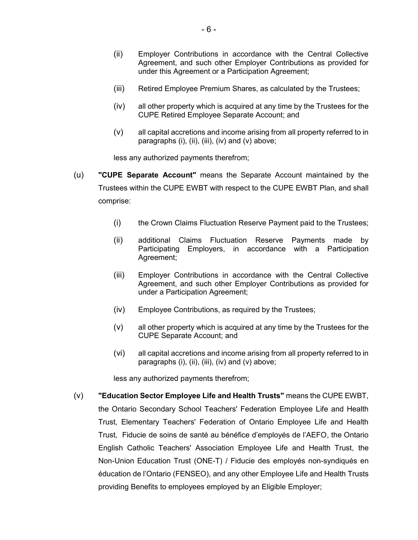- (ii) Employer Contributions in accordance with the Central Collective Agreement, and such other Employer Contributions as provided for under this Agreement or a Participation Agreement;
- (iii) Retired Employee Premium Shares, as calculated by the Trustees;
- (iv) all other property which is acquired at any time by the Trustees for the CUPE Retired Employee Separate Account; and
- (v) all capital accretions and income arising from all property referred to in paragraphs (i), (ii), (iii), (iv) and (v) above;

less any authorized payments therefrom;

- (u) **"CUPE Separate Account"** means the Separate Account maintained by the Trustees within the CUPE EWBT with respect to the CUPE EWBT Plan, and shall comprise:
	- (i) the Crown Claims Fluctuation Reserve Payment paid to the Trustees;
	- (ii) additional Claims Fluctuation Reserve Payments made by Participating Employers, in accordance with a Participation Agreement;
	- (iii) Employer Contributions in accordance with the Central Collective Agreement, and such other Employer Contributions as provided for under a Participation Agreement;
	- (iv) Employee Contributions, as required by the Trustees;
	- (v) all other property which is acquired at any time by the Trustees for the CUPE Separate Account; and
	- (vi) all capital accretions and income arising from all property referred to in paragraphs (i), (ii), (iii), (iv) and (v) above;

less any authorized payments therefrom;

(v) **"Education Sector Employee Life and Health Trusts"** means the CUPE EWBT, the Ontario Secondary School Teachers' Federation Employee Life and Health Trust, Elementary Teachers' Federation of Ontario Employee Life and Health Trust, Fiducie de soins de santé au bénéfice d'employés de l'AEFO, the Ontario English Catholic Teachers' Association Employee Life and Health Trust, the Non-Union Education Trust (ONE-T) / Fiducie des employés non-syndiqués en éducation de l'Ontario (FENSEO), and any other Employee Life and Health Trusts providing Benefits to employees employed by an Eligible Employer;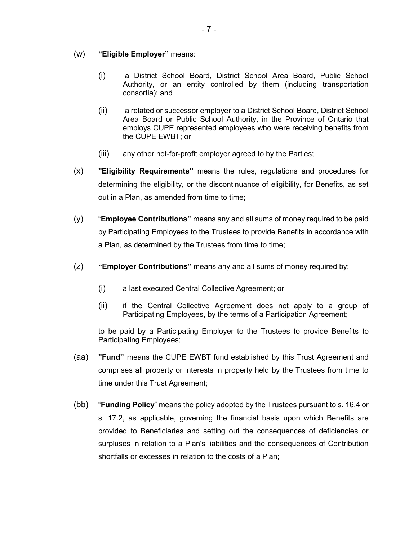- (w) **"Eligible Employer"** means:
	- (i) a District School Board, District School Area Board, Public School Authority, or an entity controlled by them (including transportation consortia); and
	- (ii) a related or successor employer to a District School Board, District School Area Board or Public School Authority, in the Province of Ontario that employs CUPE represented employees who were receiving benefits from the CUPE EWBT; or
	- (iii) any other not-for-profit employer agreed to by the Parties;
- (x) **"Eligibility Requirements"** means the rules, regulations and procedures for determining the eligibility, or the discontinuance of eligibility, for Benefits, as set out in a Plan, as amended from time to time;
- (y) "**Employee Contributions"** means any and all sums of money required to be paid by Participating Employees to the Trustees to provide Benefits in accordance with a Plan, as determined by the Trustees from time to time;
- (z) **"Employer Contributions"** means any and all sums of money required by:
	- (i) a last executed Central Collective Agreement; or
	- (ii) if the Central Collective Agreement does not apply to a group of Participating Employees, by the terms of a Participation Agreement;

to be paid by a Participating Employer to the Trustees to provide Benefits to Participating Employees;

- (aa) **"Fund"** means the CUPE EWBT fund established by this Trust Agreement and comprises all property or interests in property held by the Trustees from time to time under this Trust Agreement;
- (bb) "**Funding Policy**" means the policy adopted by the Trustees pursuant to s. 16.4 or s. 17.2, as applicable, governing the financial basis upon which Benefits are provided to Beneficiaries and setting out the consequences of deficiencies or surpluses in relation to a Plan's liabilities and the consequences of Contribution shortfalls or excesses in relation to the costs of a Plan;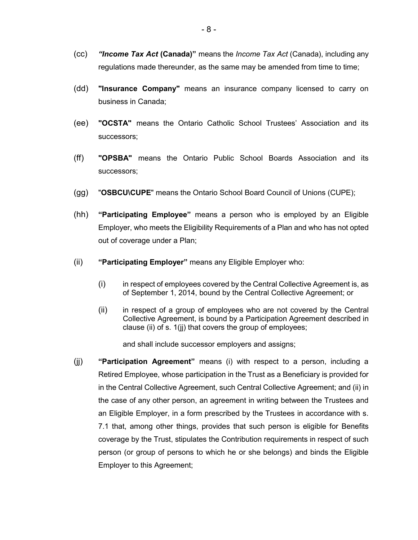- (cc) *"Income Tax Act* **(Canada)"** means the *Income Tax Act* (Canada), including any regulations made thereunder, as the same may be amended from time to time;
- (dd) **"Insurance Company"** means an insurance company licensed to carry on business in Canada;
- (ee) **"OCSTA"** means the Ontario Catholic School Trustees' Association and its successors;
- (ff) **"OPSBA"** means the Ontario Public School Boards Association and its successors;
- (gg) "**OSBCU\CUPE**" means the Ontario School Board Council of Unions (CUPE);
- (hh) **"Participating Employee"** means a person who is employed by an Eligible Employer, who meets the Eligibility Requirements of a Plan and who has not opted out of coverage under a Plan;
- (ii) **"Participating Employer"** means any Eligible Employer who:
	- (i) in respect of employees covered by the Central Collective Agreement is, as of September 1, 2014, bound by the Central Collective Agreement; or
	- (ii) in respect of a group of employees who are not covered by the Central Collective Agreement, is bound by a Participation Agreement described in clause (ii) of s. 1(jj) that covers the group of employees;

and shall include successor employers and assigns;

(jj) **"Participation Agreement"** means (i) with respect to a person, including a Retired Employee, whose participation in the Trust as a Beneficiary is provided for in the Central Collective Agreement, such Central Collective Agreement; and (ii) in the case of any other person, an agreement in writing between the Trustees and an Eligible Employer, in a form prescribed by the Trustees in accordance with s. 7.1 that, among other things, provides that such person is eligible for Benefits coverage by the Trust, stipulates the Contribution requirements in respect of such person (or group of persons to which he or she belongs) and binds the Eligible Employer to this Agreement;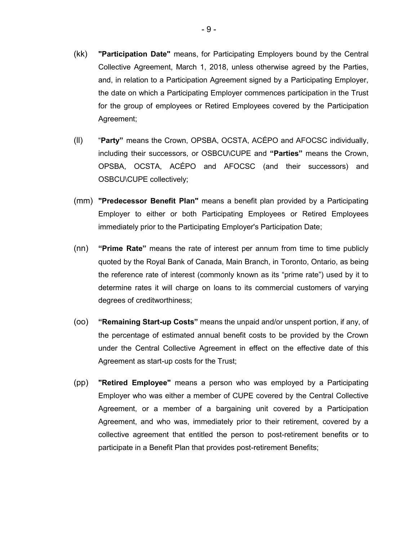- (kk) **"Participation Date"** means, for Participating Employers bound by the Central Collective Agreement, March 1, 2018, unless otherwise agreed by the Parties, and, in relation to a Participation Agreement signed by a Participating Employer, the date on which a Participating Employer commences participation in the Trust for the group of employees or Retired Employees covered by the Participation Agreement;
- (ll) "**Party"** means the Crown, OPSBA, OCSTA, ACÉPO and AFOCSC individually, including their successors, or OSBCU\CUPE and **"Parties"** means the Crown, OPSBA, OCSTA, ACÉPO and AFOCSC (and their successors) and OSBCU\CUPE collectively;
- (mm) **"Predecessor Benefit Plan"** means a benefit plan provided by a Participating Employer to either or both Participating Employees or Retired Employees immediately prior to the Participating Employer's Participation Date;
- (nn) **"Prime Rate"** means the rate of interest per annum from time to time publicly quoted by the Royal Bank of Canada, Main Branch, in Toronto, Ontario, as being the reference rate of interest (commonly known as its "prime rate") used by it to determine rates it will charge on loans to its commercial customers of varying degrees of creditworthiness;
- (oo) **"Remaining Start-up Costs"** means the unpaid and/or unspent portion, if any, of the percentage of estimated annual benefit costs to be provided by the Crown under the Central Collective Agreement in effect on the effective date of this Agreement as start-up costs for the Trust;
- (pp) **"Retired Employee"** means a person who was employed by a Participating Employer who was either a member of CUPE covered by the Central Collective Agreement, or a member of a bargaining unit covered by a Participation Agreement, and who was, immediately prior to their retirement, covered by a collective agreement that entitled the person to post-retirement benefits or to participate in a Benefit Plan that provides post-retirement Benefits;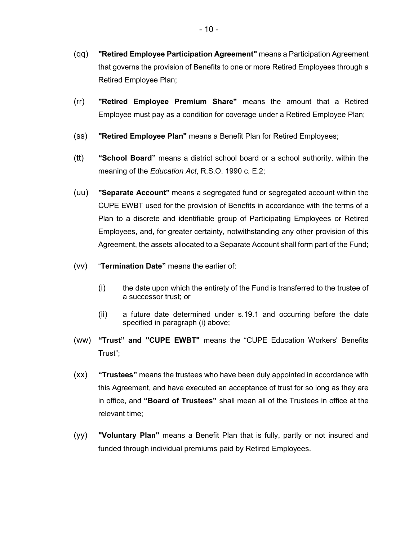- (qq) **"Retired Employee Participation Agreement"** means a Participation Agreement that governs the provision of Benefits to one or more Retired Employees through a Retired Employee Plan;
- (rr) **"Retired Employee Premium Share"** means the amount that a Retired Employee must pay as a condition for coverage under a Retired Employee Plan;
- (ss) **"Retired Employee Plan"** means a Benefit Plan for Retired Employees;
- (tt) **"School Board"** means a district school board or a school authority, within the meaning of the *Education Act*, R.S.O. 1990 c. E.2;
- (uu) **"Separate Account"** means a segregated fund or segregated account within the CUPE EWBT used for the provision of Benefits in accordance with the terms of a Plan to a discrete and identifiable group of Participating Employees or Retired Employees, and, for greater certainty, notwithstanding any other provision of this Agreement, the assets allocated to a Separate Account shall form part of the Fund;
- (vv) "**Termination Date"** means the earlier of:
	- (i) the date upon which the entirety of the Fund is transferred to the trustee of a successor trust; or
	- (ii) a future date determined under s.19.1 and occurring before the date specified in paragraph (i) above;
- (ww) **"Trust" and "CUPE EWBT"** means the "CUPE Education Workers' Benefits Trust";
- (xx) **"Trustees"** means the trustees who have been duly appointed in accordance with this Agreement, and have executed an acceptance of trust for so long as they are in office, and **"Board of Trustees"** shall mean all of the Trustees in office at the relevant time;
- (yy) **"Voluntary Plan"** means a Benefit Plan that is fully, partly or not insured and funded through individual premiums paid by Retired Employees.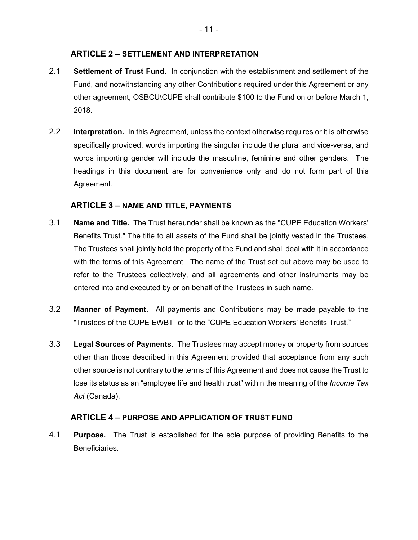## **ARTICLE 2 – SETTLEMENT AND INTERPRETATION**

- <span id="page-13-0"></span>2.1 **Settlement of Trust Fund**. In conjunction with the establishment and settlement of the Fund, and notwithstanding any other Contributions required under this Agreement or any other agreement, OSBCU\CUPE shall contribute \$100 to the Fund on or before March 1, 2018.
- 2.2 **Interpretation.** In this Agreement, unless the context otherwise requires or it is otherwise specifically provided, words importing the singular include the plural and vice-versa, and words importing gender will include the masculine, feminine and other genders. The headings in this document are for convenience only and do not form part of this Agreement.

## **ARTICLE 3 – NAME AND TITLE, PAYMENTS**

- <span id="page-13-1"></span>3.1 **Name and Title.** The Trust hereunder shall be known as the "CUPE Education Workers' Benefits Trust." The title to all assets of the Fund shall be jointly vested in the Trustees. The Trustees shall jointly hold the property of the Fund and shall deal with it in accordance with the terms of this Agreement. The name of the Trust set out above may be used to refer to the Trustees collectively, and all agreements and other instruments may be entered into and executed by or on behalf of the Trustees in such name.
- 3.2 **Manner of Payment.** All payments and Contributions may be made payable to the "Trustees of the CUPE EWBT" or to the "CUPE Education Workers' Benefits Trust."
- 3.3 **Legal Sources of Payments.** The Trustees may accept money or property from sources other than those described in this Agreement provided that acceptance from any such other source is not contrary to the terms of this Agreement and does not cause the Trust to lose its status as an "employee life and health trust" within the meaning of the *Income Tax Act* (Canada).

## **ARTICLE 4 – PURPOSE AND APPLICATION OF TRUST FUND**

<span id="page-13-2"></span>4.1 **Purpose.** The Trust is established for the sole purpose of providing Benefits to the **Beneficiaries**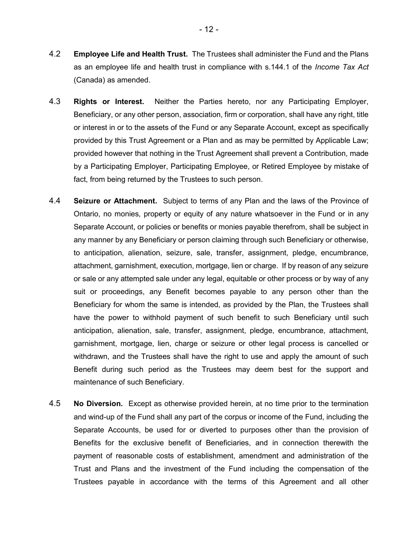- 4.3 **Rights or Interest.** Neither the Parties hereto, nor any Participating Employer, Beneficiary, or any other person, association, firm or corporation, shall have any right, title or interest in or to the assets of the Fund or any Separate Account, except as specifically provided by this Trust Agreement or a Plan and as may be permitted by Applicable Law; provided however that nothing in the Trust Agreement shall prevent a Contribution, made by a Participating Employer, Participating Employee, or Retired Employee by mistake of fact, from being returned by the Trustees to such person.
- 4.4 **Seizure or Attachment.** Subject to terms of any Plan and the laws of the Province of Ontario, no monies, property or equity of any nature whatsoever in the Fund or in any Separate Account, or policies or benefits or monies payable therefrom, shall be subject in any manner by any Beneficiary or person claiming through such Beneficiary or otherwise, to anticipation, alienation, seizure, sale, transfer, assignment, pledge, encumbrance, attachment, garnishment, execution, mortgage, lien or charge. If by reason of any seizure or sale or any attempted sale under any legal, equitable or other process or by way of any suit or proceedings, any Benefit becomes payable to any person other than the Beneficiary for whom the same is intended, as provided by the Plan, the Trustees shall have the power to withhold payment of such benefit to such Beneficiary until such anticipation, alienation, sale, transfer, assignment, pledge, encumbrance, attachment, garnishment, mortgage, lien, charge or seizure or other legal process is cancelled or withdrawn, and the Trustees shall have the right to use and apply the amount of such Benefit during such period as the Trustees may deem best for the support and maintenance of such Beneficiary.
- 4.5 **No Diversion.** Except as otherwise provided herein, at no time prior to the termination and wind-up of the Fund shall any part of the corpus or income of the Fund, including the Separate Accounts, be used for or diverted to purposes other than the provision of Benefits for the exclusive benefit of Beneficiaries, and in connection therewith the payment of reasonable costs of establishment, amendment and administration of the Trust and Plans and the investment of the Fund including the compensation of the Trustees payable in accordance with the terms of this Agreement and all other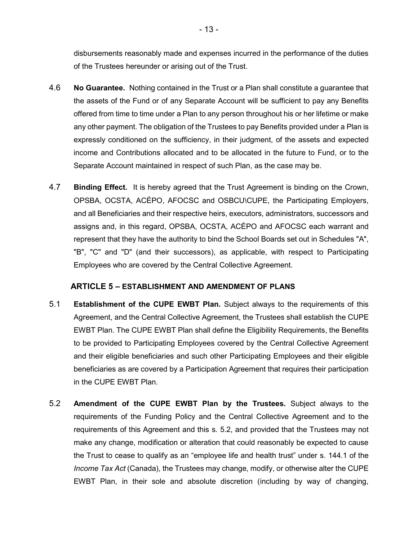disbursements reasonably made and expenses incurred in the performance of the duties of the Trustees hereunder or arising out of the Trust.

- 4.6 **No Guarantee.** Nothing contained in the Trust or a Plan shall constitute a guarantee that the assets of the Fund or of any Separate Account will be sufficient to pay any Benefits offered from time to time under a Plan to any person throughout his or her lifetime or make any other payment. The obligation of the Trustees to pay Benefits provided under a Plan is expressly conditioned on the sufficiency, in their judgment, of the assets and expected income and Contributions allocated and to be allocated in the future to Fund, or to the Separate Account maintained in respect of such Plan, as the case may be.
- 4.7 **Binding Effect.** It is hereby agreed that the Trust Agreement is binding on the Crown, OPSBA, OCSTA, ACÉPO, AFOCSC and OSBCU\CUPE, the Participating Employers, and all Beneficiaries and their respective heirs, executors, administrators, successors and assigns and, in this regard, OPSBA, OCSTA, ACÉPO and AFOCSC each warrant and represent that they have the authority to bind the School Boards set out in Schedules "A", "B", "C" and "D" (and their successors), as applicable, with respect to Participating Employees who are covered by the Central Collective Agreement.

### **ARTICLE 5 – ESTABLISHMENT AND AMENDMENT OF PLANS**

- <span id="page-15-0"></span>5.1 **Establishment of the CUPE EWBT Plan.** Subject always to the requirements of this Agreement, and the Central Collective Agreement, the Trustees shall establish the CUPE EWBT Plan. The CUPE EWBT Plan shall define the Eligibility Requirements, the Benefits to be provided to Participating Employees covered by the Central Collective Agreement and their eligible beneficiaries and such other Participating Employees and their eligible beneficiaries as are covered by a Participation Agreement that requires their participation in the CUPE EWBT Plan.
- 5.2 **Amendment of the CUPE EWBT Plan by the Trustees.** Subject always to the requirements of the Funding Policy and the Central Collective Agreement and to the requirements of this Agreement and this s. 5.2, and provided that the Trustees may not make any change, modification or alteration that could reasonably be expected to cause the Trust to cease to qualify as an "employee life and health trust" under s. 144.1 of the *Income Tax Act* (Canada), the Trustees may change, modify, or otherwise alter the CUPE EWBT Plan, in their sole and absolute discretion (including by way of changing,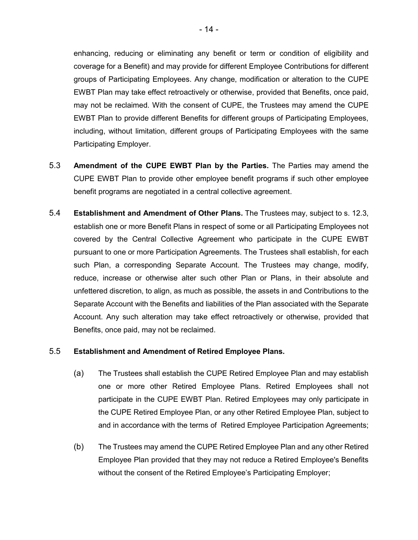enhancing, reducing or eliminating any benefit or term or condition of eligibility and coverage for a Benefit) and may provide for different Employee Contributions for different groups of Participating Employees. Any change, modification or alteration to the CUPE EWBT Plan may take effect retroactively or otherwise, provided that Benefits, once paid, may not be reclaimed. With the consent of CUPE, the Trustees may amend the CUPE EWBT Plan to provide different Benefits for different groups of Participating Employees, including, without limitation, different groups of Participating Employees with the same Participating Employer.

- 5.3 **Amendment of the CUPE EWBT Plan by the Parties.** The Parties may amend the CUPE EWBT Plan to provide other employee benefit programs if such other employee benefit programs are negotiated in a central collective agreement.
- 5.4 **Establishment and Amendment of Other Plans.** The Trustees may, subject to s. 12.3, establish one or more Benefit Plans in respect of some or all Participating Employees not covered by the Central Collective Agreement who participate in the CUPE EWBT pursuant to one or more Participation Agreements. The Trustees shall establish, for each such Plan, a corresponding Separate Account. The Trustees may change, modify, reduce, increase or otherwise alter such other Plan or Plans, in their absolute and unfettered discretion, to align, as much as possible, the assets in and Contributions to the Separate Account with the Benefits and liabilities of the Plan associated with the Separate Account. Any such alteration may take effect retroactively or otherwise, provided that Benefits, once paid, may not be reclaimed.

### 5.5 **Establishment and Amendment of Retired Employee Plans.**

- (a) The Trustees shall establish the CUPE Retired Employee Plan and may establish one or more other Retired Employee Plans. Retired Employees shall not participate in the CUPE EWBT Plan. Retired Employees may only participate in the CUPE Retired Employee Plan, or any other Retired Employee Plan, subject to and in accordance with the terms of Retired Employee Participation Agreements;
- (b) The Trustees may amend the CUPE Retired Employee Plan and any other Retired Employee Plan provided that they may not reduce a Retired Employee's Benefits without the consent of the Retired Employee's Participating Employer;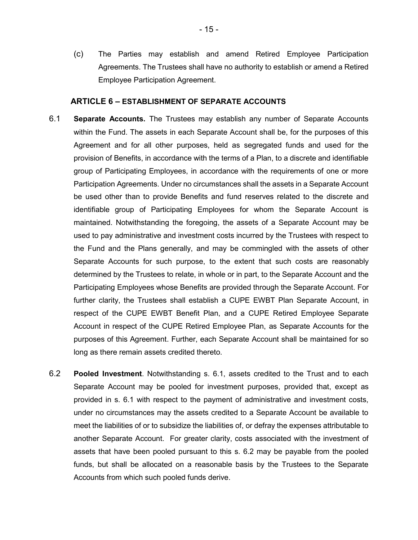(c) The Parties may establish and amend Retired Employee Participation Agreements. The Trustees shall have no authority to establish or amend a Retired Employee Participation Agreement.

#### **ARTICLE 6 – ESTABLISHMENT OF SEPARATE ACCOUNTS**

- <span id="page-17-0"></span>6.1 **Separate Accounts.** The Trustees may establish any number of Separate Accounts within the Fund. The assets in each Separate Account shall be, for the purposes of this Agreement and for all other purposes, held as segregated funds and used for the provision of Benefits, in accordance with the terms of a Plan, to a discrete and identifiable group of Participating Employees, in accordance with the requirements of one or more Participation Agreements. Under no circumstances shall the assets in a Separate Account be used other than to provide Benefits and fund reserves related to the discrete and identifiable group of Participating Employees for whom the Separate Account is maintained. Notwithstanding the foregoing, the assets of a Separate Account may be used to pay administrative and investment costs incurred by the Trustees with respect to the Fund and the Plans generally, and may be commingled with the assets of other Separate Accounts for such purpose, to the extent that such costs are reasonably determined by the Trustees to relate, in whole or in part, to the Separate Account and the Participating Employees whose Benefits are provided through the Separate Account. For further clarity, the Trustees shall establish a CUPE EWBT Plan Separate Account, in respect of the CUPE EWBT Benefit Plan, and a CUPE Retired Employee Separate Account in respect of the CUPE Retired Employee Plan, as Separate Accounts for the purposes of this Agreement. Further, each Separate Account shall be maintained for so long as there remain assets credited thereto.
- 6.2 **Pooled Investment**. Notwithstanding s. 6.1, assets credited to the Trust and to each Separate Account may be pooled for investment purposes, provided that, except as provided in s. 6.1 with respect to the payment of administrative and investment costs, under no circumstances may the assets credited to a Separate Account be available to meet the liabilities of or to subsidize the liabilities of, or defray the expenses attributable to another Separate Account. For greater clarity, costs associated with the investment of assets that have been pooled pursuant to this s. 6.2 may be payable from the pooled funds, but shall be allocated on a reasonable basis by the Trustees to the Separate Accounts from which such pooled funds derive.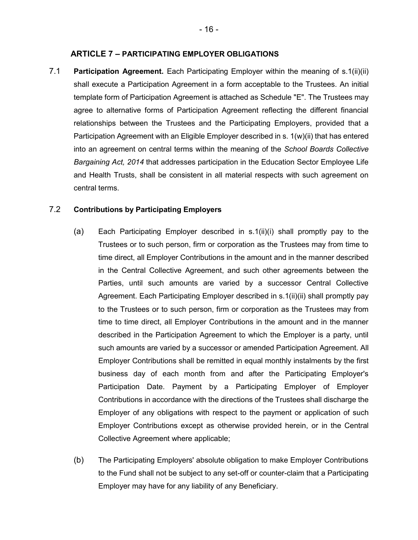#### **ARTICLE 7 – PARTICIPATING EMPLOYER OBLIGATIONS**

<span id="page-18-0"></span>7.1 **Participation Agreement.** Each Participating Employer within the meaning of s.1(ii)(ii) shall execute a Participation Agreement in a form acceptable to the Trustees. An initial template form of Participation Agreement is attached as Schedule "E". The Trustees may agree to alternative forms of Participation Agreement reflecting the different financial relationships between the Trustees and the Participating Employers, provided that a Participation Agreement with an Eligible Employer described in s. 1(w)(ii) that has entered into an agreement on central terms within the meaning of the *School Boards Collective Bargaining Act, 2014* that addresses participation in the Education Sector Employee Life and Health Trusts, shall be consistent in all material respects with such agreement on central terms.

### 7.2 **Contributions by Participating Employers**

- (a) Each Participating Employer described in s.1(ii)(i) shall promptly pay to the Trustees or to such person, firm or corporation as the Trustees may from time to time direct, all Employer Contributions in the amount and in the manner described in the Central Collective Agreement, and such other agreements between the Parties, until such amounts are varied by a successor Central Collective Agreement. Each Participating Employer described in s.1(ii)(ii) shall promptly pay to the Trustees or to such person, firm or corporation as the Trustees may from time to time direct, all Employer Contributions in the amount and in the manner described in the Participation Agreement to which the Employer is a party, until such amounts are varied by a successor or amended Participation Agreement. All Employer Contributions shall be remitted in equal monthly instalments by the first business day of each month from and after the Participating Employer's Participation Date. Payment by a Participating Employer of Employer Contributions in accordance with the directions of the Trustees shall discharge the Employer of any obligations with respect to the payment or application of such Employer Contributions except as otherwise provided herein, or in the Central Collective Agreement where applicable;
- (b) The Participating Employers' absolute obligation to make Employer Contributions to the Fund shall not be subject to any set-off or counter-claim that a Participating Employer may have for any liability of any Beneficiary.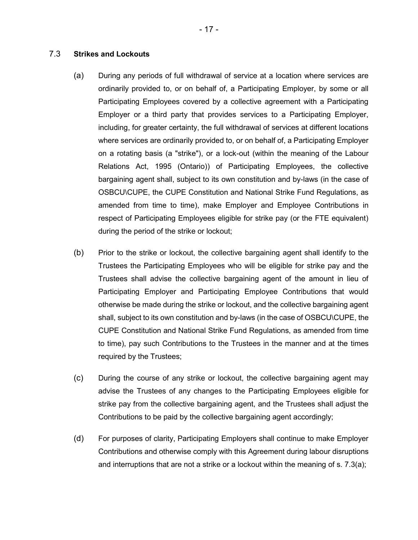## 7.3 **Strikes and Lockouts**

- (a) During any periods of full withdrawal of service at a location where services are ordinarily provided to, or on behalf of, a Participating Employer, by some or all Participating Employees covered by a collective agreement with a Participating Employer or a third party that provides services to a Participating Employer, including, for greater certainty, the full withdrawal of services at different locations where services are ordinarily provided to, or on behalf of, a Participating Employer on a rotating basis (a "strike"), or a lock-out (within the meaning of the Labour Relations Act, 1995 (Ontario)) of Participating Employees, the collective bargaining agent shall, subject to its own constitution and by-laws (in the case of OSBCU\CUPE, the CUPE Constitution and National Strike Fund Regulations, as amended from time to time), make Employer and Employee Contributions in respect of Participating Employees eligible for strike pay (or the FTE equivalent) during the period of the strike or lockout;
- (b) Prior to the strike or lockout, the collective bargaining agent shall identify to the Trustees the Participating Employees who will be eligible for strike pay and the Trustees shall advise the collective bargaining agent of the amount in lieu of Participating Employer and Participating Employee Contributions that would otherwise be made during the strike or lockout, and the collective bargaining agent shall, subject to its own constitution and by-laws (in the case of OSBCU\CUPE, the CUPE Constitution and National Strike Fund Regulations, as amended from time to time), pay such Contributions to the Trustees in the manner and at the times required by the Trustees;
- (c) During the course of any strike or lockout, the collective bargaining agent may advise the Trustees of any changes to the Participating Employees eligible for strike pay from the collective bargaining agent, and the Trustees shall adjust the Contributions to be paid by the collective bargaining agent accordingly;
- (d) For purposes of clarity, Participating Employers shall continue to make Employer Contributions and otherwise comply with this Agreement during labour disruptions and interruptions that are not a strike or a lockout within the meaning of s. 7.3(a);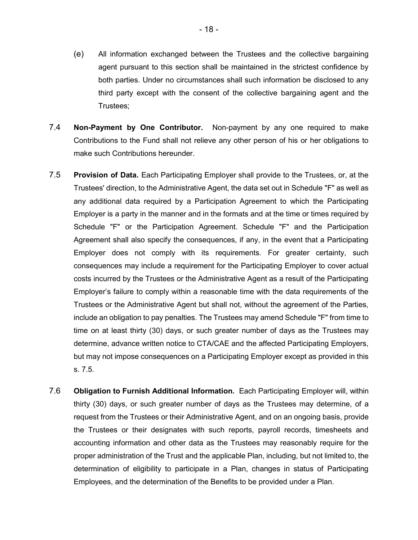- (e) All information exchanged between the Trustees and the collective bargaining agent pursuant to this section shall be maintained in the strictest confidence by both parties. Under no circumstances shall such information be disclosed to any third party except with the consent of the collective bargaining agent and the Trustees;
- 7.4 **Non-Payment by One Contributor.** Non-payment by any one required to make Contributions to the Fund shall not relieve any other person of his or her obligations to make such Contributions hereunder.
- 7.5 **Provision of Data.** Each Participating Employer shall provide to the Trustees, or, at the Trustees' direction, to the Administrative Agent, the data set out in Schedule "F" as well as any additional data required by a Participation Agreement to which the Participating Employer is a party in the manner and in the formats and at the time or times required by Schedule "F" or the Participation Agreement. Schedule "F" and the Participation Agreement shall also specify the consequences, if any, in the event that a Participating Employer does not comply with its requirements. For greater certainty, such consequences may include a requirement for the Participating Employer to cover actual costs incurred by the Trustees or the Administrative Agent as a result of the Participating Employer's failure to comply within a reasonable time with the data requirements of the Trustees or the Administrative Agent but shall not, without the agreement of the Parties, include an obligation to pay penalties. The Trustees may amend Schedule "F" from time to time on at least thirty (30) days, or such greater number of days as the Trustees may determine, advance written notice to CTA/CAE and the affected Participating Employers, but may not impose consequences on a Participating Employer except as provided in this s. 7.5.
- 7.6 **Obligation to Furnish Additional Information.** Each Participating Employer will, within thirty (30) days, or such greater number of days as the Trustees may determine, of a request from the Trustees or their Administrative Agent, and on an ongoing basis, provide the Trustees or their designates with such reports, payroll records, timesheets and accounting information and other data as the Trustees may reasonably require for the proper administration of the Trust and the applicable Plan, including, but not limited to, the determination of eligibility to participate in a Plan, changes in status of Participating Employees, and the determination of the Benefits to be provided under a Plan.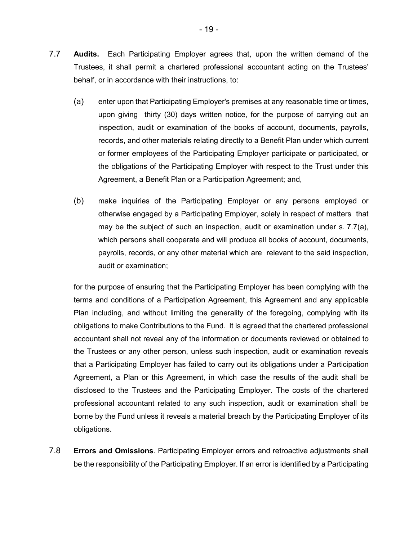- (a) enter upon that Participating Employer's premises at any reasonable time or times, upon giving thirty (30) days written notice, for the purpose of carrying out an inspection, audit or examination of the books of account, documents, payrolls, records, and other materials relating directly to a Benefit Plan under which current or former employees of the Participating Employer participate or participated, or the obligations of the Participating Employer with respect to the Trust under this Agreement, a Benefit Plan or a Participation Agreement; and,
- (b) make inquiries of the Participating Employer or any persons employed or otherwise engaged by a Participating Employer, solely in respect of matters that may be the subject of such an inspection, audit or examination under s. 7.7(a), which persons shall cooperate and will produce all books of account, documents, payrolls, records, or any other material which are relevant to the said inspection, audit or examination;

for the purpose of ensuring that the Participating Employer has been complying with the terms and conditions of a Participation Agreement, this Agreement and any applicable Plan including, and without limiting the generality of the foregoing, complying with its obligations to make Contributions to the Fund. It is agreed that the chartered professional accountant shall not reveal any of the information or documents reviewed or obtained to the Trustees or any other person, unless such inspection, audit or examination reveals that a Participating Employer has failed to carry out its obligations under a Participation Agreement, a Plan or this Agreement, in which case the results of the audit shall be disclosed to the Trustees and the Participating Employer. The costs of the chartered professional accountant related to any such inspection, audit or examination shall be borne by the Fund unless it reveals a material breach by the Participating Employer of its obligations.

7.8 **Errors and Omissions**. Participating Employer errors and retroactive adjustments shall be the responsibility of the Participating Employer. If an error is identified by a Participating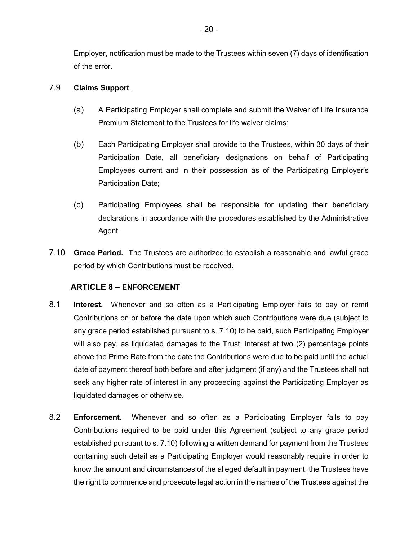Employer, notification must be made to the Trustees within seven (7) days of identification of the error.

### 7.9 **Claims Support**.

- (a) A Participating Employer shall complete and submit the Waiver of Life Insurance Premium Statement to the Trustees for life waiver claims;
- (b) Each Participating Employer shall provide to the Trustees, within 30 days of their Participation Date, all beneficiary designations on behalf of Participating Employees current and in their possession as of the Participating Employer's Participation Date;
- (c) Participating Employees shall be responsible for updating their beneficiary declarations in accordance with the procedures established by the Administrative Agent.
- 7.10 **Grace Period.** The Trustees are authorized to establish a reasonable and lawful grace period by which Contributions must be received.

# **ARTICLE 8 – ENFORCEMENT**

- <span id="page-22-0"></span>8.1 **Interest.** Whenever and so often as a Participating Employer fails to pay or remit Contributions on or before the date upon which such Contributions were due (subject to any grace period established pursuant to s. 7.10) to be paid, such Participating Employer will also pay, as liquidated damages to the Trust, interest at two (2) percentage points above the Prime Rate from the date the Contributions were due to be paid until the actual date of payment thereof both before and after judgment (if any) and the Trustees shall not seek any higher rate of interest in any proceeding against the Participating Employer as liquidated damages or otherwise.
- 8.2 **Enforcement.** Whenever and so often as a Participating Employer fails to pay Contributions required to be paid under this Agreement (subject to any grace period established pursuant to s. 7.10) following a written demand for payment from the Trustees containing such detail as a Participating Employer would reasonably require in order to know the amount and circumstances of the alleged default in payment, the Trustees have the right to commence and prosecute legal action in the names of the Trustees against the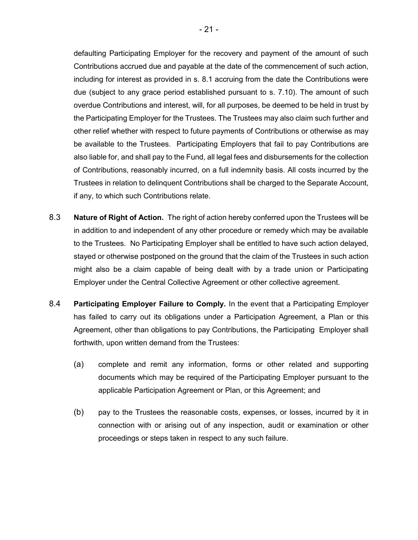defaulting Participating Employer for the recovery and payment of the amount of such Contributions accrued due and payable at the date of the commencement of such action, including for interest as provided in s. 8.1 accruing from the date the Contributions were due (subject to any grace period established pursuant to s. 7.10). The amount of such overdue Contributions and interest, will, for all purposes, be deemed to be held in trust by the Participating Employer for the Trustees. The Trustees may also claim such further and other relief whether with respect to future payments of Contributions or otherwise as may be available to the Trustees. Participating Employers that fail to pay Contributions are also liable for, and shall pay to the Fund, all legal fees and disbursements for the collection of Contributions, reasonably incurred, on a full indemnity basis. All costs incurred by the Trustees in relation to delinquent Contributions shall be charged to the Separate Account, if any, to which such Contributions relate.

- 8.3 **Nature of Right of Action.** The right of action hereby conferred upon the Trustees will be in addition to and independent of any other procedure or remedy which may be available to the Trustees. No Participating Employer shall be entitled to have such action delayed, stayed or otherwise postponed on the ground that the claim of the Trustees in such action might also be a claim capable of being dealt with by a trade union or Participating Employer under the Central Collective Agreement or other collective agreement.
- 8.4 **Participating Employer Failure to Comply.** In the event that a Participating Employer has failed to carry out its obligations under a Participation Agreement, a Plan or this Agreement, other than obligations to pay Contributions, the Participating Employer shall forthwith, upon written demand from the Trustees:
	- (a) complete and remit any information, forms or other related and supporting documents which may be required of the Participating Employer pursuant to the applicable Participation Agreement or Plan, or this Agreement; and
	- (b) pay to the Trustees the reasonable costs, expenses, or losses, incurred by it in connection with or arising out of any inspection, audit or examination or other proceedings or steps taken in respect to any such failure.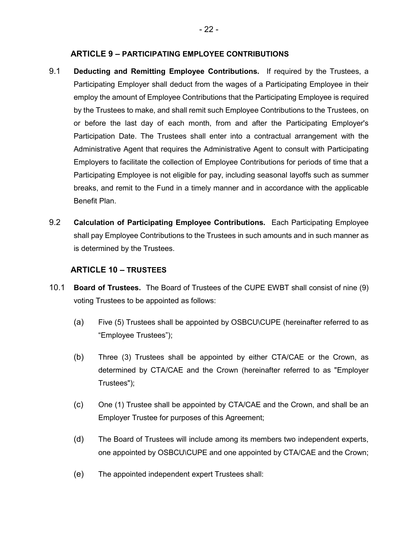### **ARTICLE 9 – PARTICIPATING EMPLOYEE CONTRIBUTIONS**

- <span id="page-24-0"></span>9.1 **Deducting and Remitting Employee Contributions.** If required by the Trustees, a Participating Employer shall deduct from the wages of a Participating Employee in their employ the amount of Employee Contributions that the Participating Employee is required by the Trustees to make, and shall remit such Employee Contributions to the Trustees, on or before the last day of each month, from and after the Participating Employer's Participation Date. The Trustees shall enter into a contractual arrangement with the Administrative Agent that requires the Administrative Agent to consult with Participating Employers to facilitate the collection of Employee Contributions for periods of time that a Participating Employee is not eligible for pay, including seasonal layoffs such as summer breaks, and remit to the Fund in a timely manner and in accordance with the applicable Benefit Plan.
- 9.2 **Calculation of Participating Employee Contributions.** Each Participating Employee shall pay Employee Contributions to the Trustees in such amounts and in such manner as is determined by the Trustees.

### **ARTICLE 10 – TRUSTEES**

- <span id="page-24-1"></span>10.1 **Board of Trustees.** The Board of Trustees of the CUPE EWBT shall consist of nine (9) voting Trustees to be appointed as follows:
	- (a) Five (5) Trustees shall be appointed by OSBCU\CUPE (hereinafter referred to as "Employee Trustees");
	- (b) Three (3) Trustees shall be appointed by either CTA/CAE or the Crown, as determined by CTA/CAE and the Crown (hereinafter referred to as "Employer Trustees");
	- (c) One (1) Trustee shall be appointed by CTA/CAE and the Crown, and shall be an Employer Trustee for purposes of this Agreement;
	- (d) The Board of Trustees will include among its members two independent experts, one appointed by OSBCU\CUPE and one appointed by CTA/CAE and the Crown;
	- (e) The appointed independent expert Trustees shall: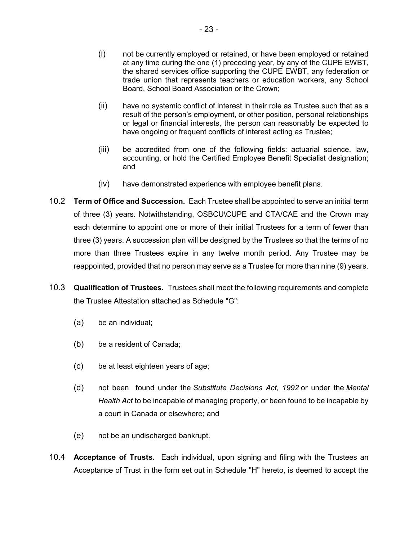- (ii) have no systemic conflict of interest in their role as Trustee such that as a result of the person's employment, or other position, personal relationships or legal or financial interests, the person can reasonably be expected to have ongoing or frequent conflicts of interest acting as Trustee;
- (iii) be accredited from one of the following fields: actuarial science, law, accounting, or hold the Certified Employee Benefit Specialist designation; and
- (iv) have demonstrated experience with employee benefit plans.
- 10.2 **Term of Office and Succession.** Each Trustee shall be appointed to serve an initial term of three (3) years. Notwithstanding, OSBCU\CUPE and CTA/CAE and the Crown may each determine to appoint one or more of their initial Trustees for a term of fewer than three (3) years. A succession plan will be designed by the Trustees so that the terms of no more than three Trustees expire in any twelve month period. Any Trustee may be reappointed, provided that no person may serve as a Trustee for more than nine (9) years.
- 10.3 **Qualification of Trustees.** Trustees shall meet the following requirements and complete the Trustee Attestation attached as Schedule "G":
	- (a) be an individual;
	- (b) be a resident of Canada;
	- (c) be at least eighteen years of age;
	- (d) not been found under the *[Substitute Decisions Act, 1992](http://www.canlii.org/en/on/laws/stat/so-1992-c-30/latest/so-1992-c-30.html#_blank)* or under the *[Mental](http://www.canlii.org/en/on/laws/stat/rso-1990-c-m7/latest/rso-1990-c-m7.html#_blank)  [Health Act](http://www.canlii.org/en/on/laws/stat/rso-1990-c-m7/latest/rso-1990-c-m7.html#_blank)* to be incapable of managing property, or been found to be incapable by a court in Canada or elsewhere; and
	- (e) not be an undischarged bankrupt.
- 10.4 **Acceptance of Trusts.** Each individual, upon signing and filing with the Trustees an Acceptance of Trust in the form set out in Schedule "H" hereto, is deemed to accept the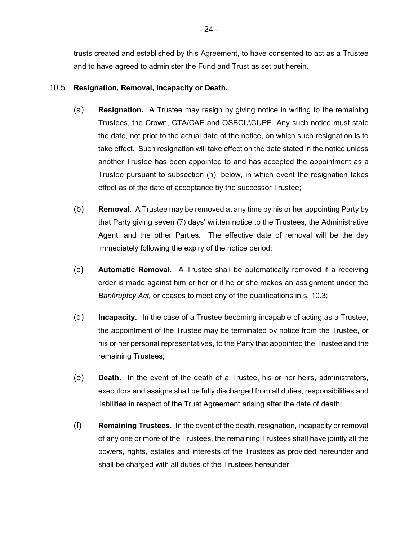trusts created and established by this Agreement, to have consented to act as a Trustee and to have agreed to administer the Fund and Trust as set out herein.

### 10.5 **Resignation, Removal, Incapacity or Death.**

- (a) **Resignation.** A Trustee may resign by giving notice in writing to the remaining Trustees, the Crown, CTA/CAE and OSBCU\CUPE. Any such notice must state the date, not prior to the actual date of the notice, on which such resignation is to take effect. Such resignation will take effect on the date stated in the notice unless another Trustee has been appointed to and has accepted the appointment as a Trustee pursuant to subsection (h), below, in which event the resignation takes effect as of the date of acceptance by the successor Trustee;
- (b) **Removal.** A Trustee may be removed at any time by his or her appointing Party by that Party giving seven (7) days' written notice to the Trustees, the Administrative Agent, and the other Parties. The effective date of removal will be the day immediately following the expiry of the notice period;
- (c) **Automatic Removal.** A Trustee shall be automatically removed if a receiving order is made against him or her or if he or she makes an assignment under the *Bankruptcy Act,* or ceases to meet any of the qualifications in s. 10.3;
- (d) **Incapacity.** In the case of a Trustee becoming incapable of acting as a Trustee, the appointment of the Trustee may be terminated by notice from the Trustee, or his or her personal representatives, to the Party that appointed the Trustee and the remaining Trustees;
- (e) **Death.** In the event of the death of a Trustee, his or her heirs, administrators, executors and assigns shall be fully discharged from all duties, responsibilities and liabilities in respect of the Trust Agreement arising after the date of death;
- (f) **Remaining Trustees.** In the event of the death, resignation, incapacity or removal of any one or more of the Trustees, the remaining Trustees shall have jointly all the powers, rights, estates and interests of the Trustees as provided hereunder and shall be charged with all duties of the Trustees hereunder;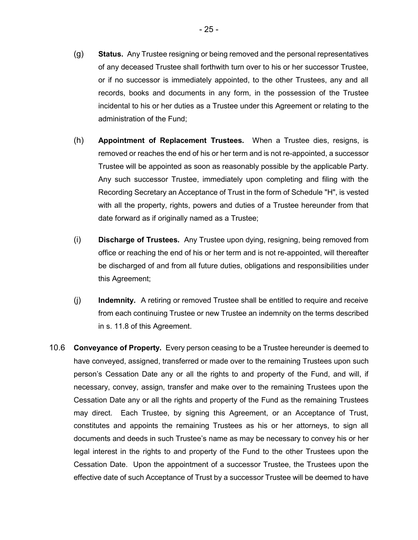- (g) **Status.** Any Trustee resigning or being removed and the personal representatives of any deceased Trustee shall forthwith turn over to his or her successor Trustee, or if no successor is immediately appointed, to the other Trustees, any and all records, books and documents in any form, in the possession of the Trustee incidental to his or her duties as a Trustee under this Agreement or relating to the administration of the Fund;
- (h) **Appointment of Replacement Trustees.** When a Trustee dies, resigns, is removed or reaches the end of his or her term and is not re-appointed, a successor Trustee will be appointed as soon as reasonably possible by the applicable Party. Any such successor Trustee, immediately upon completing and filing with the Recording Secretary an Acceptance of Trust in the form of Schedule "H", is vested with all the property, rights, powers and duties of a Trustee hereunder from that date forward as if originally named as a Trustee;
- (i) **Discharge of Trustees.** Any Trustee upon dying, resigning, being removed from office or reaching the end of his or her term and is not re-appointed, will thereafter be discharged of and from all future duties, obligations and responsibilities under this Agreement;
- (j) **Indemnity.** A retiring or removed Trustee shall be entitled to require and receive from each continuing Trustee or new Trustee an indemnity on the terms described in s. 11.8 of this Agreement.
- 10.6 **Conveyance of Property.** Every person ceasing to be a Trustee hereunder is deemed to have conveyed, assigned, transferred or made over to the remaining Trustees upon such person's Cessation Date any or all the rights to and property of the Fund, and will, if necessary, convey, assign, transfer and make over to the remaining Trustees upon the Cessation Date any or all the rights and property of the Fund as the remaining Trustees may direct. Each Trustee, by signing this Agreement, or an Acceptance of Trust, constitutes and appoints the remaining Trustees as his or her attorneys, to sign all documents and deeds in such Trustee's name as may be necessary to convey his or her legal interest in the rights to and property of the Fund to the other Trustees upon the Cessation Date. Upon the appointment of a successor Trustee, the Trustees upon the effective date of such Acceptance of Trust by a successor Trustee will be deemed to have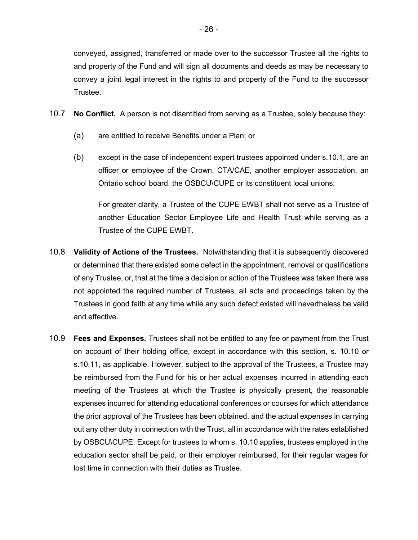conveyed, assigned, transferred or made over to the successor Trustee all the rights to and property of the Fund and will sign all documents and deeds as may be necessary to convey a joint legal interest in the rights to and property of the Fund to the successor Trustee.

- 10.7 **No Conflict.** A person is not disentitled from serving as a Trustee, solely because they:
	- (a) are entitled to receive Benefits under a Plan; or
	- (b) except in the case of independent expert trustees appointed under s.10.1, are an officer or employee of the Crown, CTA/CAE, another employer association, an Ontario school board, the OSBCU\CUPE or its constituent local unions;

For greater clarity, a Trustee of the CUPE EWBT shall not serve as a Trustee of another Education Sector Employee Life and Health Trust while serving as a Trustee of the CUPE EWBT.

- 10.8 **Validity of Actions of the Trustees.** Notwithstanding that it is subsequently discovered or determined that there existed some defect in the appointment, removal or qualifications of any Trustee, or, that at the time a decision or action of the Trustees was taken there was not appointed the required number of Trustees, all acts and proceedings taken by the Trustees in good faith at any time while any such defect existed will nevertheless be valid and effective.
- 10.9 **Fees and Expenses.** Trustees shall not be entitled to any fee or payment from the Trust on account of their holding office, except in accordance with this section, s. 10.10 or s.10.11, as applicable. However, subject to the approval of the Trustees, a Trustee may be reimbursed from the Fund for his or her actual expenses incurred in attending each meeting of the Trustees at which the Trustee is physically present, the reasonable expenses incurred for attending educational conferences or courses for which attendance the prior approval of the Trustees has been obtained, and the actual expenses in carrying out any other duty in connection with the Trust, all in accordance with the rates established by OSBCU\CUPE. Except for trustees to whom s. 10.10 applies, trustees employed in the education sector shall be paid, or their employer reimbursed, for their regular wages for lost time in connection with their duties as Trustee.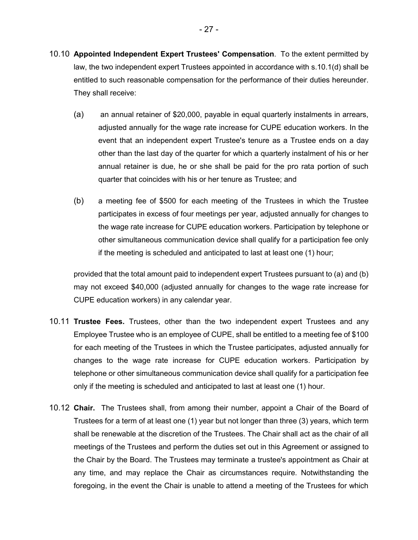- 10.10 **Appointed Independent Expert Trustees' Compensation**. To the extent permitted by law, the two independent expert Trustees appointed in accordance with s.10.1(d) shall be entitled to such reasonable compensation for the performance of their duties hereunder. They shall receive:
	- (a) an annual retainer of \$20,000, payable in equal quarterly instalments in arrears, adjusted annually for the wage rate increase for CUPE education workers. In the event that an independent expert Trustee's tenure as a Trustee ends on a day other than the last day of the quarter for which a quarterly instalment of his or her annual retainer is due, he or she shall be paid for the pro rata portion of such quarter that coincides with his or her tenure as Trustee; and
	- (b) a meeting fee of \$500 for each meeting of the Trustees in which the Trustee participates in excess of four meetings per year, adjusted annually for changes to the wage rate increase for CUPE education workers. Participation by telephone or other simultaneous communication device shall qualify for a participation fee only if the meeting is scheduled and anticipated to last at least one (1) hour;

provided that the total amount paid to independent expert Trustees pursuant to (a) and (b) may not exceed \$40,000 (adjusted annually for changes to the wage rate increase for CUPE education workers) in any calendar year.

- 10.11 **Trustee Fees.** Trustees, other than the two independent expert Trustees and any Employee Trustee who is an employee of CUPE, shall be entitled to a meeting fee of \$100 for each meeting of the Trustees in which the Trustee participates, adjusted annually for changes to the wage rate increase for CUPE education workers. Participation by telephone or other simultaneous communication device shall qualify for a participation fee only if the meeting is scheduled and anticipated to last at least one (1) hour.
- 10.12 **Chair.** The Trustees shall, from among their number, appoint a Chair of the Board of Trustees for a term of at least one (1) year but not longer than three (3) years, which term shall be renewable at the discretion of the Trustees. The Chair shall act as the chair of all meetings of the Trustees and perform the duties set out in this Agreement or assigned to the Chair by the Board. The Trustees may terminate a trustee's appointment as Chair at any time, and may replace the Chair as circumstances require. Notwithstanding the foregoing, in the event the Chair is unable to attend a meeting of the Trustees for which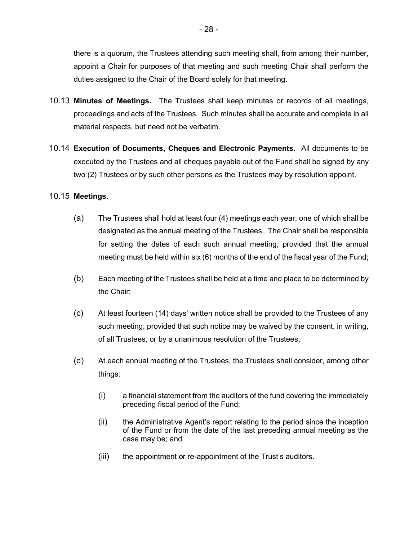there is a quorum, the Trustees attending such meeting shall, from among their number, appoint a Chair for purposes of that meeting and such meeting Chair shall perform the duties assigned to the Chair of the Board solely for that meeting.

- 10.13 **Minutes of Meetings.** The Trustees shall keep minutes or records of all meetings, proceedings and acts of the Trustees. Such minutes shall be accurate and complete in all material respects, but need not be verbatim.
- 10.14 **Execution of Documents, Cheques and Electronic Payments.** All documents to be executed by the Trustees and all cheques payable out of the Fund shall be signed by any two (2) Trustees or by such other persons as the Trustees may by resolution appoint.

### 10.15 **Meetings.**

- (a) The Trustees shall hold at least four (4) meetings each year, one of which shall be designated as the annual meeting of the Trustees. The Chair shall be responsible for setting the dates of each such annual meeting, provided that the annual meeting must be held within six (6) months of the end of the fiscal year of the Fund;
- (b) Each meeting of the Trustees shall be held at a time and place to be determined by the Chair;
- (c) At least fourteen (14) days' written notice shall be provided to the Trustees of any such meeting, provided that such notice may be waived by the consent, in writing, of all Trustees, or by a unanimous resolution of the Trustees;
- (d) At each annual meeting of the Trustees, the Trustees shall consider, among other things:
	- (i) a financial statement from the auditors of the fund covering the immediately preceding fiscal period of the Fund;
	- (ii) the Administrative Agent's report relating to the period since the inception of the Fund or from the date of the last preceding annual meeting as the case may be; and
	- (iii) the appointment or re-appointment of the Trust's auditors.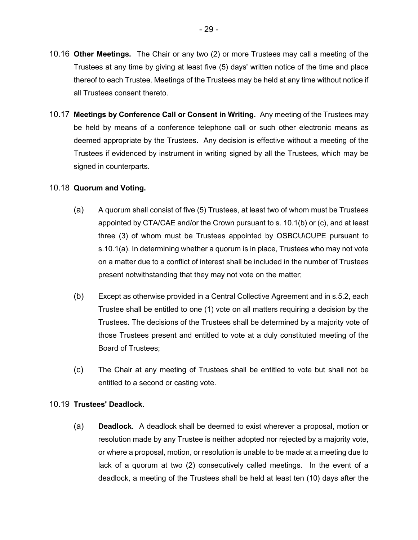- 10.16 **Other Meetings.** The Chair or any two (2) or more Trustees may call a meeting of the Trustees at any time by giving at least five (5) days' written notice of the time and place thereof to each Trustee. Meetings of the Trustees may be held at any time without notice if all Trustees consent thereto.
- 10.17 **Meetings by Conference Call or Consent in Writing.** Any meeting of the Trustees may be held by means of a conference telephone call or such other electronic means as deemed appropriate by the Trustees. Any decision is effective without a meeting of the Trustees if evidenced by instrument in writing signed by all the Trustees, which may be signed in counterparts.

#### 10.18 **Quorum and Voting.**

- (a) A quorum shall consist of five (5) Trustees, at least two of whom must be Trustees appointed by CTA/CAE and/or the Crown pursuant to s. 10.1(b) or (c), and at least three (3) of whom must be Trustees appointed by OSBCU\CUPE pursuant to s.10.1(a). In determining whether a quorum is in place, Trustees who may not vote on a matter due to a conflict of interest shall be included in the number of Trustees present notwithstanding that they may not vote on the matter;
- (b) Except as otherwise provided in a Central Collective Agreement and in s.5.2, each Trustee shall be entitled to one (1) vote on all matters requiring a decision by the Trustees. The decisions of the Trustees shall be determined by a majority vote of those Trustees present and entitled to vote at a duly constituted meeting of the Board of Trustees;
- (c) The Chair at any meeting of Trustees shall be entitled to vote but shall not be entitled to a second or casting vote.

#### 10.19 **Trustees' Deadlock.**

(a) **Deadlock.** A deadlock shall be deemed to exist wherever a proposal, motion or resolution made by any Trustee is neither adopted nor rejected by a majority vote, or where a proposal, motion, or resolution is unable to be made at a meeting due to lack of a quorum at two (2) consecutively called meetings. In the event of a deadlock, a meeting of the Trustees shall be held at least ten (10) days after the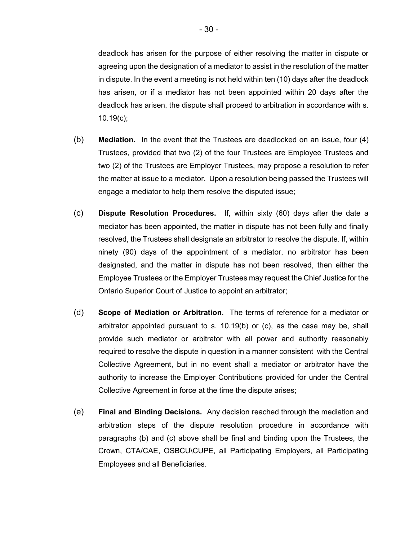deadlock has arisen for the purpose of either resolving the matter in dispute or agreeing upon the designation of a mediator to assist in the resolution of the matter in dispute. In the event a meeting is not held within ten (10) days after the deadlock has arisen, or if a mediator has not been appointed within 20 days after the deadlock has arisen, the dispute shall proceed to arbitration in accordance with s. 10.19(c);

- (b) **Mediation.** In the event that the Trustees are deadlocked on an issue, four (4) Trustees, provided that two (2) of the four Trustees are Employee Trustees and two (2) of the Trustees are Employer Trustees, may propose a resolution to refer the matter at issue to a mediator. Upon a resolution being passed the Trustees will engage a mediator to help them resolve the disputed issue;
- (c) **Dispute Resolution Procedures.** If, within sixty (60) days after the date a mediator has been appointed, the matter in dispute has not been fully and finally resolved, the Trustees shall designate an arbitrator to resolve the dispute. If, within ninety (90) days of the appointment of a mediator, no arbitrator has been designated, and the matter in dispute has not been resolved, then either the Employee Trustees or the Employer Trustees may request the Chief Justice for the Ontario Superior Court of Justice to appoint an arbitrator;
- (d) **Scope of Mediation or Arbitration**. The terms of reference for a mediator or arbitrator appointed pursuant to s. 10.19(b) or (c), as the case may be, shall provide such mediator or arbitrator with all power and authority reasonably required to resolve the dispute in question in a manner consistent with the Central Collective Agreement, but in no event shall a mediator or arbitrator have the authority to increase the Employer Contributions provided for under the Central Collective Agreement in force at the time the dispute arises;
- (e) **Final and Binding Decisions.** Any decision reached through the mediation and arbitration steps of the dispute resolution procedure in accordance with paragraphs (b) and (c) above shall be final and binding upon the Trustees, the Crown, CTA/CAE, OSBCU\CUPE, all Participating Employers, all Participating Employees and all Beneficiaries.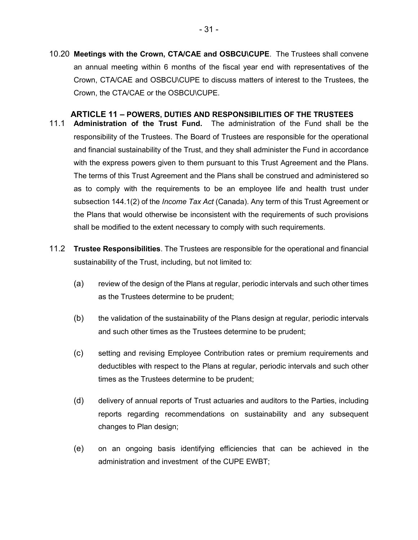10.20 **Meetings with the Crown, CTA/CAE and OSBCU\CUPE**. The Trustees shall convene an annual meeting within 6 months of the fiscal year end with representatives of the Crown, CTA/CAE and OSBCU\CUPE to discuss matters of interest to the Trustees, the Crown, the CTA/CAE or the OSBCU\CUPE.

### **ARTICLE 11 – POWERS, DUTIES AND RESPONSIBILITIES OF THE TRUSTEES**

- <span id="page-33-0"></span>11.1 **Administration of the Trust Fund.** The administration of the Fund shall be the responsibility of the Trustees. The Board of Trustees are responsible for the operational and financial sustainability of the Trust, and they shall administer the Fund in accordance with the express powers given to them pursuant to this Trust Agreement and the Plans. The terms of this Trust Agreement and the Plans shall be construed and administered so as to comply with the requirements to be an employee life and health trust under subsection 144.1(2) of the *Income Tax Act* (Canada). Any term of this Trust Agreement or the Plans that would otherwise be inconsistent with the requirements of such provisions shall be modified to the extent necessary to comply with such requirements.
- 11.2 **Trustee Responsibilities**. The Trustees are responsible for the operational and financial sustainability of the Trust, including, but not limited to:
	- (a) review of the design of the Plans at regular, periodic intervals and such other times as the Trustees determine to be prudent;
	- (b) the validation of the sustainability of the Plans design at regular, periodic intervals and such other times as the Trustees determine to be prudent;
	- (c) setting and revising Employee Contribution rates or premium requirements and deductibles with respect to the Plans at regular, periodic intervals and such other times as the Trustees determine to be prudent;
	- (d) delivery of annual reports of Trust actuaries and auditors to the Parties, including reports regarding recommendations on sustainability and any subsequent changes to Plan design;
	- (e) on an ongoing basis identifying efficiencies that can be achieved in the administration and investment of the CUPE EWBT;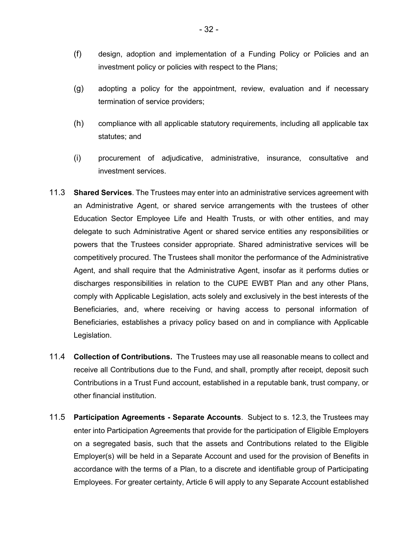- (f) design, adoption and implementation of a Funding Policy or Policies and an investment policy or policies with respect to the Plans;
- (g) adopting a policy for the appointment, review, evaluation and if necessary termination of service providers;
- (h) compliance with all applicable statutory requirements, including all applicable tax statutes; and
- (i) procurement of adjudicative, administrative, insurance, consultative and investment services.
- 11.3 **Shared Services**. The Trustees may enter into an administrative services agreement with an Administrative Agent, or shared service arrangements with the trustees of other Education Sector Employee Life and Health Trusts, or with other entities, and may delegate to such Administrative Agent or shared service entities any responsibilities or powers that the Trustees consider appropriate. Shared administrative services will be competitively procured. The Trustees shall monitor the performance of the Administrative Agent, and shall require that the Administrative Agent, insofar as it performs duties or discharges responsibilities in relation to the CUPE EWBT Plan and any other Plans, comply with Applicable Legislation, acts solely and exclusively in the best interests of the Beneficiaries, and, where receiving or having access to personal information of Beneficiaries, establishes a privacy policy based on and in compliance with Applicable Legislation.
- 11.4 **Collection of Contributions.** The Trustees may use all reasonable means to collect and receive all Contributions due to the Fund, and shall, promptly after receipt, deposit such Contributions in a Trust Fund account, established in a reputable bank, trust company, or other financial institution.
- 11.5 **Participation Agreements Separate Accounts**. Subject to s. 12.3, the Trustees may enter into Participation Agreements that provide for the participation of Eligible Employers on a segregated basis, such that the assets and Contributions related to the Eligible Employer(s) will be held in a Separate Account and used for the provision of Benefits in accordance with the terms of a Plan, to a discrete and identifiable group of Participating Employees. For greater certainty, Article 6 will apply to any Separate Account established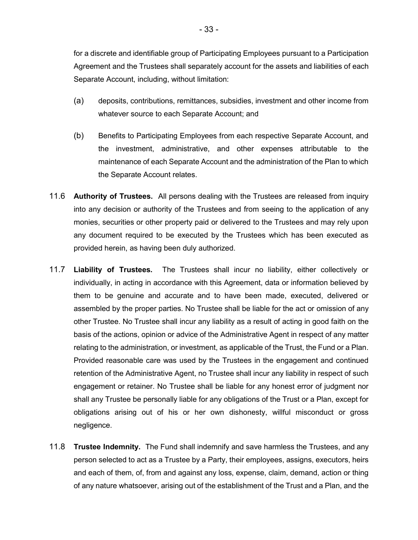for a discrete and identifiable group of Participating Employees pursuant to a Participation Agreement and the Trustees shall separately account for the assets and liabilities of each Separate Account, including, without limitation:

- (a) deposits, contributions, remittances, subsidies, investment and other income from whatever source to each Separate Account; and
- (b) Benefits to Participating Employees from each respective Separate Account, and the investment, administrative, and other expenses attributable to the maintenance of each Separate Account and the administration of the Plan to which the Separate Account relates.
- 11.6 **Authority of Trustees.** All persons dealing with the Trustees are released from inquiry into any decision or authority of the Trustees and from seeing to the application of any monies, securities or other property paid or delivered to the Trustees and may rely upon any document required to be executed by the Trustees which has been executed as provided herein, as having been duly authorized.
- 11.7 **Liability of Trustees.** The Trustees shall incur no liability, either collectively or individually, in acting in accordance with this Agreement, data or information believed by them to be genuine and accurate and to have been made, executed, delivered or assembled by the proper parties. No Trustee shall be liable for the act or omission of any other Trustee. No Trustee shall incur any liability as a result of acting in good faith on the basis of the actions, opinion or advice of the Administrative Agent in respect of any matter relating to the administration, or investment, as applicable of the Trust, the Fund or a Plan. Provided reasonable care was used by the Trustees in the engagement and continued retention of the Administrative Agent, no Trustee shall incur any liability in respect of such engagement or retainer. No Trustee shall be liable for any honest error of judgment nor shall any Trustee be personally liable for any obligations of the Trust or a Plan, except for obligations arising out of his or her own dishonesty, willful misconduct or gross negligence.
- 11.8 **Trustee Indemnity.** The Fund shall indemnify and save harmless the Trustees, and any person selected to act as a Trustee by a Party, their employees, assigns, executors, heirs and each of them, of, from and against any loss, expense, claim, demand, action or thing of any nature whatsoever, arising out of the establishment of the Trust and a Plan, and the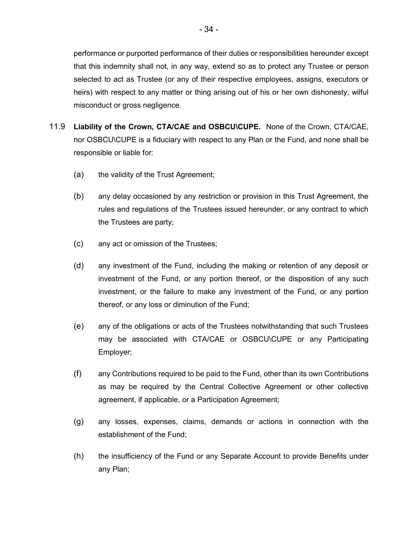performance or purported performance of their duties or responsibilities hereunder except that this indemnity shall not, in any way, extend so as to protect any Trustee or person selected to act as Trustee (or any of their respective employees, assigns, executors or heirs) with respect to any matter or thing arising out of his or her own dishonesty, wilful misconduct or gross negligence.

- 11.9 **Liability of the Crown, CTA/CAE and OSBCU\CUPE.** None of the Crown, CTA/CAE, nor OSBCU\CUPE is a fiduciary with respect to any Plan or the Fund, and none shall be responsible or liable for:
	- (a) the validity of the Trust Agreement;
	- (b) any delay occasioned by any restriction or provision in this Trust Agreement, the rules and regulations of the Trustees issued hereunder, or any contract to which the Trustees are party;
	- (c) any act or omission of the Trustees;
	- (d) any investment of the Fund, including the making or retention of any deposit or investment of the Fund, or any portion thereof, or the disposition of any such investment, or the failure to make any investment of the Fund, or any portion thereof, or any loss or diminution of the Fund;
	- (e) any of the obligations or acts of the Trustees notwithstanding that such Trustees may be associated with CTA/CAE or OSBCU\CUPE or any Participating Employer;
	- (f) any Contributions required to be paid to the Fund, other than its own Contributions as may be required by the Central Collective Agreement or other collective agreement, if applicable, or a Participation Agreement;
	- (g) any losses, expenses, claims, demands or actions in connection with the establishment of the Fund;
	- (h) the insufficiency of the Fund or any Separate Account to provide Benefits under any Plan;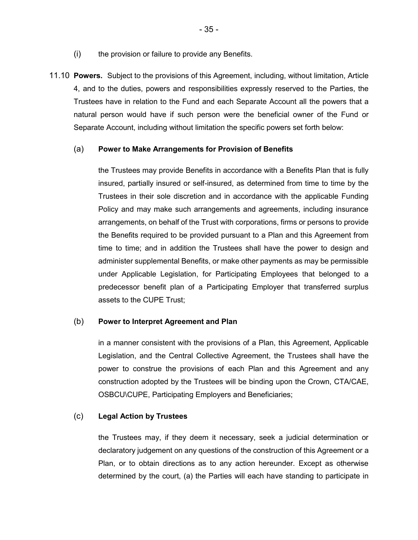- (i) the provision or failure to provide any Benefits.
- 11.10 **Powers.** Subject to the provisions of this Agreement, including, without limitation, Article 4, and to the duties, powers and responsibilities expressly reserved to the Parties, the Trustees have in relation to the Fund and each Separate Account all the powers that a natural person would have if such person were the beneficial owner of the Fund or Separate Account, including without limitation the specific powers set forth below:

### (a) **Power to Make Arrangements for Provision of Benefits**

the Trustees may provide Benefits in accordance with a Benefits Plan that is fully insured, partially insured or self-insured, as determined from time to time by the Trustees in their sole discretion and in accordance with the applicable Funding Policy and may make such arrangements and agreements, including insurance arrangements, on behalf of the Trust with corporations, firms or persons to provide the Benefits required to be provided pursuant to a Plan and this Agreement from time to time; and in addition the Trustees shall have the power to design and administer supplemental Benefits, or make other payments as may be permissible under Applicable Legislation, for Participating Employees that belonged to a predecessor benefit plan of a Participating Employer that transferred surplus assets to the CUPE Trust;

#### (b) **Power to Interpret Agreement and Plan**

in a manner consistent with the provisions of a Plan, this Agreement, Applicable Legislation, and the Central Collective Agreement, the Trustees shall have the power to construe the provisions of each Plan and this Agreement and any construction adopted by the Trustees will be binding upon the Crown, CTA/CAE, OSBCU\CUPE, Participating Employers and Beneficiaries;

### (c) **Legal Action by Trustees**

the Trustees may, if they deem it necessary, seek a judicial determination or declaratory judgement on any questions of the construction of this Agreement or a Plan, or to obtain directions as to any action hereunder. Except as otherwise determined by the court, (a) the Parties will each have standing to participate in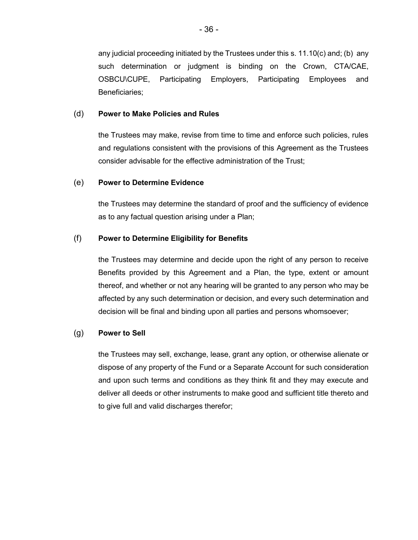any judicial proceeding initiated by the Trustees under this s. 11.10(c) and; (b) any such determination or judgment is binding on the Crown, CTA/CAE, OSBCU\CUPE, Participating Employers, Participating Employees and Beneficiaries;

# (d) **Power to Make Policies and Rules**

the Trustees may make, revise from time to time and enforce such policies, rules and regulations consistent with the provisions of this Agreement as the Trustees consider advisable for the effective administration of the Trust;

### (e) **Power to Determine Evidence**

the Trustees may determine the standard of proof and the sufficiency of evidence as to any factual question arising under a Plan;

### (f) **Power to Determine Eligibility for Benefits**

the Trustees may determine and decide upon the right of any person to receive Benefits provided by this Agreement and a Plan, the type, extent or amount thereof, and whether or not any hearing will be granted to any person who may be affected by any such determination or decision, and every such determination and decision will be final and binding upon all parties and persons whomsoever;

#### (g) **Power to Sell**

the Trustees may sell, exchange, lease, grant any option, or otherwise alienate or dispose of any property of the Fund or a Separate Account for such consideration and upon such terms and conditions as they think fit and they may execute and deliver all deeds or other instruments to make good and sufficient title thereto and to give full and valid discharges therefor;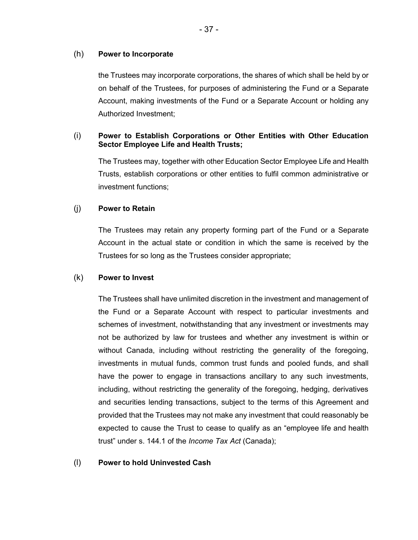### (h) **Power to Incorporate**

the Trustees may incorporate corporations, the shares of which shall be held by or on behalf of the Trustees, for purposes of administering the Fund or a Separate Account, making investments of the Fund or a Separate Account or holding any Authorized Investment;

# (i) **Power to Establish Corporations or Other Entities with Other Education Sector Employee Life and Health Trusts;**

The Trustees may, together with other Education Sector Employee Life and Health Trusts, establish corporations or other entities to fulfil common administrative or investment functions;

# (j) **Power to Retain**

The Trustees may retain any property forming part of the Fund or a Separate Account in the actual state or condition in which the same is received by the Trustees for so long as the Trustees consider appropriate;

# (k) **Power to Invest**

The Trustees shall have unlimited discretion in the investment and management of the Fund or a Separate Account with respect to particular investments and schemes of investment, notwithstanding that any investment or investments may not be authorized by law for trustees and whether any investment is within or without Canada, including without restricting the generality of the foregoing, investments in mutual funds, common trust funds and pooled funds, and shall have the power to engage in transactions ancillary to any such investments, including, without restricting the generality of the foregoing, hedging, derivatives and securities lending transactions, subject to the terms of this Agreement and provided that the Trustees may not make any investment that could reasonably be expected to cause the Trust to cease to qualify as an "employee life and health trust" under s. 144.1 of the *Income Tax Act* (Canada);

# (l) **Power to hold Uninvested Cash**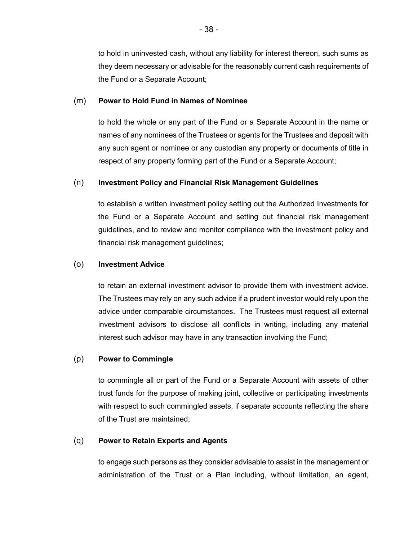to hold in uninvested cash, without any liability for interest thereon, such sums as they deem necessary or advisable for the reasonably current cash requirements of the Fund or a Separate Account;

# (m) **Power to Hold Fund in Names of Nominee**

to hold the whole or any part of the Fund or a Separate Account in the name or names of any nominees of the Trustees or agents for the Trustees and deposit with any such agent or nominee or any custodian any property or documents of title in respect of any property forming part of the Fund or a Separate Account;

# (n) **Investment Policy and Financial Risk Management Guidelines**

to establish a written investment policy setting out the Authorized Investments for the Fund or a Separate Account and setting out financial risk management guidelines, and to review and monitor compliance with the investment policy and financial risk management guidelines;

# (o) **Investment Advice**

to retain an external investment advisor to provide them with investment advice. The Trustees may rely on any such advice if a prudent investor would rely upon the advice under comparable circumstances. The Trustees must request all external investment advisors to disclose all conflicts in writing, including any material interest such advisor may have in any transaction involving the Fund;

# (p) **Power to Commingle**

to commingle all or part of the Fund or a Separate Account with assets of other trust funds for the purpose of making joint, collective or participating investments with respect to such commingled assets, if separate accounts reflecting the share of the Trust are maintained;

# (q) **Power to Retain Experts and Agents**

to engage such persons as they consider advisable to assist in the management or administration of the Trust or a Plan including, without limitation, an agent,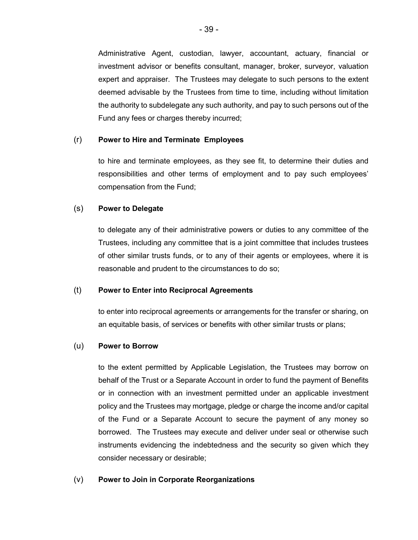Administrative Agent, custodian, lawyer, accountant, actuary, financial or investment advisor or benefits consultant, manager, broker, surveyor, valuation expert and appraiser. The Trustees may delegate to such persons to the extent deemed advisable by the Trustees from time to time, including without limitation the authority to subdelegate any such authority, and pay to such persons out of the Fund any fees or charges thereby incurred;

### (r) **Power to Hire and Terminate Employees**

to hire and terminate employees, as they see fit, to determine their duties and responsibilities and other terms of employment and to pay such employees' compensation from the Fund;

### (s) **Power to Delegate**

to delegate any of their administrative powers or duties to any committee of the Trustees, including any committee that is a joint committee that includes trustees of other similar trusts funds, or to any of their agents or employees, where it is reasonable and prudent to the circumstances to do so;

#### (t) **Power to Enter into Reciprocal Agreements**

to enter into reciprocal agreements or arrangements for the transfer or sharing, on an equitable basis, of services or benefits with other similar trusts or plans;

#### (u) **Power to Borrow**

to the extent permitted by Applicable Legislation, the Trustees may borrow on behalf of the Trust or a Separate Account in order to fund the payment of Benefits or in connection with an investment permitted under an applicable investment policy and the Trustees may mortgage, pledge or charge the income and/or capital of the Fund or a Separate Account to secure the payment of any money so borrowed. The Trustees may execute and deliver under seal or otherwise such instruments evidencing the indebtedness and the security so given which they consider necessary or desirable;

# (v) **Power to Join in Corporate Reorganizations**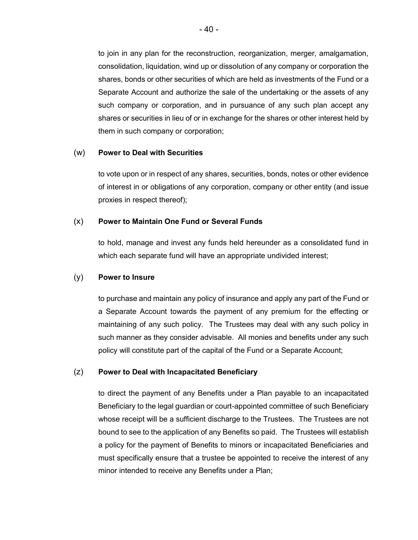to join in any plan for the reconstruction, reorganization, merger, amalgamation, consolidation, liquidation, wind up or dissolution of any company or corporation the shares, bonds or other securities of which are held as investments of the Fund or a Separate Account and authorize the sale of the undertaking or the assets of any such company or corporation, and in pursuance of any such plan accept any shares or securities in lieu of or in exchange for the shares or other interest held by them in such company or corporation;

### (w) **Power to Deal with Securities**

to vote upon or in respect of any shares, securities, bonds, notes or other evidence of interest in or obligations of any corporation, company or other entity (and issue proxies in respect thereof);

# (x) **Power to Maintain One Fund or Several Funds**

to hold, manage and invest any funds held hereunder as a consolidated fund in which each separate fund will have an appropriate undivided interest;

# (y) **Power to Insure**

to purchase and maintain any policy of insurance and apply any part of the Fund or a Separate Account towards the payment of any premium for the effecting or maintaining of any such policy. The Trustees may deal with any such policy in such manner as they consider advisable. All monies and benefits under any such policy will constitute part of the capital of the Fund or a Separate Account;

# (z) **Power to Deal with Incapacitated Beneficiary**

to direct the payment of any Benefits under a Plan payable to an incapacitated Beneficiary to the legal guardian or court-appointed committee of such Beneficiary whose receipt will be a sufficient discharge to the Trustees. The Trustees are not bound to see to the application of any Benefits so paid. The Trustees will establish a policy for the payment of Benefits to minors or incapacitated Beneficiaries and must specifically ensure that a trustee be appointed to receive the interest of any minor intended to receive any Benefits under a Plan;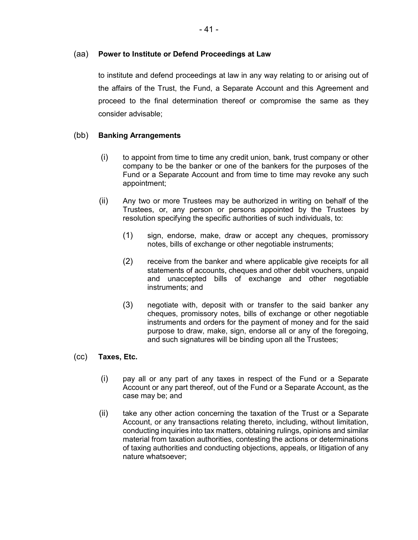# (aa) **Power to Institute or Defend Proceedings at Law**

to institute and defend proceedings at law in any way relating to or arising out of the affairs of the Trust, the Fund, a Separate Account and this Agreement and proceed to the final determination thereof or compromise the same as they consider advisable;

# (bb) **Banking Arrangements**

- (i) to appoint from time to time any credit union, bank, trust company or other company to be the banker or one of the bankers for the purposes of the Fund or a Separate Account and from time to time may revoke any such appointment;
- (ii) Any two or more Trustees may be authorized in writing on behalf of the Trustees, or, any person or persons appointed by the Trustees by resolution specifying the specific authorities of such individuals, to:
	- (1) sign, endorse, make, draw or accept any cheques, promissory notes, bills of exchange or other negotiable instruments;
	- (2) receive from the banker and where applicable give receipts for all statements of accounts, cheques and other debit vouchers, unpaid and unaccepted bills of exchange and other negotiable instruments; and
	- (3) negotiate with, deposit with or transfer to the said banker any cheques, promissory notes, bills of exchange or other negotiable instruments and orders for the payment of money and for the said purpose to draw, make, sign, endorse all or any of the foregoing, and such signatures will be binding upon all the Trustees;

# (cc) **Taxes, Etc.**

- (i) pay all or any part of any taxes in respect of the Fund or a Separate Account or any part thereof, out of the Fund or a Separate Account, as the case may be; and
- (ii) take any other action concerning the taxation of the Trust or a Separate Account, or any transactions relating thereto, including, without limitation, conducting inquiries into tax matters, obtaining rulings, opinions and similar material from taxation authorities, contesting the actions or determinations of taxing authorities and conducting objections, appeals, or litigation of any nature whatsoever;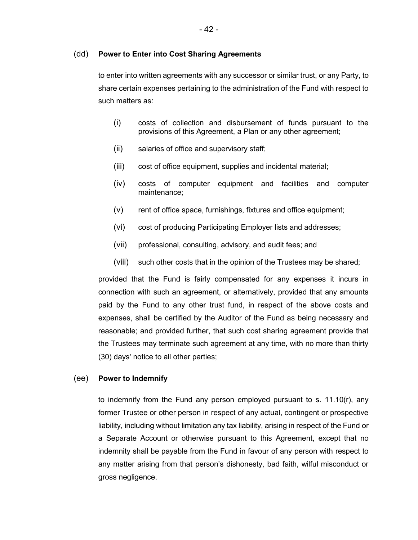#### (dd) **Power to Enter into Cost Sharing Agreements**

to enter into written agreements with any successor or similar trust, or any Party, to share certain expenses pertaining to the administration of the Fund with respect to such matters as:

- (i) costs of collection and disbursement of funds pursuant to the provisions of this Agreement, a Plan or any other agreement;
- (ii) salaries of office and supervisory staff;
- (iii) cost of office equipment, supplies and incidental material;
- (iv) costs of computer equipment and facilities and computer maintenance;
- (v) rent of office space, furnishings, fixtures and office equipment;
- (vi) cost of producing Participating Employer lists and addresses;
- (vii) professional, consulting, advisory, and audit fees; and
- (viii) such other costs that in the opinion of the Trustees may be shared;

provided that the Fund is fairly compensated for any expenses it incurs in connection with such an agreement, or alternatively, provided that any amounts paid by the Fund to any other trust fund, in respect of the above costs and expenses, shall be certified by the Auditor of the Fund as being necessary and reasonable; and provided further, that such cost sharing agreement provide that the Trustees may terminate such agreement at any time, with no more than thirty (30) days' notice to all other parties;

#### (ee) **Power to Indemnify**

to indemnify from the Fund any person employed pursuant to s. 11.10(r), any former Trustee or other person in respect of any actual, contingent or prospective liability, including without limitation any tax liability, arising in respect of the Fund or a Separate Account or otherwise pursuant to this Agreement, except that no indemnity shall be payable from the Fund in favour of any person with respect to any matter arising from that person's dishonesty, bad faith, wilful misconduct or gross negligence.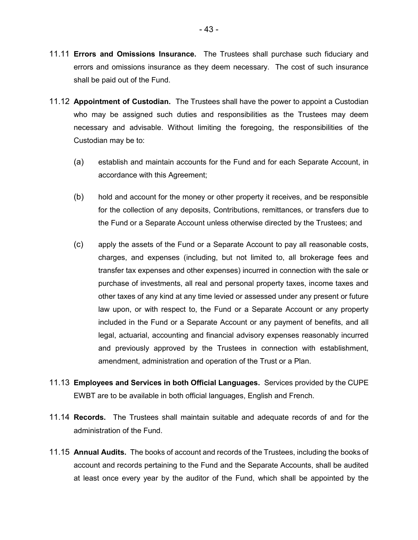- 11.11 **Errors and Omissions Insurance.** The Trustees shall purchase such fiduciary and errors and omissions insurance as they deem necessary. The cost of such insurance shall be paid out of the Fund.
- 11.12 **Appointment of Custodian.** The Trustees shall have the power to appoint a Custodian who may be assigned such duties and responsibilities as the Trustees may deem necessary and advisable. Without limiting the foregoing, the responsibilities of the Custodian may be to:
	- (a) establish and maintain accounts for the Fund and for each Separate Account, in accordance with this Agreement;
	- (b) hold and account for the money or other property it receives, and be responsible for the collection of any deposits, Contributions, remittances, or transfers due to the Fund or a Separate Account unless otherwise directed by the Trustees; and
	- (c) apply the assets of the Fund or a Separate Account to pay all reasonable costs, charges, and expenses (including, but not limited to, all brokerage fees and transfer tax expenses and other expenses) incurred in connection with the sale or purchase of investments, all real and personal property taxes, income taxes and other taxes of any kind at any time levied or assessed under any present or future law upon, or with respect to, the Fund or a Separate Account or any property included in the Fund or a Separate Account or any payment of benefits, and all legal, actuarial, accounting and financial advisory expenses reasonably incurred and previously approved by the Trustees in connection with establishment, amendment, administration and operation of the Trust or a Plan.
- 11.13 **Employees and Services in both Official Languages.** Services provided by the CUPE EWBT are to be available in both official languages, English and French.
- 11.14 **Records.** The Trustees shall maintain suitable and adequate records of and for the administration of the Fund.
- 11.15 **Annual Audits.** The books of account and records of the Trustees, including the books of account and records pertaining to the Fund and the Separate Accounts, shall be audited at least once every year by the auditor of the Fund, which shall be appointed by the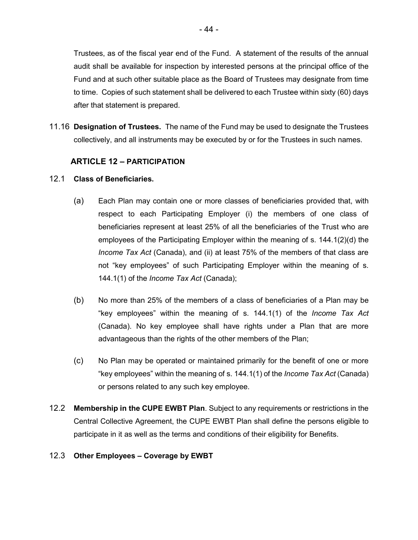Trustees, as of the fiscal year end of the Fund. A statement of the results of the annual audit shall be available for inspection by interested persons at the principal office of the Fund and at such other suitable place as the Board of Trustees may designate from time to time. Copies of such statement shall be delivered to each Trustee within sixty (60) days after that statement is prepared.

11.16 **Designation of Trustees.** The name of the Fund may be used to designate the Trustees collectively, and all instruments may be executed by or for the Trustees in such names.

# **ARTICLE 12 – PARTICIPATION**

# 12.1 **Class of Beneficiaries.**

- (a) Each Plan may contain one or more classes of beneficiaries provided that, with respect to each Participating Employer (i) the members of one class of beneficiaries represent at least 25% of all the beneficiaries of the Trust who are employees of the Participating Employer within the meaning of s. 144.1(2)(d) the *Income Tax Act* (Canada), and (ii) at least 75% of the members of that class are not "key employees" of such Participating Employer within the meaning of s. 144.1(1) of the *Income Tax Act* (Canada);
- (b) No more than 25% of the members of a class of beneficiaries of a Plan may be "key employees" within the meaning of s. 144.1(1) of the *Income Tax Act* (Canada). No key employee shall have rights under a Plan that are more advantageous than the rights of the other members of the Plan;
- (c) No Plan may be operated or maintained primarily for the benefit of one or more "key employees" within the meaning of s. 144.1(1) of the *Income Tax Act* (Canada) or persons related to any such key employee.
- 12.2 **Membership in the CUPE EWBT Plan**. Subject to any requirements or restrictions in the Central Collective Agreement, the CUPE EWBT Plan shall define the persons eligible to participate in it as well as the terms and conditions of their eligibility for Benefits.

# 12.3 **Other Employees – Coverage by EWBT**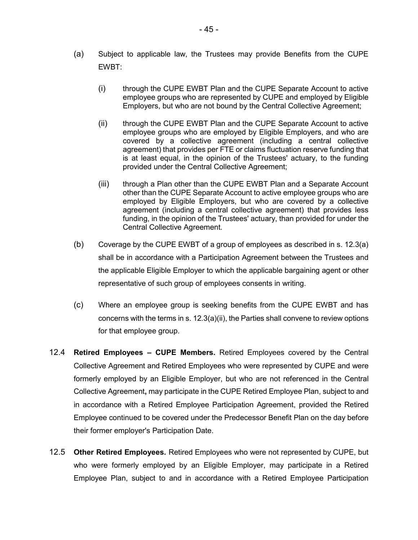- (a) Subject to applicable law, the Trustees may provide Benefits from the CUPE EWBT:
	- (i) through the CUPE EWBT Plan and the CUPE Separate Account to active employee groups who are represented by CUPE and employed by Eligible Employers, but who are not bound by the Central Collective Agreement;
	- (ii) through the CUPE EWBT Plan and the CUPE Separate Account to active employee groups who are employed by Eligible Employers, and who are covered by a collective agreement (including a central collective agreement) that provides per FTE or claims fluctuation reserve funding that is at least equal, in the opinion of the Trustees' actuary, to the funding provided under the Central Collective Agreement;
	- (iii) through a Plan other than the CUPE EWBT Plan and a Separate Account other than the CUPE Separate Account to active employee groups who are employed by Eligible Employers, but who are covered by a collective agreement (including a central collective agreement) that provides less funding, in the opinion of the Trustees' actuary, than provided for under the Central Collective Agreement.
- (b) Coverage by the CUPE EWBT of a group of employees as described in s. 12.3(a) shall be in accordance with a Participation Agreement between the Trustees and the applicable Eligible Employer to which the applicable bargaining agent or other representative of such group of employees consents in writing.
- (c) Where an employee group is seeking benefits from the CUPE EWBT and has concerns with the terms in s. 12.3(a)(ii), the Parties shall convene to review options for that employee group.
- 12.4 **Retired Employees CUPE Members.** Retired Employees covered by the Central Collective Agreement and Retired Employees who were represented by CUPE and were formerly employed by an Eligible Employer, but who are not referenced in the Central Collective Agreement**,** may participate in the CUPE Retired Employee Plan, subject to and in accordance with a Retired Employee Participation Agreement, provided the Retired Employee continued to be covered under the Predecessor Benefit Plan on the day before their former employer's Participation Date.
- 12.5 **Other Retired Employees.** Retired Employees who were not represented by CUPE, but who were formerly employed by an Eligible Employer, may participate in a Retired Employee Plan, subject to and in accordance with a Retired Employee Participation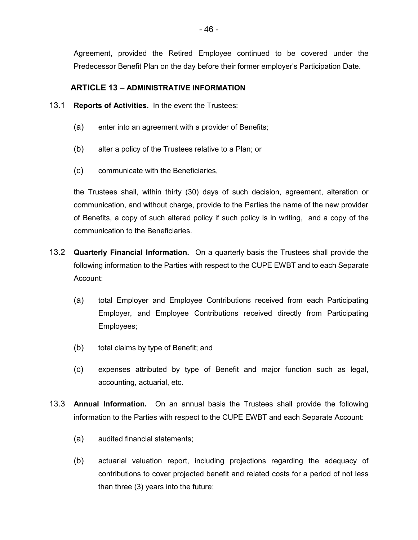Agreement, provided the Retired Employee continued to be covered under the Predecessor Benefit Plan on the day before their former employer's Participation Date.

# **ARTICLE 13 – ADMINISTRATIVE INFORMATION**

- 13.1 **Reports of Activities.** In the event the Trustees:
	- (a) enter into an agreement with a provider of Benefits;
	- (b) alter a policy of the Trustees relative to a Plan; or
	- (c) communicate with the Beneficiaries,

the Trustees shall, within thirty (30) days of such decision, agreement, alteration or communication, and without charge, provide to the Parties the name of the new provider of Benefits, a copy of such altered policy if such policy is in writing, and a copy of the communication to the Beneficiaries.

- 13.2 **Quarterly Financial Information.** On a quarterly basis the Trustees shall provide the following information to the Parties with respect to the CUPE EWBT and to each Separate Account:
	- (a) total Employer and Employee Contributions received from each Participating Employer, and Employee Contributions received directly from Participating Employees;
	- (b) total claims by type of Benefit; and
	- (c) expenses attributed by type of Benefit and major function such as legal, accounting, actuarial, etc.
- 13.3 **Annual Information.** On an annual basis the Trustees shall provide the following information to the Parties with respect to the CUPE EWBT and each Separate Account:
	- (a) audited financial statements;
	- (b) actuarial valuation report, including projections regarding the adequacy of contributions to cover projected benefit and related costs for a period of not less than three (3) years into the future;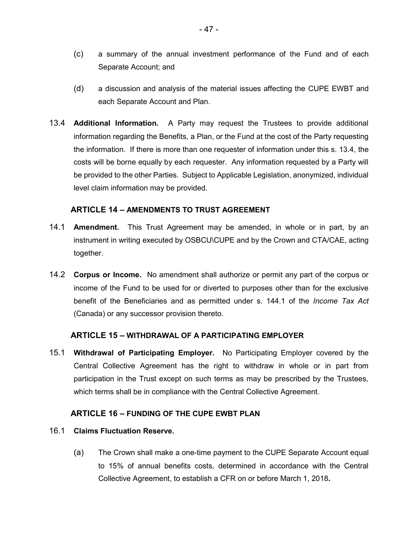- (c) a summary of the annual investment performance of the Fund and of each Separate Account; and
- (d) a discussion and analysis of the material issues affecting the CUPE EWBT and each Separate Account and Plan.
- 13.4 **Additional Information.** A Party may request the Trustees to provide additional information regarding the Benefits, a Plan, or the Fund at the cost of the Party requesting the information. If there is more than one requester of information under this s. 13.4, the costs will be borne equally by each requester. Any information requested by a Party will be provided to the other Parties. Subject to Applicable Legislation, anonymized, individual level claim information may be provided.

# **ARTICLE 14 – AMENDMENTS TO TRUST AGREEMENT**

- 14.1 **Amendment.** This Trust Agreement may be amended, in whole or in part, by an instrument in writing executed by OSBCU\CUPE and by the Crown and CTA/CAE, acting together.
- 14.2 **Corpus or Income.** No amendment shall authorize or permit any part of the corpus or income of the Fund to be used for or diverted to purposes other than for the exclusive benefit of the Beneficiaries and as permitted under s. 144.1 of the *Income Tax Act* (Canada) or any successor provision thereto.

# **ARTICLE 15 – WITHDRAWAL OF A PARTICIPATING EMPLOYER**

15.1 **Withdrawal of Participating Employer.** No Participating Employer covered by the Central Collective Agreement has the right to withdraw in whole or in part from participation in the Trust except on such terms as may be prescribed by the Trustees, which terms shall be in compliance with the Central Collective Agreement.

# **ARTICLE 16 – FUNDING OF THE CUPE EWBT PLAN**

# 16.1 **Claims Fluctuation Reserve.**

(a) The Crown shall make a one-time payment to the CUPE Separate Account equal to 15% of annual benefits costs, determined in accordance with the Central Collective Agreement, to establish a CFR on or before March 1, 2018**.**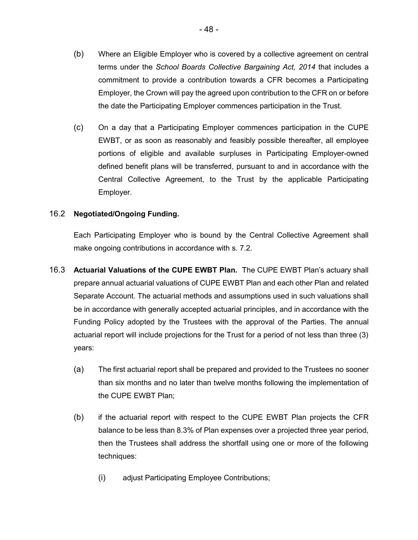- (b) Where an Eligible Employer who is covered by a collective agreement on central terms under the *School Boards Collective Bargaining Act, 2014* that includes a commitment to provide a contribution towards a CFR becomes a Participating Employer, the Crown will pay the agreed upon contribution to the CFR on or before the date the Participating Employer commences participation in the Trust.
- (c) On a day that a Participating Employer commences participation in the CUPE EWBT, or as soon as reasonably and feasibly possible thereafter, all employee portions of eligible and available surpluses in Participating Employer-owned defined benefit plans will be transferred, pursuant to and in accordance with the Central Collective Agreement, to the Trust by the applicable Participating Employer.

# 16.2 **Negotiated/Ongoing Funding.**

Each Participating Employer who is bound by the Central Collective Agreement shall make ongoing contributions in accordance with s. 7.2.

- 16.3 **Actuarial Valuations of the CUPE EWBT Plan.** The CUPE EWBT Plan's actuary shall prepare annual actuarial valuations of CUPE EWBT Plan and each other Plan and related Separate Account. The actuarial methods and assumptions used in such valuations shall be in accordance with generally accepted actuarial principles, and in accordance with the Funding Policy adopted by the Trustees with the approval of the Parties. The annual actuarial report will include projections for the Trust for a period of not less than three (3) years:
	- (a) The first actuarial report shall be prepared and provided to the Trustees no sooner than six months and no later than twelve months following the implementation of the CUPE EWBT Plan;
	- (b) if the actuarial report with respect to the CUPE EWBT Plan projects the CFR balance to be less than 8.3% of Plan expenses over a projected three year period, then the Trustees shall address the shortfall using one or more of the following techniques:
		- (i) adjust Participating Employee Contributions;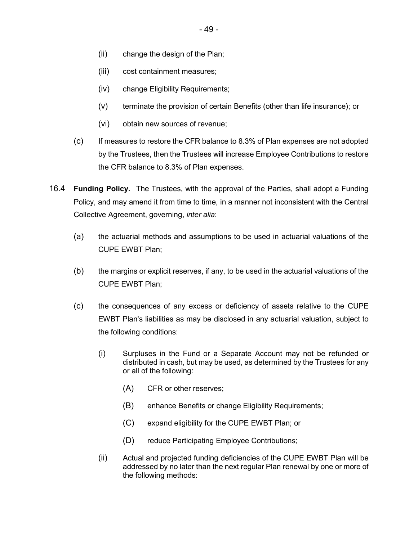- (ii) change the design of the Plan;
- (iii) cost containment measures;
- (iv) change Eligibility Requirements;
- (v) terminate the provision of certain Benefits (other than life insurance); or
- (vi) obtain new sources of revenue;
- (c) If measures to restore the CFR balance to 8.3% of Plan expenses are not adopted by the Trustees, then the Trustees will increase Employee Contributions to restore the CFR balance to 8.3% of Plan expenses.
- 16.4 **Funding Policy.** The Trustees, with the approval of the Parties, shall adopt a Funding Policy, and may amend it from time to time, in a manner not inconsistent with the Central Collective Agreement, governing, *inter alia*:
	- (a) the actuarial methods and assumptions to be used in actuarial valuations of the CUPE EWBT Plan;
	- (b) the margins or explicit reserves, if any, to be used in the actuarial valuations of the CUPE EWBT Plan;
	- (c) the consequences of any excess or deficiency of assets relative to the CUPE EWBT Plan's liabilities as may be disclosed in any actuarial valuation, subject to the following conditions:
		- (i) Surpluses in the Fund or a Separate Account may not be refunded or distributed in cash, but may be used, as determined by the Trustees for any or all of the following:
			- (A) CFR or other reserves;
			- (B) enhance Benefits or change Eligibility Requirements;
			- (C) expand eligibility for the CUPE EWBT Plan; or
			- (D) reduce Participating Employee Contributions;
		- (ii) Actual and projected funding deficiencies of the CUPE EWBT Plan will be addressed by no later than the next regular Plan renewal by one or more of the following methods: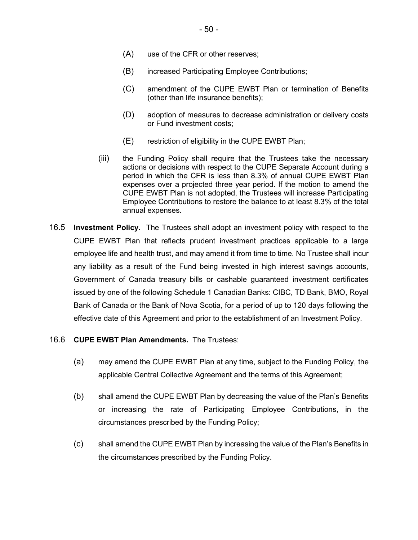- (A) use of the CFR or other reserves;
- (B) increased Participating Employee Contributions;
- (C) amendment of the CUPE EWBT Plan or termination of Benefits (other than life insurance benefits);
- (D) adoption of measures to decrease administration or delivery costs or Fund investment costs;
- (E) restriction of eligibility in the CUPE EWBT Plan;
- (iii) the Funding Policy shall require that the Trustees take the necessary actions or decisions with respect to the CUPE Separate Account during a period in which the CFR is less than 8.3% of annual CUPE EWBT Plan expenses over a projected three year period. If the motion to amend the CUPE EWBT Plan is not adopted, the Trustees will increase Participating Employee Contributions to restore the balance to at least 8.3% of the total annual expenses.
- 16.5 **Investment Policy.** The Trustees shall adopt an investment policy with respect to the CUPE EWBT Plan that reflects prudent investment practices applicable to a large employee life and health trust, and may amend it from time to time. No Trustee shall incur any liability as a result of the Fund being invested in high interest savings accounts, Government of Canada treasury bills or cashable guaranteed investment certificates issued by one of the following Schedule 1 Canadian Banks: CIBC, TD Bank, BMO, Royal Bank of Canada or the Bank of Nova Scotia, for a period of up to 120 days following the effective date of this Agreement and prior to the establishment of an Investment Policy.
- 16.6 **CUPE EWBT Plan Amendments.** The Trustees:
	- (a) may amend the CUPE EWBT Plan at any time, subject to the Funding Policy, the applicable Central Collective Agreement and the terms of this Agreement;
	- (b) shall amend the CUPE EWBT Plan by decreasing the value of the Plan's Benefits or increasing the rate of Participating Employee Contributions, in the circumstances prescribed by the Funding Policy;
	- (c) shall amend the CUPE EWBT Plan by increasing the value of the Plan's Benefits in the circumstances prescribed by the Funding Policy.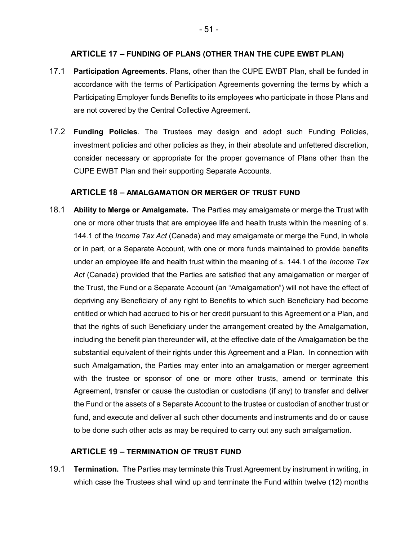# **ARTICLE 17 – FUNDING OF PLANS (OTHER THAN THE CUPE EWBT PLAN)**

- 17.1 **Participation Agreements.** Plans, other than the CUPE EWBT Plan, shall be funded in accordance with the terms of Participation Agreements governing the terms by which a Participating Employer funds Benefits to its employees who participate in those Plans and are not covered by the Central Collective Agreement.
- 17.2 **Funding Policies**. The Trustees may design and adopt such Funding Policies, investment policies and other policies as they, in their absolute and unfettered discretion, consider necessary or appropriate for the proper governance of Plans other than the CUPE EWBT Plan and their supporting Separate Accounts.

# **ARTICLE 18 – AMALGAMATION OR MERGER OF TRUST FUND**

18.1 **Ability to Merge or Amalgamate.** The Parties may amalgamate or merge the Trust with one or more other trusts that are employee life and health trusts within the meaning of s. 144.1 of the *Income Tax Act* (Canada) and may amalgamate or merge the Fund, in whole or in part, or a Separate Account, with one or more funds maintained to provide benefits under an employee life and health trust within the meaning of s. 144.1 of the *Income Tax Act* (Canada) provided that the Parties are satisfied that any amalgamation or merger of the Trust, the Fund or a Separate Account (an "Amalgamation") will not have the effect of depriving any Beneficiary of any right to Benefits to which such Beneficiary had become entitled or which had accrued to his or her credit pursuant to this Agreement or a Plan, and that the rights of such Beneficiary under the arrangement created by the Amalgamation, including the benefit plan thereunder will, at the effective date of the Amalgamation be the substantial equivalent of their rights under this Agreement and a Plan. In connection with such Amalgamation, the Parties may enter into an amalgamation or merger agreement with the trustee or sponsor of one or more other trusts, amend or terminate this Agreement, transfer or cause the custodian or custodians (if any) to transfer and deliver the Fund or the assets of a Separate Account to the trustee or custodian of another trust or fund, and execute and deliver all such other documents and instruments and do or cause to be done such other acts as may be required to carry out any such amalgamation.

# **ARTICLE 19 – TERMINATION OF TRUST FUND**

19.1 **Termination.** The Parties may terminate this Trust Agreement by instrument in writing, in which case the Trustees shall wind up and terminate the Fund within twelve (12) months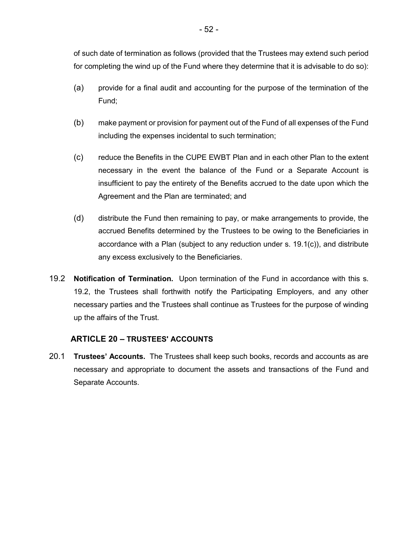of such date of termination as follows (provided that the Trustees may extend such period for completing the wind up of the Fund where they determine that it is advisable to do so):

- (a) provide for a final audit and accounting for the purpose of the termination of the Fund;
- (b) make payment or provision for payment out of the Fund of all expenses of the Fund including the expenses incidental to such termination;
- (c) reduce the Benefits in the CUPE EWBT Plan and in each other Plan to the extent necessary in the event the balance of the Fund or a Separate Account is insufficient to pay the entirety of the Benefits accrued to the date upon which the Agreement and the Plan are terminated; and
- (d) distribute the Fund then remaining to pay, or make arrangements to provide, the accrued Benefits determined by the Trustees to be owing to the Beneficiaries in accordance with a Plan (subject to any reduction under s. 19.1(c)), and distribute any excess exclusively to the Beneficiaries.
- 19.2 **Notification of Termination.** Upon termination of the Fund in accordance with this s. 19.2, the Trustees shall forthwith notify the Participating Employers, and any other necessary parties and the Trustees shall continue as Trustees for the purpose of winding up the affairs of the Trust.

# **ARTICLE 20 – TRUSTEES' ACCOUNTS**

20.1 **Trustees' Accounts.** The Trustees shall keep such books, records and accounts as are necessary and appropriate to document the assets and transactions of the Fund and Separate Accounts.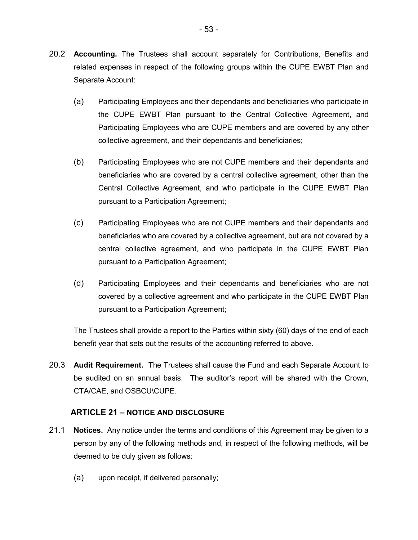- (a) Participating Employees and their dependants and beneficiaries who participate in the CUPE EWBT Plan pursuant to the Central Collective Agreement, and Participating Employees who are CUPE members and are covered by any other collective agreement, and their dependants and beneficiaries;
- (b) Participating Employees who are not CUPE members and their dependants and beneficiaries who are covered by a central collective agreement, other than the Central Collective Agreement, and who participate in the CUPE EWBT Plan pursuant to a Participation Agreement;
- (c) Participating Employees who are not CUPE members and their dependants and beneficiaries who are covered by a collective agreement, but are not covered by a central collective agreement, and who participate in the CUPE EWBT Plan pursuant to a Participation Agreement;
- (d) Participating Employees and their dependants and beneficiaries who are not covered by a collective agreement and who participate in the CUPE EWBT Plan pursuant to a Participation Agreement;

The Trustees shall provide a report to the Parties within sixty (60) days of the end of each benefit year that sets out the results of the accounting referred to above.

20.3 **Audit Requirement.** The Trustees shall cause the Fund and each Separate Account to be audited on an annual basis. The auditor's report will be shared with the Crown, CTA/CAE, and OSBCU\CUPE.

# **ARTICLE 21 – NOTICE AND DISCLOSURE**

- 21.1 **Notices.** Any notice under the terms and conditions of this Agreement may be given to a person by any of the following methods and, in respect of the following methods, will be deemed to be duly given as follows:
	- (a) upon receipt, if delivered personally;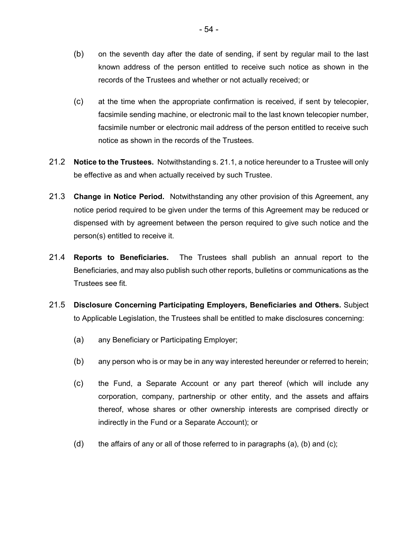- (b) on the seventh day after the date of sending, if sent by regular mail to the last known address of the person entitled to receive such notice as shown in the records of the Trustees and whether or not actually received; or
- (c) at the time when the appropriate confirmation is received, if sent by telecopier, facsimile sending machine, or electronic mail to the last known telecopier number, facsimile number or electronic mail address of the person entitled to receive such notice as shown in the records of the Trustees.
- 21.2 **Notice to the Trustees.** Notwithstanding s. 21.1, a notice hereunder to a Trustee will only be effective as and when actually received by such Trustee.
- 21.3 **Change in Notice Period.** Notwithstanding any other provision of this Agreement, any notice period required to be given under the terms of this Agreement may be reduced or dispensed with by agreement between the person required to give such notice and the person(s) entitled to receive it.
- 21.4 **Reports to Beneficiaries.** The Trustees shall publish an annual report to the Beneficiaries, and may also publish such other reports, bulletins or communications as the Trustees see fit.
- 21.5 **Disclosure Concerning Participating Employers, Beneficiaries and Others.** Subject to Applicable Legislation, the Trustees shall be entitled to make disclosures concerning:
	- (a) any Beneficiary or Participating Employer;
	- (b) any person who is or may be in any way interested hereunder or referred to herein;
	- (c) the Fund, a Separate Account or any part thereof (which will include any corporation, company, partnership or other entity, and the assets and affairs thereof, whose shares or other ownership interests are comprised directly or indirectly in the Fund or a Separate Account); or
	- (d) the affairs of any or all of those referred to in paragraphs (a), (b) and (c);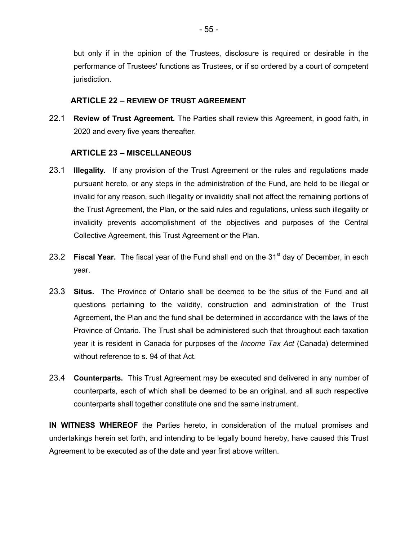but only if in the opinion of the Trustees, disclosure is required or desirable in the performance of Trustees' functions as Trustees, or if so ordered by a court of competent jurisdiction.

# **ARTICLE 22 – REVIEW OF TRUST AGREEMENT**

22.1 **Review of Trust Agreement.** The Parties shall review this Agreement, in good faith, in 2020 and every five years thereafter.

# **ARTICLE 23 – MISCELLANEOUS**

- 23.1 **Illegality.** If any provision of the Trust Agreement or the rules and regulations made pursuant hereto, or any steps in the administration of the Fund, are held to be illegal or invalid for any reason, such illegality or invalidity shall not affect the remaining portions of the Trust Agreement, the Plan, or the said rules and regulations, unless such illegality or invalidity prevents accomplishment of the objectives and purposes of the Central Collective Agreement, this Trust Agreement or the Plan.
- 23.2 **Fiscal Year.** The fiscal year of the Fund shall end on the 31<sup>st</sup> day of December, in each year.
- 23.3 **Situs.** The Province of Ontario shall be deemed to be the situs of the Fund and all questions pertaining to the validity, construction and administration of the Trust Agreement, the Plan and the fund shall be determined in accordance with the laws of the Province of Ontario. The Trust shall be administered such that throughout each taxation year it is resident in Canada for purposes of the *Income Tax Act* (Canada) determined without reference to s. 94 of that Act.
- 23.4 **Counterparts.** This Trust Agreement may be executed and delivered in any number of counterparts, each of which shall be deemed to be an original, and all such respective counterparts shall together constitute one and the same instrument.

**IN WITNESS WHEREOF** the Parties hereto, in consideration of the mutual promises and undertakings herein set forth, and intending to be legally bound hereby, have caused this Trust Agreement to be executed as of the date and year first above written.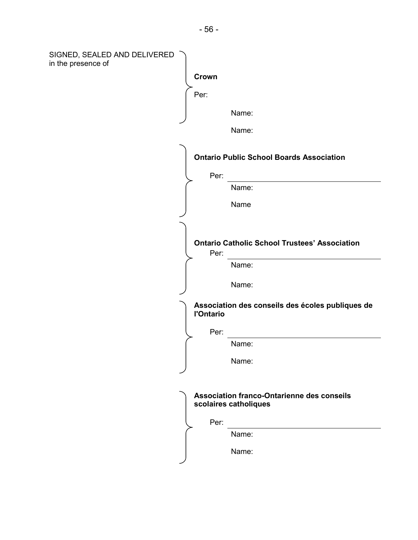| SIGNED, SEALED AND DELIVERED<br>in the presence of |                  |                                                                     |
|----------------------------------------------------|------------------|---------------------------------------------------------------------|
|                                                    | Crown            |                                                                     |
|                                                    | Per:             |                                                                     |
|                                                    |                  | Name:                                                               |
|                                                    |                  | Name:                                                               |
|                                                    |                  | <b>Ontario Public School Boards Association</b>                     |
|                                                    | Per:             |                                                                     |
|                                                    |                  | Name:                                                               |
|                                                    |                  | Name                                                                |
|                                                    |                  |                                                                     |
|                                                    | Per:             | <b>Ontario Catholic School Trustees' Association</b>                |
|                                                    |                  | Name:                                                               |
|                                                    |                  | Name:                                                               |
|                                                    | <b>l'Ontario</b> | Association des conseils des écoles publiques de                    |
|                                                    | Per:             |                                                                     |
|                                                    |                  | Name:                                                               |
|                                                    |                  | Name:                                                               |
|                                                    |                  |                                                                     |
|                                                    |                  | Association franco-Ontarienne des conseils<br>scolaires catholiques |
|                                                    | Per:             |                                                                     |
|                                                    |                  | Name:                                                               |
|                                                    |                  | Name:                                                               |
|                                                    |                  |                                                                     |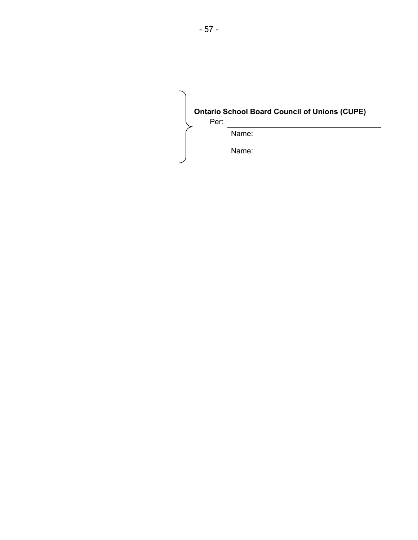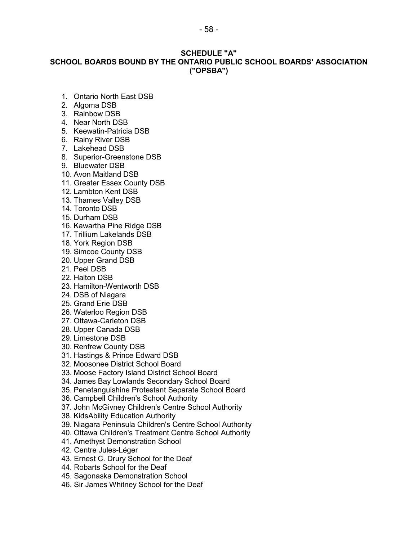# **SCHEDULE "A" SCHOOL BOARDS BOUND BY THE ONTARIO PUBLIC SCHOOL BOARDS' ASSOCIATION ("OPSBA")**

- 1. Ontario North East DSB
- 2. Algoma DSB
- 3. Rainbow DSB
- 4. Near North DSB
- 5. Keewatin-Patricia DSB
- 6. Rainy River DSB
- 7. Lakehead DSB
- 8. Superior-Greenstone DSB
- 9. Bluewater DSB
- 10. Avon Maitland DSB
- 11. Greater Essex County DSB
- 12. Lambton Kent DSB
- 13. Thames Valley DSB
- 14. Toronto DSB
- 15. Durham DSB
- 16. Kawartha Pine Ridge DSB
- 17. Trillium Lakelands DSB
- 18. York Region DSB
- 19. Simcoe County DSB
- 20. Upper Grand DSB
- 21. Peel DSB
- 22. Halton DSB
- 23. Hamilton-Wentworth DSB
- 24. DSB of Niagara
- 25. Grand Erie DSB
- 26. Waterloo Region DSB
- 27. Ottawa-Carleton DSB
- 28. Upper Canada DSB
- 29. Limestone DSB
- 30. Renfrew County DSB
- 31. Hastings & Prince Edward DSB
- 32. Moosonee District School Board
- 33. Moose Factory Island District School Board
- 34. James Bay Lowlands Secondary School Board
- 35. Penetanguishine Protestant Separate School Board
- 36. Campbell Children's School Authority
- 37. John McGivney Children's Centre School Authority
- 38. KidsAbility Education Authority
- 39. Niagara Peninsula Children's Centre School Authority
- 40. Ottawa Children's Treatment Centre School Authority
- 41. Amethyst Demonstration School
- 42. Centre Jules-Léger
- 43. Ernest C. Drury School for the Deaf
- 44. Robarts School for the Deaf
- 45. Sagonaska Demonstration School
- 46. Sir James Whitney School for the Deaf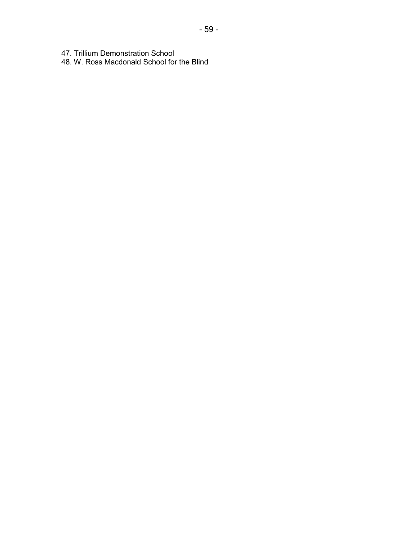47. Trillium Demonstration School

48. W. Ross Macdonald School for the Blind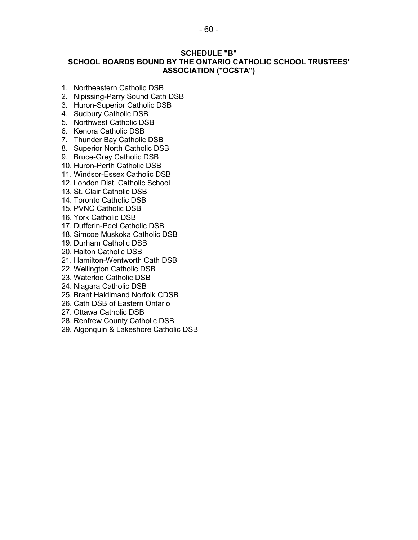# **SCHEDULE "B" SCHOOL BOARDS BOUND BY THE ONTARIO CATHOLIC SCHOOL TRUSTEES' ASSOCIATION ("OCSTA")**

- 1. Northeastern Catholic DSB
- 2. Nipissing-Parry Sound Cath DSB
- 3. Huron-Superior Catholic DSB
- 4. Sudbury Catholic DSB
- 5. Northwest Catholic DSB
- 6. Kenora Catholic DSB
- 7. Thunder Bay Catholic DSB
- 8. Superior North Catholic DSB
- 9. Bruce-Grey Catholic DSB
- 10. Huron-Perth Catholic DSB
- 11. Windsor-Essex Catholic DSB
- 12. London Dist. Catholic School
- 13. St. Clair Catholic DSB
- 14. Toronto Catholic DSB
- 15. PVNC Catholic DSB
- 16. York Catholic DSB
- 17. Dufferin-Peel Catholic DSB
- 18. Simcoe Muskoka Catholic DSB
- 19. Durham Catholic DSB
- 20. Halton Catholic DSB
- 21. Hamilton-Wentworth Cath DSB
- 22. Wellington Catholic DSB
- 23. Waterloo Catholic DSB
- 24. Niagara Catholic DSB
- 25. Brant Haldimand Norfolk CDSB
- 26. Cath DSB of Eastern Ontario
- 27. Ottawa Catholic DSB
- 28. Renfrew County Catholic DSB
- 29. Algonquin & Lakeshore Catholic DSB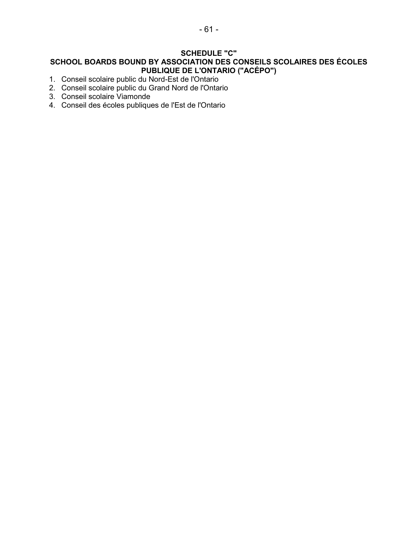# **SCHEDULE "C" SCHOOL BOARDS BOUND BY ASSOCIATION DES CONSEILS SCOLAIRES DES ÉCOLES PUBLIQUE DE L'ONTARIO ("ACÉPO")**

- 1. Conseil scolaire public du Nord-Est de l'Ontario
- 2. Conseil scolaire public du Grand Nord de l'Ontario
- 3. Conseil scolaire Viamonde
- 4. Conseil des écoles publiques de l'Est de l'Ontario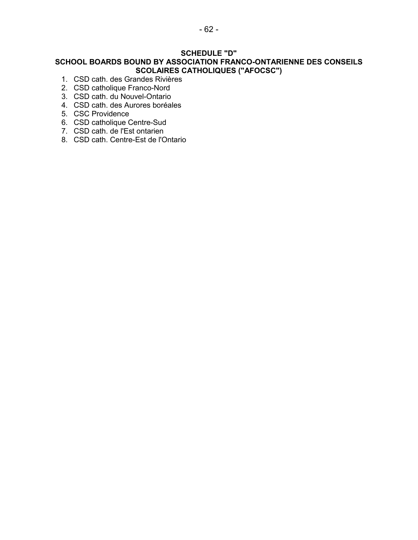# **SCHEDULE "D"**

# **SCHOOL BOARDS BOUND BY ASSOCIATION FRANCO-ONTARIENNE DES CONSEILS SCOLAIRES CATHOLIQUES ("AFOCSC")**

- 1. CSD cath. des Grandes Rivières
- 2. CSD catholique Franco-Nord
- 3. CSD cath. du Nouvel-Ontario
- 4. CSD cath. des Aurores boréales
- 5. CSC Providence
- 6. CSD catholique Centre-Sud
- 7. CSD cath. de l'Est ontarien
- 8. CSD cath. Centre-Est de l'Ontario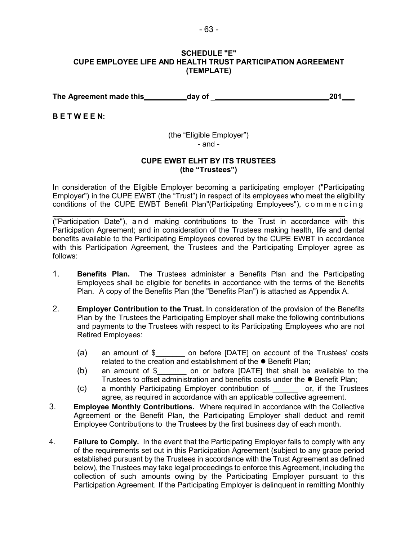#### **SCHEDULE "E" CUPE EMPLOYEE LIFE AND HEALTH TRUST PARTICIPATION AGREEMENT (TEMPLATE)**

**The Agreement made this day of \_ 201**

**B E T W E E N:**

(the "Eligible Employer") - and -

### **CUPE EWBT ELHT BY ITS TRUSTEES (the "Trustees")**

In consideration of the Eligible Employer becoming a participating employer ("Participating Employer") in the CUPE EWBT (the "Trust") in respect of its employees who meet the eligibility conditions of the CUPE EWBT Benefit Plan"(Participating Employees"), commencing

 $\overline{\phantom{a}}$ ("Participation Date"), and making contributions to the Trust in accordance with this Participation Agreement; and in consideration of the Trustees making health, life and dental benefits available to the Participating Employees covered by the CUPE EWBT in accordance with this Participation Agreement, the Trustees and the Participating Employer agree as follows:

- 1. **Benefits Plan.** The Trustees administer a Benefits Plan and the Participating Employees shall be eligible for benefits in accordance with the terms of the Benefits Plan. A copy of the Benefits Plan (the "Benefits Plan") is attached as Appendix A.
- 2. **Employer Contribution to the Trust.** In consideration of the provision of the Benefits Plan by the Trustees the Participating Employer shall make the following contributions and payments to the Trustees with respect to its Participating Employees who are not Retired Employees:
	- (a) an amount of \$\_\_\_\_\_\_\_ on before [DATE] on account of the Trustees' costs related to the creation and establishment of the  $\bullet$  Benefit Plan;
	- (b) an amount of  $\oint$  on or before [DATE] that shall be available to the Trustees to offset administration and benefits costs under the ● Benefit Plan;
	- (c) a monthly Participating Employer contribution of \_\_\_\_\_\_ or, if the Trustees agree, as required in accordance with an applicable collective agreement.
- 3. **Employee Monthly Contributions.** Where required in accordance with the Collective Agreement or the Benefit Plan, the Participating Employer shall deduct and remit Employee Contributions to the Trustees by the first business day of each month.
- 4. **Failure to Comply.** In the event that the Participating Employer fails to comply with any of the requirements set out in this Participation Agreement (subject to any grace period established pursuant by the Trustees in accordance with the Trust Agreement as defined below), the Trustees may take legal proceedings to enforce this Agreement, including the collection of such amounts owing by the Participating Employer pursuant to this Participation Agreement. If the Participating Employer is delinquent in remitting Monthly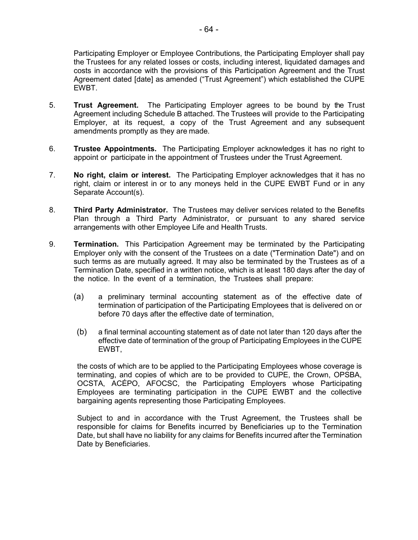Participating Employer or Employee Contributions, the Participating Employer shall pay the Trustees for any related losses or costs, including interest, liquidated damages and costs in accordance with the provisions of this Participation Agreement and the Trust Agreement dated [date] as amended ("Trust Agreement") which established the CUPE EWBT.

- 5. **Trust Agreement.** The Participating Employer agrees to be bound by the Trust Agreement including Schedule B attached. The Trustees will provide to the Participating Employer, at its request, a copy of the Trust Agreement and any subsequent amendments promptly as they are made.
- 6. **Trustee Appointments.** The Participating Employer acknowledges it has no right to appoint or participate in the appointment of Trustees under the Trust Agreement.
- 7. **No right, claim or interest.** The Participating Employer acknowledges that it has no right, claim or interest in or to any moneys held in the CUPE EWBT Fund or in any Separate Account(s).
- 8. **Third Party Administrator.** The Trustees may deliver services related to the Benefits Plan through a Third Party Administrator, or pursuant to any shared service arrangements with other Employee Life and Health Trusts.
- **Termination.** This Participation Agreement may be terminated by the Participating Employer only with the consent of the Trustees on a date ("Termination Date") and on such terms as are mutually agreed. It may also be terminated by the Trustees as of a Termination Date, specified in a written notice, which is at least 180 days after the day of the notice. In the event of a termination, the Trustees shall prepare: 9.
	- (a) a preliminary terminal accounting statement as of the effective date of termination of participation of the Participating Employees that is delivered on or before 70 days after the effective date of termination,
	- (b) a final terminal accounting statement as of date not later than 120 days after the effective date of termination of the group of Participating Employees in the CUPE EWBT,

the costs of which are to be applied to the Participating Employees whose coverage is terminating, and copies of which are to be provided to CUPE, the Crown, OPSBA, OCSTA, ACÉPO, AFOCSC, the Participating Employers whose Participating Employees are terminating participation in the CUPE EWBT and the collective bargaining agents representing those Participating Employees.

Subject to and in accordance with the Trust Agreement, the Trustees shall be responsible for claims for Benefits incurred by Beneficiaries up to the Termination Date, but shall have no liability for any claims for Benefits incurred after the Termination Date by Beneficiaries.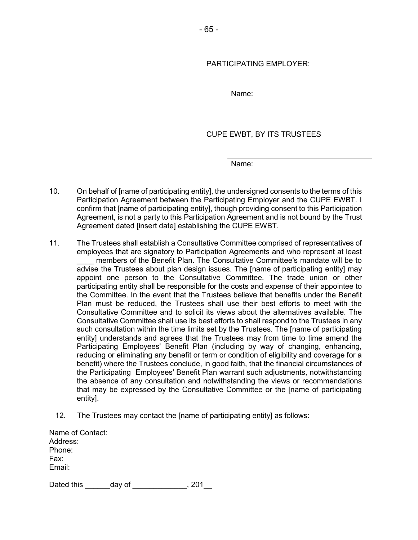# PARTICIPATING EMPLOYER:

Name:

CUPE EWBT, BY ITS TRUSTEES

Name:

- 10. On behalf of [name of participating entity], the undersigned consents to the terms of this Participation Agreement between the Participating Employer and the CUPE EWBT. I confirm that [name of participating entity], though providing consent to this Participation Agreement, is not a party to this Participation Agreement and is not bound by the Trust Agreement dated [insert date] establishing the CUPE EWBT.
- 11. The Trustees shall establish a Consultative Committee comprised of representatives of employees that are signatory to Participation Agreements and who represent at least \_\_\_\_ members of the Benefit Plan. The Consultative Committee's mandate will be to advise the Trustees about plan design issues. The [name of participating entity] may appoint one person to the Consultative Committee. The trade union or other participating entity shall be responsible for the costs and expense of their appointee to the Committee. In the event that the Trustees believe that benefits under the Benefit Plan must be reduced, the Trustees shall use their best efforts to meet with the Consultative Committee and to solicit its views about the alternatives available. The Consultative Committee shall use its best efforts to shall respond to the Trustees in any such consultation within the time limits set by the Trustees. The [name of participating entity] understands and agrees that the Trustees may from time to time amend the Participating Employees' Benefit Plan (including by way of changing, enhancing, reducing or eliminating any benefit or term or condition of eligibility and coverage for a benefit) where the Trustees conclude, in good faith, that the financial circumstances of the Participating Employees' Benefit Plan warrant such adjustments, notwithstanding the absence of any consultation and notwithstanding the views or recommendations that may be expressed by the Consultative Committee or the [name of participating entity].
	- 12. The Trustees may contact the [name of participating entity] as follows:

| Name of Contact:<br>Address: |        |     |
|------------------------------|--------|-----|
| Phone:                       |        |     |
| Fax:                         |        |     |
| Email:                       |        |     |
|                              |        |     |
| Dated this                   | day of | 201 |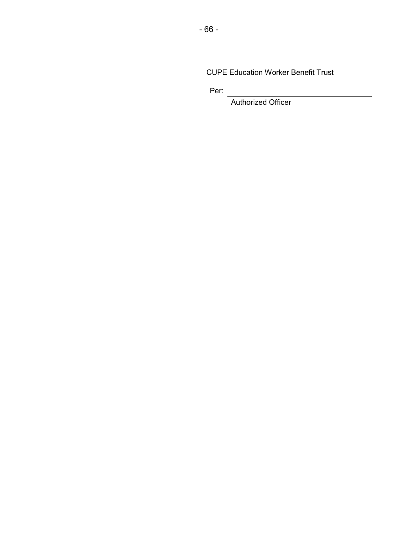CUPE Education Worker Benefit Trust

Per:

Authorized Officer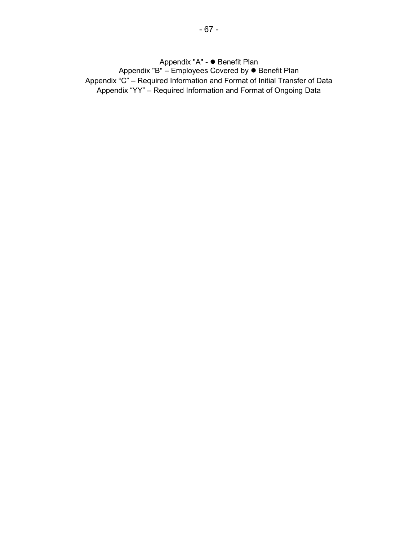Appendix "A" - ● Benefit Plan Appendix "B" – Employees Covered by ● Benefit Plan Appendix "C" – Required Information and Format of Initial Transfer of Data Appendix "YY" – Required Information and Format of Ongoing Data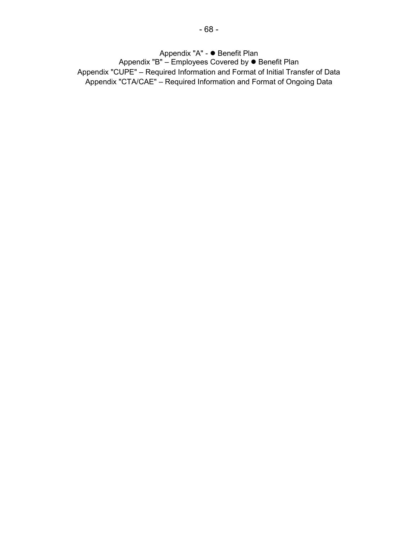Appendix "A" - ● Benefit Plan Appendix "B" – Employees Covered by ● Benefit Plan Appendix "CUPE" – Required Information and Format of Initial Transfer of Data Appendix "CTA/CAE" – Required Information and Format of Ongoing Data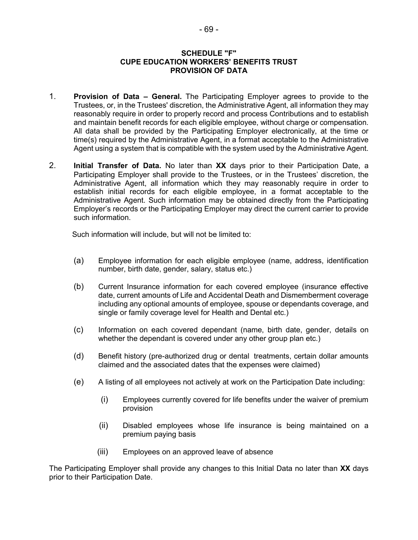### **SCHEDULE "F" CUPE EDUCATION WORKERS' BENEFITS TRUST PROVISION OF DATA**

- 1. **Provision of Data General.** The Participating Employer agrees to provide to the Trustees, or, in the Trustees' discretion, the Administrative Agent, all information they may reasonably require in order to properly record and process Contributions and to establish and maintain benefit records for each eligible employee, without charge or compensation. All data shall be provided by the Participating Employer electronically, at the time or time(s) required by the Administrative Agent, in a format acceptable to the Administrative Agent using a system that is compatible with the system used by the Administrative Agent.
- 2. **Initial Transfer of Data.** No later than **XX** days prior to their Participation Date, a Participating Employer shall provide to the Trustees, or in the Trustees' discretion, the Administrative Agent, all information which they may reasonably require in order to establish initial records for each eligible employee, in a format acceptable to the Administrative Agent. Such information may be obtained directly from the Participating Employer's records or the Participating Employer may direct the current carrier to provide such information.

Such information will include, but will not be limited to:

- (a) Employee information for each eligible employee (name, address, identification number, birth date, gender, salary, status etc.)
- (b) Current Insurance information for each covered employee (insurance effective date, current amounts of Life and Accidental Death and Dismemberment coverage including any optional amounts of employee, spouse or dependants coverage, and single or family coverage level for Health and Dental etc.)
- (c) Information on each covered dependant (name, birth date, gender, details on whether the dependant is covered under any other group plan etc.)
- (d) Benefit history (pre-authorized drug or dental treatments, certain dollar amounts claimed and the associated dates that the expenses were claimed)
- (e) A listing of all employees not actively at work on the Participation Date including:
	- (i) Employees currently covered for life benefits under the waiver of premium provision
	- (ii) Disabled employees whose life insurance is being maintained on a premium paying basis
	- (iii) Employees on an approved leave of absence

The Participating Employer shall provide any changes to this Initial Data no later than **XX** days prior to their Participation Date.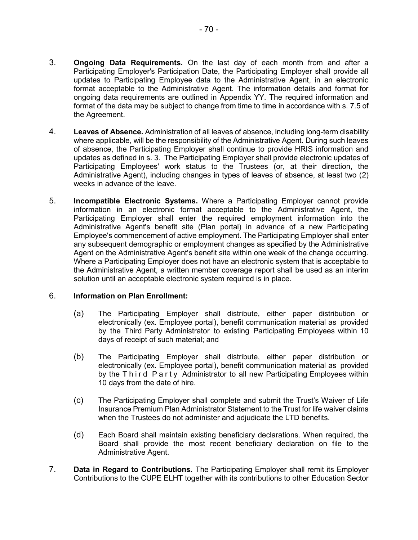- updates to Participating Employee data to the Administrative Agent, in an electronic format acceptable to the Administrative Agent. The information details and format for ongoing data requirements are outlined in Appendix YY. The required information and format of the data may be subject to change from time to time in accordance with s. 7.5 of the Agreement.
- 4. **Leaves of Absence.** Administration of all leaves of absence, including long-term disability where applicable, will be the responsibility of the Administrative Agent. During such leaves of absence, the Participating Employer shall continue to provide HRIS information and updates as defined in s. 3. The Participating Employer shall provide electronic updates of Participating Employees' work status to the Trustees (or, at their direction, the Administrative Agent), including changes in types of leaves of absence, at least two (2) weeks in advance of the leave.
- 5. **Incompatible Electronic Systems.** Where a Participating Employer cannot provide information in an electronic format acceptable to the Administrative Agent, the Participating Employer shall enter the required employment information into the Administrative Agent's benefit site (Plan portal) in advance of a new Participating Employee's commencement of active employment. The Participating Employer shall enter any subsequent demographic or employment changes as specified by the Administrative Agent on the Administrative Agent's benefit site within one week of the change occurring. Where a Participating Employer does not have an electronic system that is acceptable to the Administrative Agent, a written member coverage report shall be used as an interim solution until an acceptable electronic system required is in place.

# 6. **Information on Plan Enrollment:**

- (a) The Participating Employer shall distribute, either paper distribution or electronically (ex. Employee portal), benefit communication material as provided by the Third Party Administrator to existing Participating Employees within 10 days of receipt of such material; and
- (b) The Participating Employer shall distribute, either paper distribution or electronically (ex. Employee portal), benefit communication material as provided by the Third Party Administrator to all new Participating Employees within 10 days from the date of hire.
- (c) The Participating Employer shall complete and submit the Trust's Waiver of Life Insurance Premium Plan Administrator Statement to the Trust for life waiver claims when the Trustees do not administer and adjudicate the LTD benefits.
- (d) Each Board shall maintain existing beneficiary declarations. When required, the Board shall provide the most recent beneficiary declaration on file to the Administrative Agent.
- 7. **Data in Regard to Contributions.** The Participating Employer shall remit its Employer Contributions to the CUPE ELHT together with its contributions to other Education Sector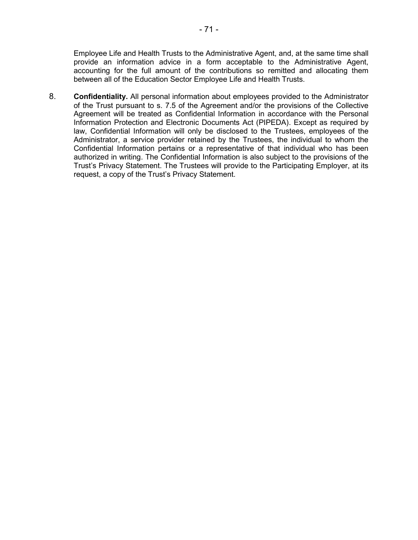Employee Life and Health Trusts to the Administrative Agent, and, at the same time shall provide an information advice in a form acceptable to the Administrative Agent, accounting for the full amount of the contributions so remitted and allocating them between all of the Education Sector Employee Life and Health Trusts.

8. **Confidentiality.** All personal information about employees provided to the Administrator of the Trust pursuant to s. 7.5 of the Agreement and/or the provisions of the Collective Agreement will be treated as Confidential Information in accordance with the Personal Information Protection and Electronic Documents Act (PIPEDA). Except as required by law, Confidential Information will only be disclosed to the Trustees, employees of the Administrator, a service provider retained by the Trustees, the individual to whom the Confidential Information pertains or a representative of that individual who has been authorized in writing. The Confidential Information is also subject to the provisions of the Trust's Privacy Statement. The Trustees will provide to the Participating Employer, at its request, a copy of the Trust's Privacy Statement.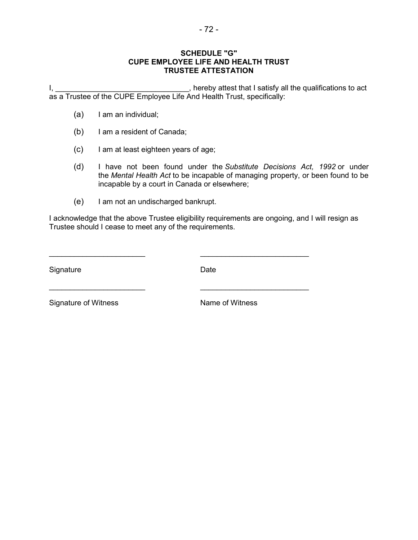# **SCHEDULE "G" CUPE EMPLOYEE LIFE AND HEALTH TRUST TRUSTEE ATTESTATION**

I, , hereby attest that I satisfy all the qualifications to act \_\_\_\_\_\_\_\_\_\_\_\_\_\_\_\_\_\_\_\_\_\_\_\_\_\_\_\_\_\_\_\_ as a Trustee of the CUPE Employee Life And Health Trust, specifically:

- (a) I am an individual;
- (b) I am a resident of Canada;
- (c) I am at least eighteen years of age;
- (d) I have not been found under the *[Substitute Decisions Act, 1992](http://www.canlii.org/en/on/laws/stat/so-1992-c-30/latest/so-1992-c-30.html#_blank)* or under the *[Mental Health Act](http://www.canlii.org/en/on/laws/stat/rso-1990-c-m7/latest/rso-1990-c-m7.html#_blank)* to be incapable of managing property, or been found to be incapable by a court in Canada or elsewhere;
- (e) I am not an undischarged bankrupt.

I acknowledge that the above Trustee eligibility requirements are ongoing, and I will resign as Trustee should I cease to meet any of the requirements.

\_\_\_\_\_\_\_\_\_\_\_\_\_\_\_\_\_\_\_\_\_\_\_ \_\_\_\_\_\_\_\_\_\_\_\_\_\_\_\_\_\_\_\_\_\_\_\_\_\_

\_\_\_\_\_\_\_\_\_\_\_\_\_\_\_\_\_\_\_\_\_\_\_ \_\_\_\_\_\_\_\_\_\_\_\_\_\_\_\_\_\_\_\_\_\_\_\_\_\_

Signature Date Date

Signature of Witness Name of Witness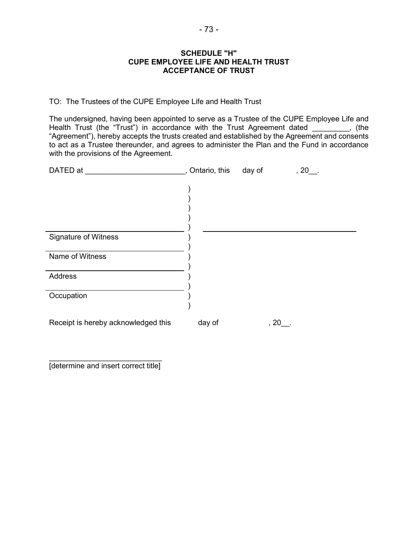#### **SCHEDULE "H" CUPE EMPLOYEE LIFE AND HEALTH TRUST ACCEPTANCE OF TRUST**

TO: The Trustees of the CUPE Employee Life and Health Trust

The undersigned, having been appointed to serve as a Trustee of the CUPE Employee Life and Health Trust (the "Trust") in accordance with the Trust Agreement dated \_\_\_\_\_\_\_\_, (the "Agreement"), hereby accepts the trusts created and established by the Agreement and consents to act as a Trustee thereunder, and agrees to administer the Plan and the Fund in accordance with the provisions of the Agreement.

| DATED at                            | , Ontario, this | day of | $, 20$ . |  |
|-------------------------------------|-----------------|--------|----------|--|
|                                     |                 |        |          |  |
|                                     |                 |        |          |  |
|                                     |                 |        |          |  |
|                                     |                 |        |          |  |
| <b>Signature of Witness</b>         |                 |        |          |  |
|                                     |                 |        |          |  |
| Name of Witness                     |                 |        |          |  |
|                                     |                 |        |          |  |
| <b>Address</b>                      |                 |        |          |  |
| Occupation                          |                 |        |          |  |
|                                     |                 |        |          |  |
|                                     |                 |        |          |  |
| Receipt is hereby acknowledged this | day of          |        | $, 20$ . |  |

 $\mathcal{L}_\text{max}$  , which is a set of the set of the set of the set of the set of the set of the set of the set of the set of the set of the set of the set of the set of the set of the set of the set of the set of the set of [determine and insert correct title]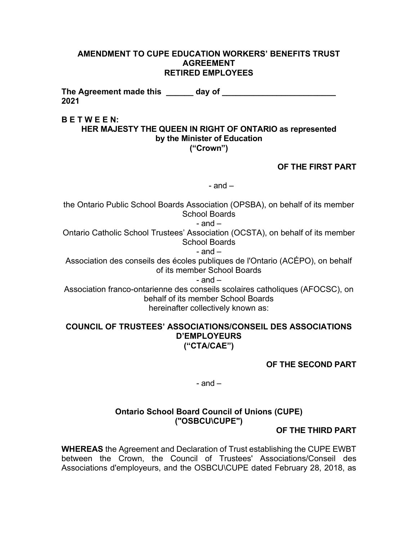### **AMENDMENT TO CUPE EDUCATION WORKERS' BENEFITS TRUST AGREEMENT RETIRED EMPLOYEES**

The Agreement made this \_\_\_\_\_\_ day of \_\_\_\_\_\_\_\_\_\_\_\_\_\_\_\_\_\_\_\_\_\_\_\_\_\_ **2021**

### **B E T W E E N:**

# **HER MAJESTY THE QUEEN IN RIGHT OF ONTARIO as represented by the Minister of Education ("Crown")**

# **OF THE FIRST PART**

 $-$  and  $-$ 

the Ontario Public School Boards Association (OPSBA), on behalf of its member School Boards

- and –

Ontario Catholic School Trustees' Association (OCSTA), on behalf of its member School Boards

 $-$  and  $-$ 

Association des conseils des écoles publiques de l'Ontario (ACÉPO), on behalf of its member School Boards

 $-$  and  $-$ 

Association franco-ontarienne des conseils scolaires catholiques (AFOCSC), on behalf of its member School Boards hereinafter collectively known as:

# **COUNCIL OF TRUSTEES' ASSOCIATIONS/CONSEIL DES ASSOCIATIONS D'EMPLOYEURS ("CTA/CAE")**

# **OF THE SECOND PART**

 $-$  and  $-$ 

# **Ontario School Board Council of Unions (CUPE) ("OSBCU\CUPE")**

# **OF THE THIRD PART**

**WHEREAS** the Agreement and Declaration of Trust establishing the CUPE EWBT between the Crown, the Council of Trustees' Associations/Conseil des Associations d'employeurs, and the OSBCU\CUPE dated February 28, 2018, as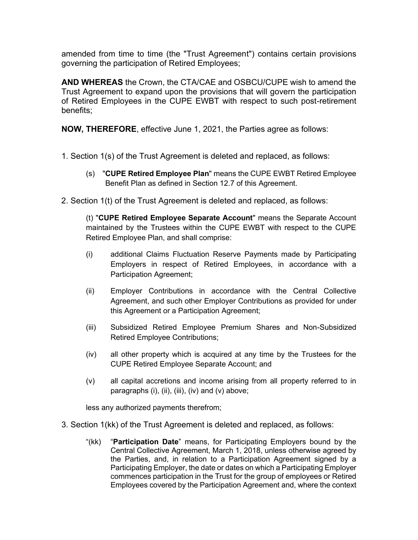amended from time to time (the "Trust Agreement") contains certain provisions governing the participation of Retired Employees;

**AND WHEREAS** the Crown, the CTA/CAE and OSBCU/CUPE wish to amend the Trust Agreement to expand upon the provisions that will govern the participation of Retired Employees in the CUPE EWBT with respect to such post-retirement benefits;

**NOW, THEREFORE**, effective June 1, 2021, the Parties agree as follows:

- 1. Section 1(s) of the Trust Agreement is deleted and replaced, as follows:
	- (s) "**CUPE Retired Employee Plan**" means the CUPE EWBT Retired Employee Benefit Plan as defined in Section 12.7 of this Agreement.
- 2. Section 1(t) of the Trust Agreement is deleted and replaced, as follows:

(t) "**CUPE Retired Employee Separate Account**" means the Separate Account maintained by the Trustees within the CUPE EWBT with respect to the CUPE Retired Employee Plan, and shall comprise:

- (i) additional Claims Fluctuation Reserve Payments made by Participating Employers in respect of Retired Employees, in accordance with a Participation Agreement;
- (ii) Employer Contributions in accordance with the Central Collective Agreement, and such other Employer Contributions as provided for under this Agreement or a Participation Agreement;
- (iii) Subsidized Retired Employee Premium Shares and Non-Subsidized Retired Employee Contributions;
- (iv) all other property which is acquired at any time by the Trustees for the CUPE Retired Employee Separate Account; and
- (v) all capital accretions and income arising from all property referred to in paragraphs (i), (ii), (iii), (iv) and (v) above;

less any authorized payments therefrom;

- 3. Section 1(kk) of the Trust Agreement is deleted and replaced, as follows:
	- "(kk) "**Participation Date**" means, for Participating Employers bound by the Central Collective Agreement, March 1, 2018, unless otherwise agreed by the Parties, and, in relation to a Participation Agreement signed by a Participating Employer, the date or dates on which a Participating Employer commences participation in the Trust for the group of employees or Retired Employees covered by the Participation Agreement and, where the context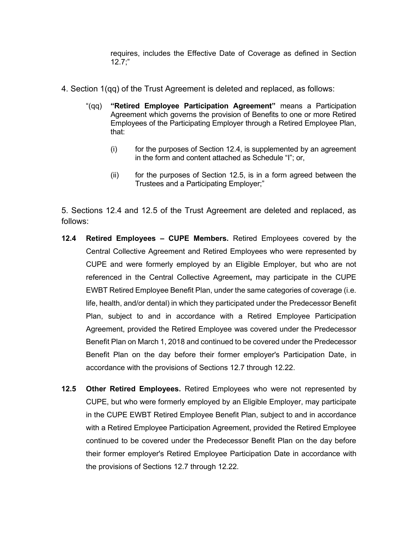requires, includes the Effective Date of Coverage as defined in Section 12.7;"

- 4. Section 1(qq) of the Trust Agreement is deleted and replaced, as follows:
	- "(qq) **"Retired Employee Participation Agreement"** means a Participation Agreement which governs the provision of Benefits to one or more Retired Employees of the Participating Employer through a Retired Employee Plan, that:
		- $(i)$  for the purposes of Section 12.4, is supplemented by an agreement in the form and content attached as Schedule "I"; or,
		- (ii) for the purposes of Section 12.5, is in a form agreed between the Trustees and a Participating Employer;"

5. Sections 12.4 and 12.5 of the Trust Agreement are deleted and replaced, as follows:

- **12.4 Retired Employees CUPE Members.** Retired Employees covered by the Central Collective Agreement and Retired Employees who were represented by CUPE and were formerly employed by an Eligible Employer, but who are not referenced in the Central Collective Agreement**,** may participate in the CUPE EWBT Retired Employee Benefit Plan, under the same categories of coverage (i.e. life, health, and/or dental) in which they participated under the Predecessor Benefit Plan, subject to and in accordance with a Retired Employee Participation Agreement, provided the Retired Employee was covered under the Predecessor Benefit Plan on March 1, 2018 and continued to be covered under the Predecessor Benefit Plan on the day before their former employer's Participation Date, in accordance with the provisions of Sections 12.7 through 12.22.
- **12.5 Other Retired Employees.** Retired Employees who were not represented by CUPE, but who were formerly employed by an Eligible Employer, may participate in the CUPE EWBT Retired Employee Benefit Plan, subject to and in accordance with a Retired Employee Participation Agreement, provided the Retired Employee continued to be covered under the Predecessor Benefit Plan on the day before their former employer's Retired Employee Participation Date in accordance with the provisions of Sections 12.7 through 12.22.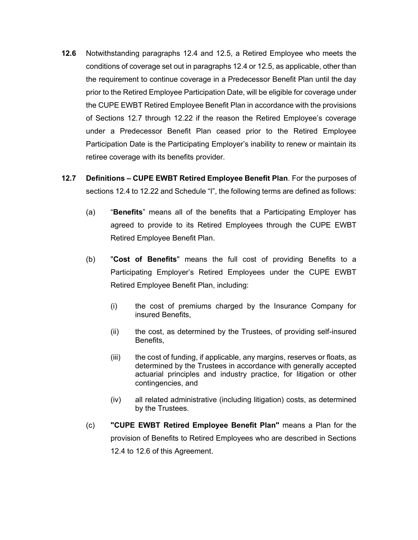- **12.6** Notwithstanding paragraphs 12.4 and 12.5, a Retired Employee who meets the conditions of coverage set out in paragraphs 12.4 or 12.5, as applicable, other than the requirement to continue coverage in a Predecessor Benefit Plan until the day prior to the Retired Employee Participation Date, will be eligible for coverage under the CUPE EWBT Retired Employee Benefit Plan in accordance with the provisions of Sections 12.7 through 12.22 if the reason the Retired Employee's coverage under a Predecessor Benefit Plan ceased prior to the Retired Employee Participation Date is the Participating Employer's inability to renew or maintain its retiree coverage with its benefits provider.
- **12.7 Definitions CUPE EWBT Retired Employee Benefit Plan**. For the purposes of sections 12.4 to 12.22 and Schedule "I", the following terms are defined as follows:
	- (a) "**Benefits**" means all of the benefits that a Participating Employer has agreed to provide to its Retired Employees through the CUPE EWBT Retired Employee Benefit Plan.
	- (b) "**Cost of Benefits**" means the full cost of providing Benefits to a Participating Employer's Retired Employees under the CUPE EWBT Retired Employee Benefit Plan, including:
		- (i) the cost of premiums charged by the Insurance Company for insured Benefits,
		- (ii) the cost, as determined by the Trustees, of providing self-insured Benefits,
		- (iii) the cost of funding, if applicable, any margins, reserves or floats, as determined by the Trustees in accordance with generally accepted actuarial principles and industry practice, for litigation or other contingencies, and
		- (iv) all related administrative (including litigation) costs, as determined by the Trustees.
	- (c) **"CUPE EWBT Retired Employee Benefit Plan"** means a Plan for the provision of Benefits to Retired Employees who are described in Sections 12.4 to 12.6 of this Agreement.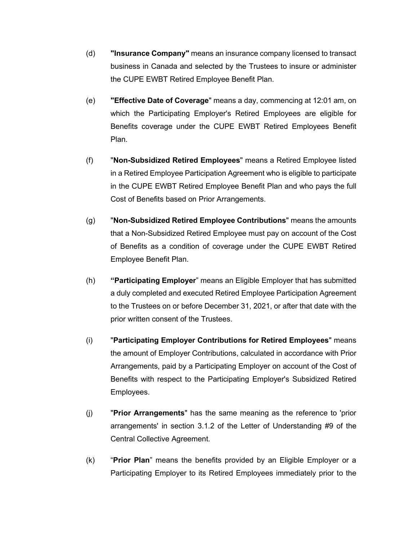- (d) **"Insurance Company"** means an insurance company licensed to transact business in Canada and selected by the Trustees to insure or administer the CUPE EWBT Retired Employee Benefit Plan.
- (e) **"Effective Date of Coverage**" means a day, commencing at 12:01 am, on which the Participating Employer's Retired Employees are eligible for Benefits coverage under the CUPE EWBT Retired Employees Benefit Plan.
- (f) "**Non-Subsidized Retired Employees**" means a Retired Employee listed in a Retired Employee Participation Agreement who is eligible to participate in the CUPE EWBT Retired Employee Benefit Plan and who pays the full Cost of Benefits based on Prior Arrangements.
- (g) "**Non-Subsidized Retired Employee Contributions**" means the amounts that a Non-Subsidized Retired Employee must pay on account of the Cost of Benefits as a condition of coverage under the CUPE EWBT Retired Employee Benefit Plan.
- (h) **"Participating Employer**" means an Eligible Employer that has submitted a duly completed and executed Retired Employee Participation Agreement to the Trustees on or before December 31, 2021, or after that date with the prior written consent of the Trustees.
- (i) "**Participating Employer Contributions for Retired Employees**" means the amount of Employer Contributions, calculated in accordance with Prior Arrangements, paid by a Participating Employer on account of the Cost of Benefits with respect to the Participating Employer's Subsidized Retired Employees.
- (j) "**Prior Arrangements**" has the same meaning as the reference to 'prior arrangements' in section 3.1.2 of the Letter of Understanding #9 of the Central Collective Agreement.
- (k) "**Prior Plan**" means the benefits provided by an Eligible Employer or a Participating Employer to its Retired Employees immediately prior to the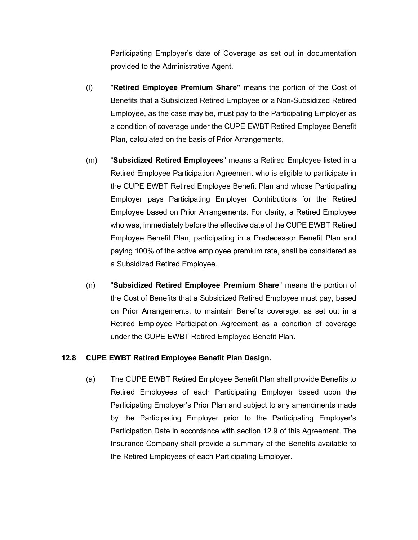Participating Employer's date of Coverage as set out in documentation provided to the Administrative Agent.

- (l) "**Retired Employee Premium Share"** means the portion of the Cost of Benefits that a Subsidized Retired Employee or a Non-Subsidized Retired Employee, as the case may be, must pay to the Participating Employer as a condition of coverage under the CUPE EWBT Retired Employee Benefit Plan, calculated on the basis of Prior Arrangements.
- (m) "**Subsidized Retired Employees**" means a Retired Employee listed in a Retired Employee Participation Agreement who is eligible to participate in the CUPE EWBT Retired Employee Benefit Plan and whose Participating Employer pays Participating Employer Contributions for the Retired Employee based on Prior Arrangements. For clarity, a Retired Employee who was, immediately before the effective date of the CUPE EWBT Retired Employee Benefit Plan, participating in a Predecessor Benefit Plan and paying 100% of the active employee premium rate, shall be considered as a Subsidized Retired Employee.
- (n) "**Subsidized Retired Employee Premium Share**" means the portion of the Cost of Benefits that a Subsidized Retired Employee must pay, based on Prior Arrangements, to maintain Benefits coverage, as set out in a Retired Employee Participation Agreement as a condition of coverage under the CUPE EWBT Retired Employee Benefit Plan.

#### **12.8 CUPE EWBT Retired Employee Benefit Plan Design.**

(a) The CUPE EWBT Retired Employee Benefit Plan shall provide Benefits to Retired Employees of each Participating Employer based upon the Participating Employer's Prior Plan and subject to any amendments made by the Participating Employer prior to the Participating Employer's Participation Date in accordance with section 12.9 of this Agreement. The Insurance Company shall provide a summary of the Benefits available to the Retired Employees of each Participating Employer.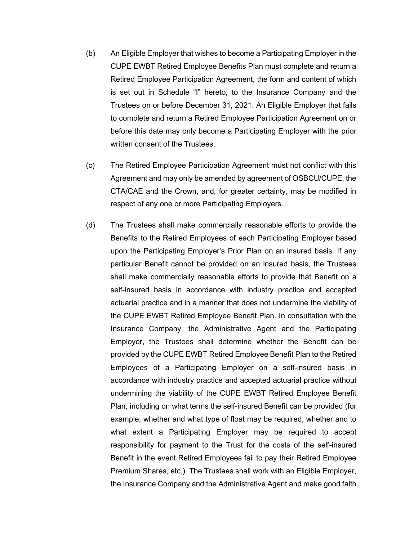- (b) An Eligible Employer that wishes to become a Participating Employer in the CUPE EWBT Retired Employee Benefits Plan must complete and return a Retired Employee Participation Agreement, the form and content of which is set out in Schedule "I" hereto, to the Insurance Company and the Trustees on or before December 31, 2021. An Eligible Employer that fails to complete and return a Retired Employee Participation Agreement on or before this date may only become a Participating Employer with the prior written consent of the Trustees.
- (c) The Retired Employee Participation Agreement must not conflict with this Agreement and may only be amended by agreement of OSBCU/CUPE, the CTA/CAE and the Crown, and, for greater certainty, may be modified in respect of any one or more Participating Employers.
- (d) The Trustees shall make commercially reasonable efforts to provide the Benefits to the Retired Employees of each Participating Employer based upon the Participating Employer's Prior Plan on an insured basis. If any particular Benefit cannot be provided on an insured basis, the Trustees shall make commercially reasonable efforts to provide that Benefit on a self-insured basis in accordance with industry practice and accepted actuarial practice and in a manner that does not undermine the viability of the CUPE EWBT Retired Employee Benefit Plan. In consultation with the Insurance Company, the Administrative Agent and the Participating Employer, the Trustees shall determine whether the Benefit can be provided by the CUPE EWBT Retired Employee Benefit Plan to the Retired Employees of a Participating Employer on a self-insured basis in accordance with industry practice and accepted actuarial practice without undermining the viability of the CUPE EWBT Retired Employee Benefit Plan, including on what terms the self-insured Benefit can be provided (for example, whether and what type of float may be required, whether and to what extent a Participating Employer may be required to accept responsibility for payment to the Trust for the costs of the self-insured Benefit in the event Retired Employees fail to pay their Retired Employee Premium Shares, etc.). The Trustees shall work with an Eligible Employer, the Insurance Company and the Administrative Agent and make good faith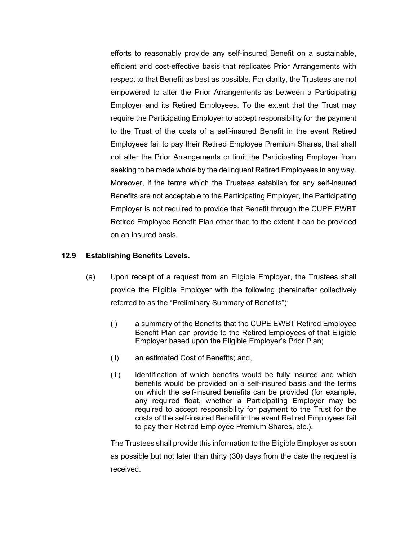efforts to reasonably provide any self-insured Benefit on a sustainable, efficient and cost-effective basis that replicates Prior Arrangements with respect to that Benefit as best as possible. For clarity, the Trustees are not empowered to alter the Prior Arrangements as between a Participating Employer and its Retired Employees. To the extent that the Trust may require the Participating Employer to accept responsibility for the payment to the Trust of the costs of a self-insured Benefit in the event Retired Employees fail to pay their Retired Employee Premium Shares, that shall not alter the Prior Arrangements or limit the Participating Employer from seeking to be made whole by the delinquent Retired Employees in any way. Moreover, if the terms which the Trustees establish for any self-insured Benefits are not acceptable to the Participating Employer, the Participating Employer is not required to provide that Benefit through the CUPE EWBT Retired Employee Benefit Plan other than to the extent it can be provided on an insured basis.

#### **12.9 Establishing Benefits Levels.**

- (a) Upon receipt of a request from an Eligible Employer, the Trustees shall provide the Eligible Employer with the following (hereinafter collectively referred to as the "Preliminary Summary of Benefits"):
	- (i) a summary of the Benefits that the CUPE EWBT Retired Employee Benefit Plan can provide to the Retired Employees of that Eligible Employer based upon the Eligible Employer's Prior Plan;
	- (ii) an estimated Cost of Benefits; and,
	- (iii) identification of which benefits would be fully insured and which benefits would be provided on a self-insured basis and the terms on which the self-insured benefits can be provided (for example, any required float, whether a Participating Employer may be required to accept responsibility for payment to the Trust for the costs of the self-insured Benefit in the event Retired Employees fail to pay their Retired Employee Premium Shares, etc.).

The Trustees shall provide this information to the Eligible Employer as soon as possible but not later than thirty (30) days from the date the request is received.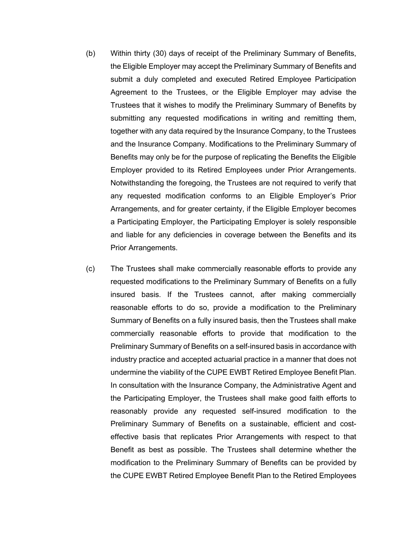- (b) Within thirty (30) days of receipt of the Preliminary Summary of Benefits, the Eligible Employer may accept the Preliminary Summary of Benefits and submit a duly completed and executed Retired Employee Participation Agreement to the Trustees, or the Eligible Employer may advise the Trustees that it wishes to modify the Preliminary Summary of Benefits by submitting any requested modifications in writing and remitting them, together with any data required by the Insurance Company, to the Trustees and the Insurance Company. Modifications to the Preliminary Summary of Benefits may only be for the purpose of replicating the Benefits the Eligible Employer provided to its Retired Employees under Prior Arrangements. Notwithstanding the foregoing, the Trustees are not required to verify that any requested modification conforms to an Eligible Employer's Prior Arrangements, and for greater certainty, if the Eligible Employer becomes a Participating Employer, the Participating Employer is solely responsible and liable for any deficiencies in coverage between the Benefits and its Prior Arrangements.
- (c) The Trustees shall make commercially reasonable efforts to provide any requested modifications to the Preliminary Summary of Benefits on a fully insured basis. If the Trustees cannot, after making commercially reasonable efforts to do so, provide a modification to the Preliminary Summary of Benefits on a fully insured basis, then the Trustees shall make commercially reasonable efforts to provide that modification to the Preliminary Summary of Benefits on a self-insured basis in accordance with industry practice and accepted actuarial practice in a manner that does not undermine the viability of the CUPE EWBT Retired Employee Benefit Plan. In consultation with the Insurance Company, the Administrative Agent and the Participating Employer, the Trustees shall make good faith efforts to reasonably provide any requested self-insured modification to the Preliminary Summary of Benefits on a sustainable, efficient and costeffective basis that replicates Prior Arrangements with respect to that Benefit as best as possible. The Trustees shall determine whether the modification to the Preliminary Summary of Benefits can be provided by the CUPE EWBT Retired Employee Benefit Plan to the Retired Employees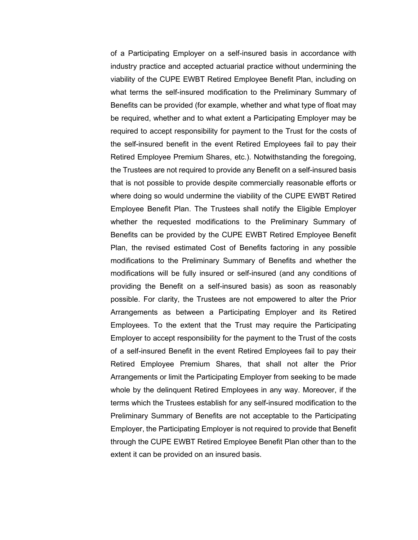of a Participating Employer on a self-insured basis in accordance with industry practice and accepted actuarial practice without undermining the viability of the CUPE EWBT Retired Employee Benefit Plan, including on what terms the self-insured modification to the Preliminary Summary of Benefits can be provided (for example, whether and what type of float may be required, whether and to what extent a Participating Employer may be required to accept responsibility for payment to the Trust for the costs of the self-insured benefit in the event Retired Employees fail to pay their Retired Employee Premium Shares, etc.). Notwithstanding the foregoing, the Trustees are not required to provide any Benefit on a self-insured basis that is not possible to provide despite commercially reasonable efforts or where doing so would undermine the viability of the CUPE EWBT Retired Employee Benefit Plan. The Trustees shall notify the Eligible Employer whether the requested modifications to the Preliminary Summary of Benefits can be provided by the CUPE EWBT Retired Employee Benefit Plan, the revised estimated Cost of Benefits factoring in any possible modifications to the Preliminary Summary of Benefits and whether the modifications will be fully insured or self-insured (and any conditions of providing the Benefit on a self-insured basis) as soon as reasonably possible. For clarity, the Trustees are not empowered to alter the Prior Arrangements as between a Participating Employer and its Retired Employees. To the extent that the Trust may require the Participating Employer to accept responsibility for the payment to the Trust of the costs of a self-insured Benefit in the event Retired Employees fail to pay their Retired Employee Premium Shares, that shall not alter the Prior Arrangements or limit the Participating Employer from seeking to be made whole by the delinquent Retired Employees in any way. Moreover, if the terms which the Trustees establish for any self-insured modification to the Preliminary Summary of Benefits are not acceptable to the Participating Employer, the Participating Employer is not required to provide that Benefit through the CUPE EWBT Retired Employee Benefit Plan other than to the extent it can be provided on an insured basis.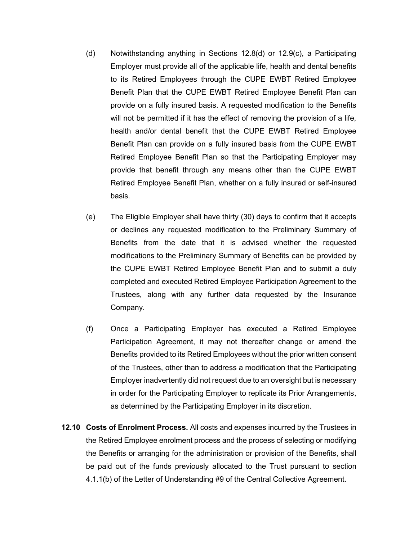- (d) Notwithstanding anything in Sections 12.8(d) or 12.9(c), a Participating Employer must provide all of the applicable life, health and dental benefits to its Retired Employees through the CUPE EWBT Retired Employee Benefit Plan that the CUPE EWBT Retired Employee Benefit Plan can provide on a fully insured basis. A requested modification to the Benefits will not be permitted if it has the effect of removing the provision of a life, health and/or dental benefit that the CUPE EWBT Retired Employee Benefit Plan can provide on a fully insured basis from the CUPE EWBT Retired Employee Benefit Plan so that the Participating Employer may provide that benefit through any means other than the CUPE EWBT Retired Employee Benefit Plan, whether on a fully insured or self-insured basis.
- (e) The Eligible Employer shall have thirty (30) days to confirm that it accepts or declines any requested modification to the Preliminary Summary of Benefits from the date that it is advised whether the requested modifications to the Preliminary Summary of Benefits can be provided by the CUPE EWBT Retired Employee Benefit Plan and to submit a duly completed and executed Retired Employee Participation Agreement to the Trustees, along with any further data requested by the Insurance Company.
- (f) Once a Participating Employer has executed a Retired Employee Participation Agreement, it may not thereafter change or amend the Benefits provided to its Retired Employees without the prior written consent of the Trustees, other than to address a modification that the Participating Employer inadvertently did not request due to an oversight but is necessary in order for the Participating Employer to replicate its Prior Arrangements, as determined by the Participating Employer in its discretion.
- **12.10 Costs of Enrolment Process.** All costs and expenses incurred by the Trustees in the Retired Employee enrolment process and the process of selecting or modifying the Benefits or arranging for the administration or provision of the Benefits, shall be paid out of the funds previously allocated to the Trust pursuant to section 4.1.1(b) of the Letter of Understanding #9 of the Central Collective Agreement.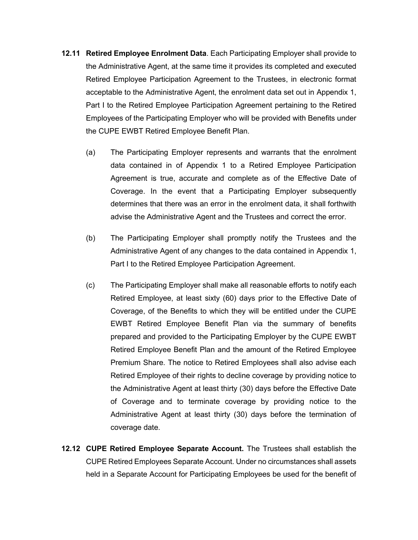- **12.11 Retired Employee Enrolment Data**. Each Participating Employer shall provide to the Administrative Agent, at the same time it provides its completed and executed Retired Employee Participation Agreement to the Trustees, in electronic format acceptable to the Administrative Agent, the enrolment data set out in Appendix 1, Part I to the Retired Employee Participation Agreement pertaining to the Retired Employees of the Participating Employer who will be provided with Benefits under the CUPE EWBT Retired Employee Benefit Plan.
	- (a) The Participating Employer represents and warrants that the enrolment data contained in of Appendix 1 to a Retired Employee Participation Agreement is true, accurate and complete as of the Effective Date of Coverage. In the event that a Participating Employer subsequently determines that there was an error in the enrolment data, it shall forthwith advise the Administrative Agent and the Trustees and correct the error.
	- (b) The Participating Employer shall promptly notify the Trustees and the Administrative Agent of any changes to the data contained in Appendix 1, Part I to the Retired Employee Participation Agreement.
	- (c) The Participating Employer shall make all reasonable efforts to notify each Retired Employee, at least sixty (60) days prior to the Effective Date of Coverage, of the Benefits to which they will be entitled under the CUPE EWBT Retired Employee Benefit Plan via the summary of benefits prepared and provided to the Participating Employer by the CUPE EWBT Retired Employee Benefit Plan and the amount of the Retired Employee Premium Share. The notice to Retired Employees shall also advise each Retired Employee of their rights to decline coverage by providing notice to the Administrative Agent at least thirty (30) days before the Effective Date of Coverage and to terminate coverage by providing notice to the Administrative Agent at least thirty (30) days before the termination of coverage date.
- **12.12 CUPE Retired Employee Separate Account.** The Trustees shall establish the CUPE Retired Employees Separate Account. Under no circumstances shall assets held in a Separate Account for Participating Employees be used for the benefit of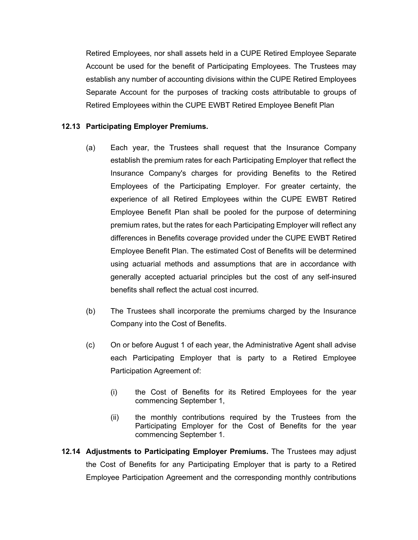Retired Employees, nor shall assets held in a CUPE Retired Employee Separate Account be used for the benefit of Participating Employees. The Trustees may establish any number of accounting divisions within the CUPE Retired Employees Separate Account for the purposes of tracking costs attributable to groups of Retired Employees within the CUPE EWBT Retired Employee Benefit Plan

#### **12.13 Participating Employer Premiums.**

- (a) Each year, the Trustees shall request that the Insurance Company establish the premium rates for each Participating Employer that reflect the Insurance Company's charges for providing Benefits to the Retired Employees of the Participating Employer. For greater certainty, the experience of all Retired Employees within the CUPE EWBT Retired Employee Benefit Plan shall be pooled for the purpose of determining premium rates, but the rates for each Participating Employer will reflect any differences in Benefits coverage provided under the CUPE EWBT Retired Employee Benefit Plan. The estimated Cost of Benefits will be determined using actuarial methods and assumptions that are in accordance with generally accepted actuarial principles but the cost of any self-insured benefits shall reflect the actual cost incurred.
- (b) The Trustees shall incorporate the premiums charged by the Insurance Company into the Cost of Benefits.
- (c) On or before August 1 of each year, the Administrative Agent shall advise each Participating Employer that is party to a Retired Employee Participation Agreement of:
	- (i) the Cost of Benefits for its Retired Employees for the year commencing September 1,
	- (ii) the monthly contributions required by the Trustees from the Participating Employer for the Cost of Benefits for the year commencing September 1.
- **12.14 Adjustments to Participating Employer Premiums.** The Trustees may adjust the Cost of Benefits for any Participating Employer that is party to a Retired Employee Participation Agreement and the corresponding monthly contributions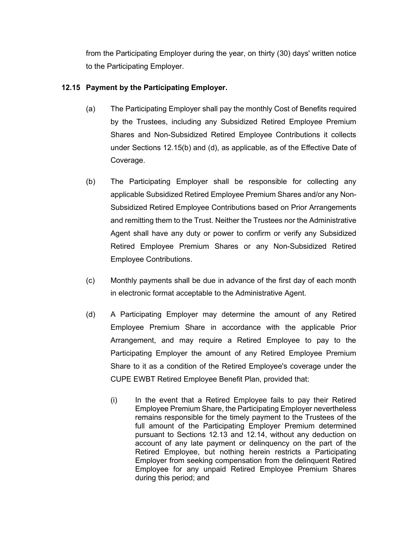from the Participating Employer during the year, on thirty (30) days' written notice to the Participating Employer.

# **12.15 Payment by the Participating Employer.**

- (a) The Participating Employer shall pay the monthly Cost of Benefits required by the Trustees, including any Subsidized Retired Employee Premium Shares and Non-Subsidized Retired Employee Contributions it collects under Sections 12.15(b) and (d), as applicable, as of the Effective Date of Coverage.
- (b) The Participating Employer shall be responsible for collecting any applicable Subsidized Retired Employee Premium Shares and/or any Non-Subsidized Retired Employee Contributions based on Prior Arrangements and remitting them to the Trust. Neither the Trustees nor the Administrative Agent shall have any duty or power to confirm or verify any Subsidized Retired Employee Premium Shares or any Non-Subsidized Retired Employee Contributions.
- (c) Monthly payments shall be due in advance of the first day of each month in electronic format acceptable to the Administrative Agent.
- (d) A Participating Employer may determine the amount of any Retired Employee Premium Share in accordance with the applicable Prior Arrangement, and may require a Retired Employee to pay to the Participating Employer the amount of any Retired Employee Premium Share to it as a condition of the Retired Employee's coverage under the CUPE EWBT Retired Employee Benefit Plan, provided that:
	- (i) In the event that a Retired Employee fails to pay their Retired Employee Premium Share, the Participating Employer nevertheless remains responsible for the timely payment to the Trustees of the full amount of the Participating Employer Premium determined pursuant to Sections 12.13 and 12.14, without any deduction on account of any late payment or delinquency on the part of the Retired Employee, but nothing herein restricts a Participating Employer from seeking compensation from the delinquent Retired Employee for any unpaid Retired Employee Premium Shares during this period; and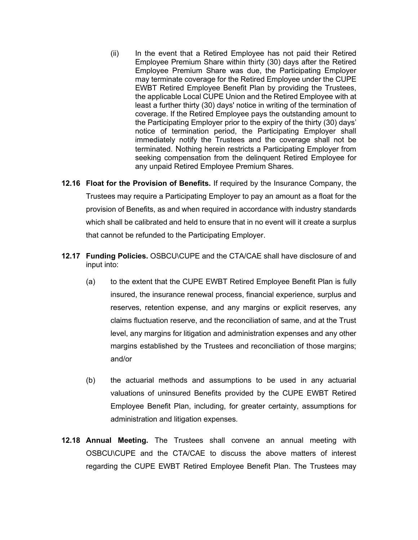- (ii) In the event that a Retired Employee has not paid their Retired Employee Premium Share within thirty (30) days after the Retired Employee Premium Share was due, the Participating Employer may terminate coverage for the Retired Employee under the CUPE EWBT Retired Employee Benefit Plan by providing the Trustees, the applicable Local CUPE Union and the Retired Employee with at least a further thirty (30) days' notice in writing of the termination of coverage. If the Retired Employee pays the outstanding amount to the Participating Employer prior to the expiry of the thirty (30) days' notice of termination period, the Participating Employer shall immediately notify the Trustees and the coverage shall not be terminated. Nothing herein restricts a Participating Employer from seeking compensation from the delinquent Retired Employee for any unpaid Retired Employee Premium Shares.
- **12.16 Float for the Provision of Benefits.** If required by the Insurance Company, the Trustees may require a Participating Employer to pay an amount as a float for the provision of Benefits, as and when required in accordance with industry standards which shall be calibrated and held to ensure that in no event will it create a surplus that cannot be refunded to the Participating Employer.
- **12.17 Funding Policies.** OSBCU\CUPE and the CTA/CAE shall have disclosure of and input into:
	- (a) to the extent that the CUPE EWBT Retired Employee Benefit Plan is fully insured, the insurance renewal process, financial experience, surplus and reserves, retention expense, and any margins or explicit reserves, any claims fluctuation reserve, and the reconciliation of same, and at the Trust level, any margins for litigation and administration expenses and any other margins established by the Trustees and reconciliation of those margins; and/or
	- (b) the actuarial methods and assumptions to be used in any actuarial valuations of uninsured Benefits provided by the CUPE EWBT Retired Employee Benefit Plan, including, for greater certainty, assumptions for administration and litigation expenses.
- **12.18 Annual Meeting.** The Trustees shall convene an annual meeting with OSBCU\CUPE and the CTA/CAE to discuss the above matters of interest regarding the CUPE EWBT Retired Employee Benefit Plan. The Trustees may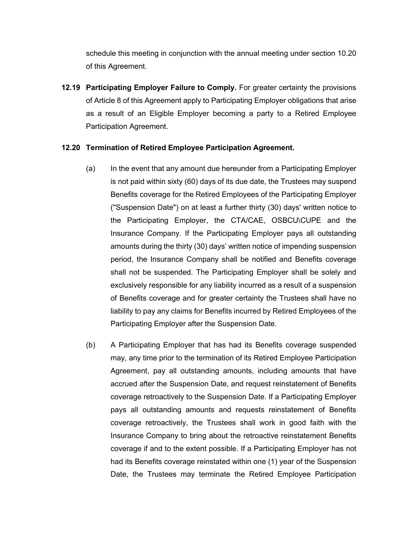schedule this meeting in conjunction with the annual meeting under section 10.20 of this Agreement.

**12.19 Participating Employer Failure to Comply.** For greater certainty the provisions of Article 8 of this Agreement apply to Participating Employer obligations that arise as a result of an Eligible Employer becoming a party to a Retired Employee Participation Agreement.

# **12.20 Termination of Retired Employee Participation Agreement.**

- (a) In the event that any amount due hereunder from a Participating Employer is not paid within sixty (60) days of its due date, the Trustees may suspend Benefits coverage for the Retired Employees of the Participating Employer ("Suspension Date") on at least a further thirty (30) days' written notice to the Participating Employer, the CTA/CAE, OSBCU\CUPE and the Insurance Company. If the Participating Employer pays all outstanding amounts during the thirty (30) days' written notice of impending suspension period, the Insurance Company shall be notified and Benefits coverage shall not be suspended. The Participating Employer shall be solely and exclusively responsible for any liability incurred as a result of a suspension of Benefits coverage and for greater certainty the Trustees shall have no liability to pay any claims for Benefits incurred by Retired Employees of the Participating Employer after the Suspension Date.
- (b) A Participating Employer that has had its Benefits coverage suspended may, any time prior to the termination of its Retired Employee Participation Agreement, pay all outstanding amounts, including amounts that have accrued after the Suspension Date, and request reinstatement of Benefits coverage retroactively to the Suspension Date. If a Participating Employer pays all outstanding amounts and requests reinstatement of Benefits coverage retroactively, the Trustees shall work in good faith with the Insurance Company to bring about the retroactive reinstatement Benefits coverage if and to the extent possible. If a Participating Employer has not had its Benefits coverage reinstated within one (1) year of the Suspension Date, the Trustees may terminate the Retired Employee Participation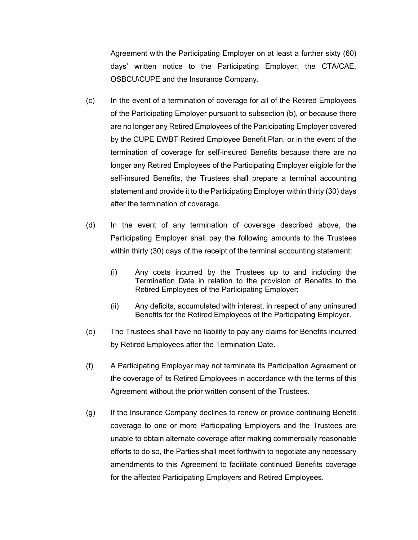Agreement with the Participating Employer on at least a further sixty (60) days' written notice to the Participating Employer, the CTA/CAE, OSBCU\CUPE and the Insurance Company.

- (c) In the event of a termination of coverage for all of the Retired Employees of the Participating Employer pursuant to subsection (b), or because there are no longer any Retired Employees of the Participating Employer covered by the CUPE EWBT Retired Employee Benefit Plan, or in the event of the termination of coverage for self-insured Benefits because there are no longer any Retired Employees of the Participating Employer eligible for the self-insured Benefits, the Trustees shall prepare a terminal accounting statement and provide it to the Participating Employer within thirty (30) days after the termination of coverage.
- (d) In the event of any termination of coverage described above, the Participating Employer shall pay the following amounts to the Trustees within thirty (30) days of the receipt of the terminal accounting statement:
	- (i) Any costs incurred by the Trustees up to and including the Termination Date in relation to the provision of Benefits to the Retired Employees of the Participating Employer;
	- (ii) Any deficits, accumulated with interest, in respect of any uninsured Benefits for the Retired Employees of the Participating Employer.
- (e) The Trustees shall have no liability to pay any claims for Benefits incurred by Retired Employees after the Termination Date.
- (f) A Participating Employer may not terminate its Participation Agreement or the coverage of its Retired Employees in accordance with the terms of this Agreement without the prior written consent of the Trustees.
- (g) If the Insurance Company declines to renew or provide continuing Benefit coverage to one or more Participating Employers and the Trustees are unable to obtain alternate coverage after making commercially reasonable efforts to do so, the Parties shall meet forthwith to negotiate any necessary amendments to this Agreement to facilitate continued Benefits coverage for the affected Participating Employers and Retired Employees.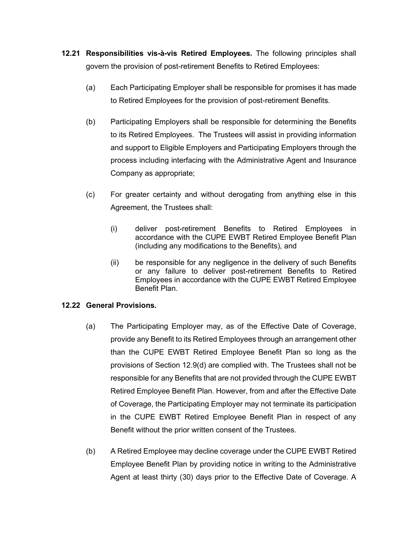- **12.21 Responsibilities vis-à-vis Retired Employees.** The following principles shall govern the provision of post-retirement Benefits to Retired Employees:
	- (a) Each Participating Employer shall be responsible for promises it has made to Retired Employees for the provision of post-retirement Benefits.
	- (b) Participating Employers shall be responsible for determining the Benefits to its Retired Employees. The Trustees will assist in providing information and support to Eligible Employers and Participating Employers through the process including interfacing with the Administrative Agent and Insurance Company as appropriate;
	- (c) For greater certainty and without derogating from anything else in this Agreement, the Trustees shall:
		- (i) deliver post-retirement Benefits to Retired Employees in accordance with the CUPE EWBT Retired Employee Benefit Plan (including any modifications to the Benefits), and
		- (ii) be responsible for any negligence in the delivery of such Benefits or any failure to deliver post-retirement Benefits to Retired Employees in accordance with the CUPE EWBT Retired Employee Benefit Plan.

# **12.22 General Provisions.**

- (a) The Participating Employer may, as of the Effective Date of Coverage, provide any Benefit to its Retired Employees through an arrangement other than the CUPE EWBT Retired Employee Benefit Plan so long as the provisions of Section 12.9(d) are complied with. The Trustees shall not be responsible for any Benefits that are not provided through the CUPE EWBT Retired Employee Benefit Plan. However, from and after the Effective Date of Coverage, the Participating Employer may not terminate its participation in the CUPE EWBT Retired Employee Benefit Plan in respect of any Benefit without the prior written consent of the Trustees.
- (b) A Retired Employee may decline coverage under the CUPE EWBT Retired Employee Benefit Plan by providing notice in writing to the Administrative Agent at least thirty (30) days prior to the Effective Date of Coverage. A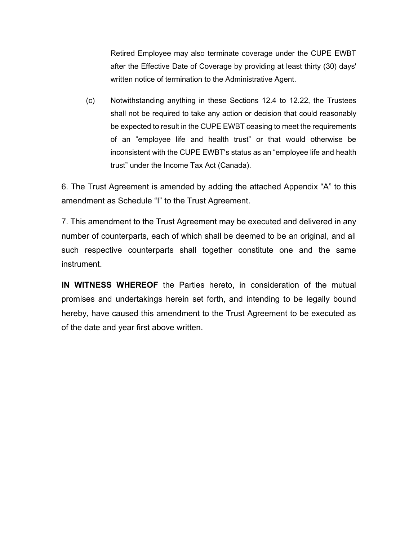Retired Employee may also terminate coverage under the CUPE EWBT after the Effective Date of Coverage by providing at least thirty (30) days' written notice of termination to the Administrative Agent.

(c) Notwithstanding anything in these Sections 12.4 to 12.22, the Trustees shall not be required to take any action or decision that could reasonably be expected to result in the CUPE EWBT ceasing to meet the requirements of an "employee life and health trust" or that would otherwise be inconsistent with the CUPE EWBT's status as an "employee life and health trust" under the Income Tax Act (Canada).

6. The Trust Agreement is amended by adding the attached Appendix "A" to this amendment as Schedule "I" to the Trust Agreement.

7. This amendment to the Trust Agreement may be executed and delivered in any number of counterparts, each of which shall be deemed to be an original, and all such respective counterparts shall together constitute one and the same instrument.

**IN WITNESS WHEREOF** the Parties hereto, in consideration of the mutual promises and undertakings herein set forth, and intending to be legally bound hereby, have caused this amendment to the Trust Agreement to be executed as of the date and year first above written.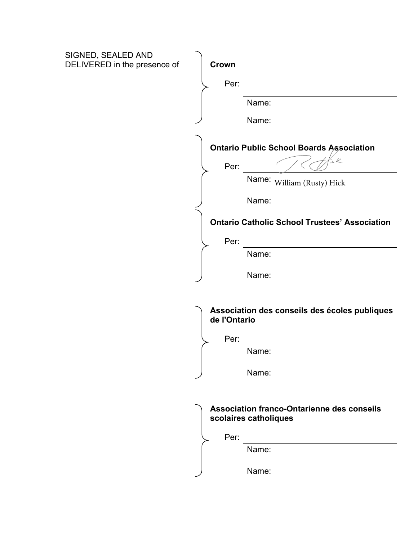| SIGNED, SEALED AND<br>DELIVERED in the presence of | Crown                                                                      |
|----------------------------------------------------|----------------------------------------------------------------------------|
|                                                    |                                                                            |
|                                                    | Per:                                                                       |
|                                                    | Name:                                                                      |
|                                                    | Name:                                                                      |
|                                                    | <b>Ontario Public School Boards Association</b>                            |
|                                                    | 'e K<br>Per:                                                               |
|                                                    | Name: William (Rusty) Hick                                                 |
|                                                    | Name:                                                                      |
|                                                    | <b>Ontario Catholic School Trustees' Association</b>                       |
|                                                    | Per:                                                                       |
|                                                    | Name:                                                                      |
|                                                    | Name:                                                                      |
|                                                    | Association des conseils des écoles publiques<br>de l'Ontario              |
|                                                    | Per:                                                                       |
|                                                    | Name:                                                                      |
|                                                    | Name:                                                                      |
|                                                    | <b>Association franco-Ontarienne des conseils</b><br>scolaires catholiques |
|                                                    | Per:<br>Name:                                                              |
|                                                    |                                                                            |
|                                                    | Name:                                                                      |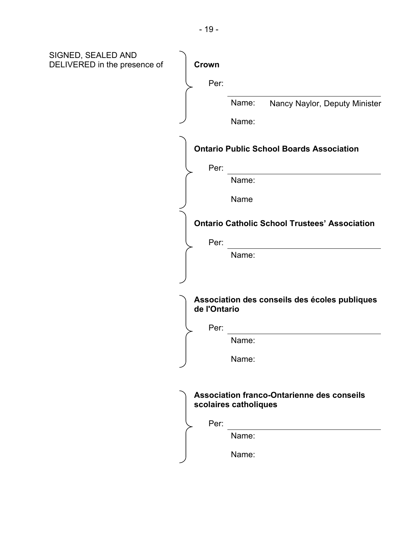| SIGNED, SEALED AND<br>DELIVERED in the presence of | Crown<br>Per:<br>Name:<br>Nancy Naylor, Deputy Minister<br>Name:                                     |
|----------------------------------------------------|------------------------------------------------------------------------------------------------------|
|                                                    | <b>Ontario Public School Boards Association</b><br>Per:<br>Name:<br>Name                             |
|                                                    | <b>Ontario Catholic School Trustees' Association</b><br>Per:<br>Name:                                |
|                                                    | Association des conseils des écoles publiques<br>de l'Ontario<br>Per:<br>Name:<br>Name:              |
|                                                    | <b>Association franco-Ontarienne des conseils</b><br>scolaires catholiques<br>Per:<br>Name:<br>Name: |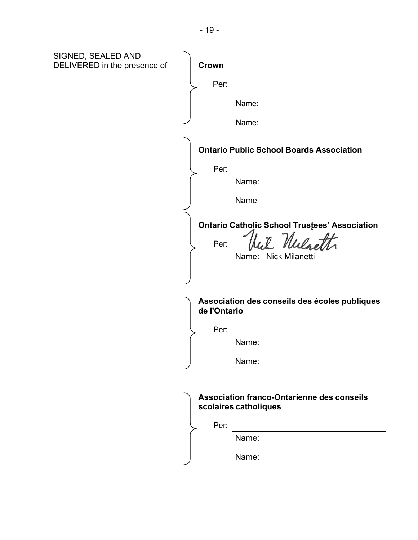| SIGNED, SEALED AND<br>DELIVERED in the presence of | Crown                                                                                |
|----------------------------------------------------|--------------------------------------------------------------------------------------|
|                                                    | Per:                                                                                 |
|                                                    | Name:                                                                                |
|                                                    | Name:                                                                                |
|                                                    | <b>Ontario Public School Boards Association</b>                                      |
|                                                    | Per:                                                                                 |
|                                                    | Name:                                                                                |
|                                                    | Name                                                                                 |
|                                                    | <b>Ontario Catholic School Trustees' Association</b><br>Per:<br>Name: Nick Milanetti |
|                                                    |                                                                                      |
|                                                    | Association des conseils des écoles publiques<br>de l'Ontario                        |
|                                                    | Per:                                                                                 |
|                                                    | Name:                                                                                |
|                                                    | Name:                                                                                |
|                                                    | <b>Association franco-Ontarienne des conseils</b><br>scolaires catholiques           |
|                                                    | Per:<br>Name:                                                                        |
|                                                    | Name:                                                                                |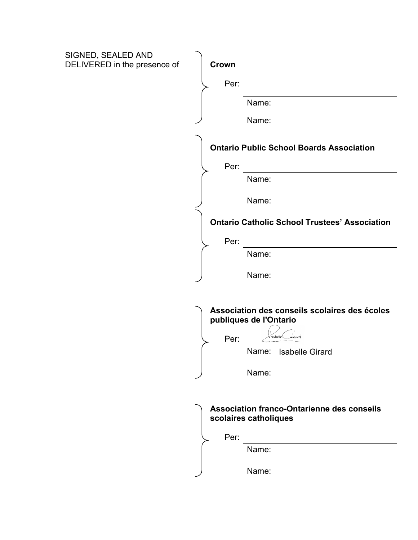| SIGNED, SEALED AND           |                                                                            |
|------------------------------|----------------------------------------------------------------------------|
| DELIVERED in the presence of | Crown                                                                      |
|                              | Per:                                                                       |
|                              | Name:                                                                      |
|                              | Name:                                                                      |
|                              | <b>Ontario Public School Boards Association</b>                            |
|                              | Per:                                                                       |
|                              | Name:                                                                      |
|                              | Name:                                                                      |
|                              | <b>Ontario Catholic School Trustees' Association</b>                       |
|                              | Per:                                                                       |
|                              | Name:                                                                      |
|                              | Name:                                                                      |
|                              |                                                                            |
|                              | Association des conseils scolaires des écoles<br>publiques de l'Ontario    |
|                              | saicard<br>Sabelle <sup>(</sup>                                            |
|                              | Per:<br>Name:<br><b>Isabelle Girard</b>                                    |
|                              |                                                                            |
|                              | Name:                                                                      |
|                              |                                                                            |
|                              | <b>Association franco-Ontarienne des conseils</b><br>scolaires catholiques |
|                              | Per:                                                                       |
|                              | Name:                                                                      |
|                              |                                                                            |
|                              | Name:                                                                      |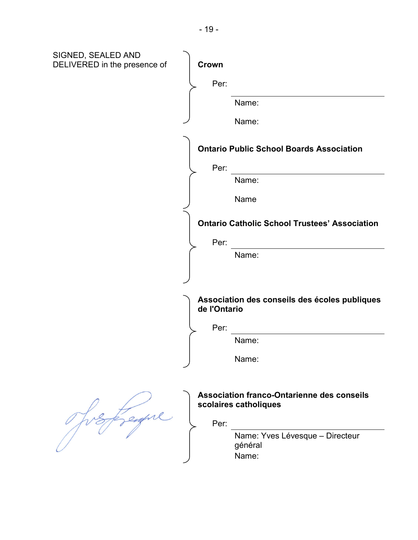| SIGNED, SEALED AND<br>DELIVERED in the presence of | Crown                                                                              |
|----------------------------------------------------|------------------------------------------------------------------------------------|
|                                                    | Per:                                                                               |
|                                                    | Name:                                                                              |
|                                                    | Name:                                                                              |
|                                                    | <b>Ontario Public School Boards Association</b>                                    |
|                                                    | Per:                                                                               |
|                                                    | Name:                                                                              |
|                                                    | Name                                                                               |
|                                                    | <b>Ontario Catholic School Trustees' Association</b>                               |
|                                                    | Per:                                                                               |
|                                                    | Name:                                                                              |
|                                                    |                                                                                    |
|                                                    | Association des conseils des écoles publiques<br>de l'Ontario                      |
|                                                    | Per:                                                                               |
|                                                    | Name:                                                                              |
|                                                    | Name:                                                                              |
|                                                    | <b>Association franco-Ontarienne des conseils</b><br>scolaires catholiques<br>Per: |
|                                                    | Name: Yves Lévesque - Directeur<br>général<br>Name:                                |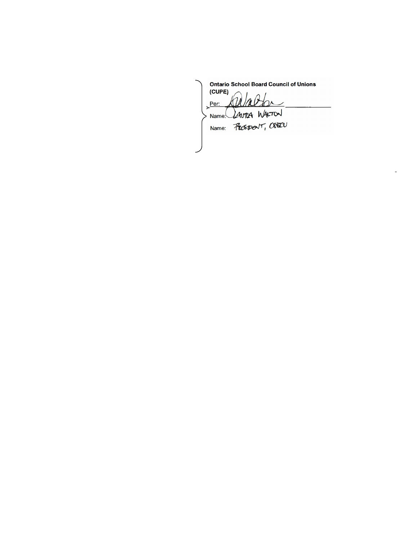**Ontario School Board Council of Unions (CUPE)** Name: Laura WALTON Name: Prespect, OGEN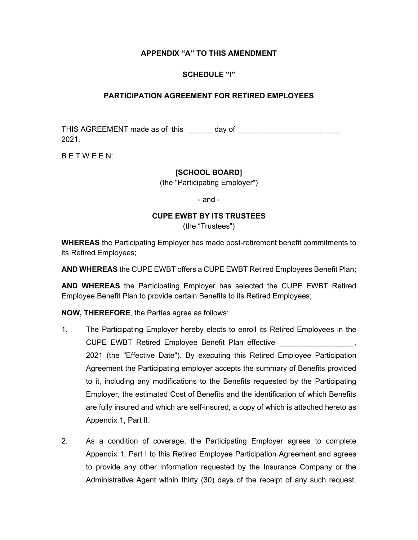# **APPENDIX "A" TO THIS AMENDMENT**

# **SCHEDULE "I"**

### **PARTICIPATION AGREEMENT FOR RETIRED EMPLOYEES**

THIS AGREEMENT made as of this \_\_\_\_\_\_ day of \_\_\_\_\_\_\_\_\_\_\_\_\_\_\_\_\_\_\_\_\_\_\_\_\_ 2021.

B E T W E E N:

# **[SCHOOL BOARD]**

(the "Participating Employer")

- and -

#### **CUPE EWBT BY ITS TRUSTEES**

(the "Trustees")

**WHEREAS** the Participating Employer has made post-retirement benefit commitments to its Retired Employees;

**AND WHEREAS** the CUPE EWBT offers a CUPE EWBT Retired Employees Benefit Plan;

**AND WHEREAS** the Participating Employer has selected the CUPE EWBT Retired Employee Benefit Plan to provide certain Benefits to its Retired Employees;

**NOW, THEREFORE**, the Parties agree as follows:

- 1. The Participating Employer hereby elects to enroll its Retired Employees in the CUPE EWBT Retired Employee Benefit Plan effective \_\_\_\_\_\_\_\_\_\_\_\_\_\_\_\_\_\_\_, 2021 (the "Effective Date"). By executing this Retired Employee Participation Agreement the Participating employer accepts the summary of Benefits provided to it, including any modifications to the Benefits requested by the Participating Employer, the estimated Cost of Benefits and the identification of which Benefits are fully insured and which are self-insured, a copy of which is attached hereto as Appendix 1, Part II.
- 2. As a condition of coverage, the Participating Employer agrees to complete Appendix 1, Part I to this Retired Employee Participation Agreement and agrees to provide any other information requested by the Insurance Company or the Administrative Agent within thirty (30) days of the receipt of any such request.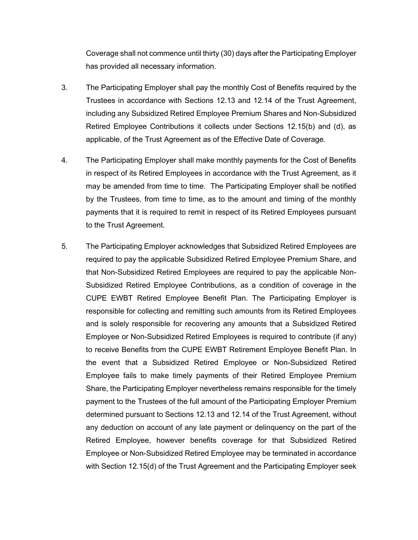Coverage shall not commence until thirty (30) days after the Participating Employer has provided all necessary information.

- 3. The Participating Employer shall pay the monthly Cost of Benefits required by the Trustees in accordance with Sections 12.13 and 12.14 of the Trust Agreement, including any Subsidized Retired Employee Premium Shares and Non-Subsidized Retired Employee Contributions it collects under Sections 12.15(b) and (d), as applicable, of the Trust Agreement as of the Effective Date of Coverage.
- 4. The Participating Employer shall make monthly payments for the Cost of Benefits in respect of its Retired Employees in accordance with the Trust Agreement, as it may be amended from time to time. The Participating Employer shall be notified by the Trustees, from time to time, as to the amount and timing of the monthly payments that it is required to remit in respect of its Retired Employees pursuant to the Trust Agreement.
- 5. The Participating Employer acknowledges that Subsidized Retired Employees are required to pay the applicable Subsidized Retired Employee Premium Share, and that Non-Subsidized Retired Employees are required to pay the applicable Non-Subsidized Retired Employee Contributions, as a condition of coverage in the CUPE EWBT Retired Employee Benefit Plan. The Participating Employer is responsible for collecting and remitting such amounts from its Retired Employees and is solely responsible for recovering any amounts that a Subsidized Retired Employee or Non-Subsidized Retired Employees is required to contribute (if any) to receive Benefits from the CUPE EWBT Retirement Employee Benefit Plan. In the event that a Subsidized Retired Employee or Non-Subsidized Retired Employee fails to make timely payments of their Retired Employee Premium Share, the Participating Employer nevertheless remains responsible for the timely payment to the Trustees of the full amount of the Participating Employer Premium determined pursuant to Sections 12.13 and 12.14 of the Trust Agreement, without any deduction on account of any late payment or delinquency on the part of the Retired Employee, however benefits coverage for that Subsidized Retired Employee or Non-Subsidized Retired Employee may be terminated in accordance with Section 12.15(d) of the Trust Agreement and the Participating Employer seek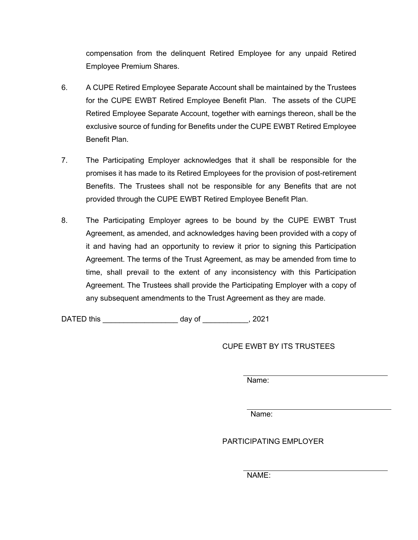compensation from the delinquent Retired Employee for any unpaid Retired Employee Premium Shares.

- 6. A CUPE Retired Employee Separate Account shall be maintained by the Trustees for the CUPE EWBT Retired Employee Benefit Plan. The assets of the CUPE Retired Employee Separate Account, together with earnings thereon, shall be the exclusive source of funding for Benefits under the CUPE EWBT Retired Employee Benefit Plan.
- 7. The Participating Employer acknowledges that it shall be responsible for the promises it has made to its Retired Employees for the provision of post-retirement Benefits. The Trustees shall not be responsible for any Benefits that are not provided through the CUPE EWBT Retired Employee Benefit Plan.
- 8. The Participating Employer agrees to be bound by the CUPE EWBT Trust Agreement, as amended, and acknowledges having been provided with a copy of it and having had an opportunity to review it prior to signing this Participation Agreement. The terms of the Trust Agreement, as may be amended from time to time, shall prevail to the extent of any inconsistency with this Participation Agreement. The Trustees shall provide the Participating Employer with a copy of any subsequent amendments to the Trust Agreement as they are made.

DATED this and a set of the control of the control of the control of the control of the control of the control o

CUPE EWBT BY ITS TRUSTEES

Name:

Name:

PARTICIPATING FMPI OYFR

NAME: